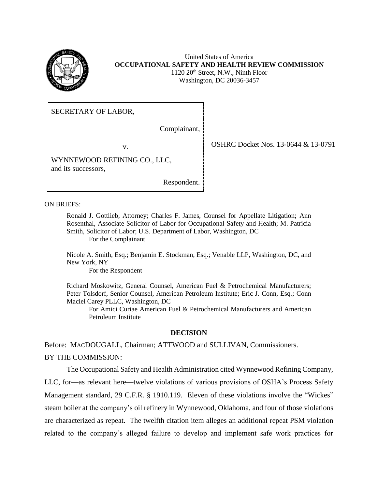

United States of America **OCCUPATIONAL SAFETY AND HEALTH REVIEW COMMISSION** 1120 20th Street, N.W., Ninth Floor Washington, DC 20036-3457

SECRETARY OF LABOR,

Complainant,

WYNNEWOOD REFINING CO., LLC, and its successors,

Respondent.

ON BRIEFS:

Ronald J. Gottlieb, Attorney; Charles F. James, Counsel for Appellate Litigation; Ann Rosenthal, Associate Solicitor of Labor for Occupational Safety and Health; M. Patricia Smith, Solicitor of Labor; U.S. Department of Labor, Washington, DC For the Complainant

Nicole A. Smith, Esq.; Benjamin E. Stockman, Esq.; Venable LLP, Washington, DC, and New York, NY

For the Respondent

Richard Moskowitz, General Counsel, American Fuel & Petrochemical Manufacturers; Peter Tolsdorf, Senior Counsel, American Petroleum Institute; Eric J. Conn, Esq.; Conn Maciel Carey PLLC, Washington, DC

For Amici Curiae American Fuel & Petrochemical Manufacturers and American Petroleum Institute

## **DECISION**

Before: MACDOUGALL, Chairman; ATTWOOD and SULLIVAN, Commissioners. BY THE COMMISSION:

The Occupational Safety and Health Administration cited Wynnewood Refining Company, LLC, for—as relevant here—twelve violations of various provisions of OSHA's Process Safety Management standard, 29 C.F.R. § 1910.119. Eleven of these violations involve the "Wickes" steam boiler at the company's oil refinery in Wynnewood, Oklahoma, and four of those violations are characterized as repeat. The twelfth citation item alleges an additional repeat PSM violation related to the company's alleged failure to develop and implement safe work practices for

v. **OSHRC Docket Nos. 13-0644 & 13-0791**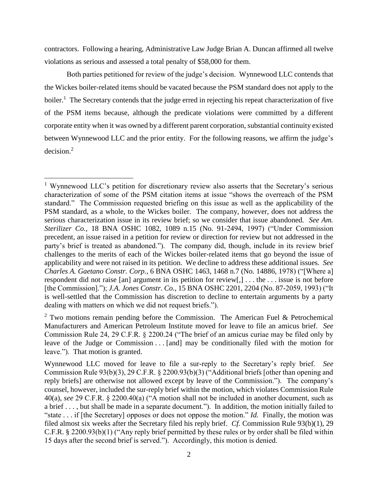contractors. Following a hearing, Administrative Law Judge Brian A. Duncan affirmed all twelve violations as serious and assessed a total penalty of \$58,000 for them.

Both parties petitioned for review of the judge's decision. Wynnewood LLC contends that the Wickes boiler-related items should be vacated because the PSM standard does not apply to the boiler.<sup>1</sup> The Secretary contends that the judge erred in rejecting his repeat characterization of five of the PSM items because, although the predicate violations were committed by a different corporate entity when it was owned by a different parent corporation, substantial continuity existed between Wynnewood LLC and the prior entity. For the following reasons, we affirm the judge's decision. 2

<sup>&</sup>lt;sup>1</sup> Wynnewood LLC's petition for discretionary review also asserts that the Secretary's serious characterization of some of the PSM citation items at issue "shows the overreach of the PSM standard." The Commission requested briefing on this issue as well as the applicability of the PSM standard, as a whole, to the Wickes boiler. The company, however, does not address the serious characterization issue in its review brief; so we consider that issue abandoned. *See Am. Sterilizer Co.*, 18 BNA OSHC 1082, 1089 n.15 (No. 91-2494, 1997) ("Under Commission precedent, an issue raised in a petition for review or direction for review but not addressed in the party's brief is treated as abandoned."). The company did, though, include in its review brief challenges to the merits of each of the Wickes boiler-related items that go beyond the issue of applicability and were not raised in its petition. We decline to address these additional issues. *See Charles A. Gaetano Constr. Corp.*, 6 BNA OSHC 1463, 1468 n.7 (No. 14886, 1978) ("[Where a] respondent did not raise [an] argument in its petition for review[,] . . . the . . . issue is not before [the Commission]."); *J.A. Jones Constr. Co.*, 15 BNA OSHC 2201, 2204 (No. 87-2059, 1993) ("It is well-settled that the Commission has discretion to decline to entertain arguments by a party dealing with matters on which we did not request briefs.").

 $2$  Two motions remain pending before the Commission. The American Fuel & Petrochemical Manufacturers and American Petroleum Institute moved for leave to file an amicus brief. *See*  Commission Rule 24, 29 C.F.R. § 2200.24 ("The brief of an amicus curiae may be filed only by leave of the Judge or Commission . . . [and] may be conditionally filed with the motion for leave."). That motion is granted.

Wynnewood LLC moved for leave to file a sur-reply to the Secretary's reply brief. *See* Commission Rule 93(b)(3), 29 C.F.R. § 2200.93(b)(3) ("Additional briefs [other than opening and reply briefs] are otherwise not allowed except by leave of the Commission."). The company's counsel, however, included the sur-reply brief within the motion, which violates Commission Rule 40(a), *see* 29 C.F.R. § 2200.40(a) ("A motion shall not be included in another document, such as a brief . . . , but shall be made in a separate document."). In addition, the motion initially failed to "state . . . if [the Secretary] opposes or does not oppose the motion." *Id.* Finally, the motion was filed almost six weeks after the Secretary filed his reply brief. *Cf.* Commission Rule 93(b)(1), 29 C.F.R. § 2200.93(b)(1) ("Any reply brief permitted by these rules or by order shall be filed within 15 days after the second brief is served."). Accordingly, this motion is denied.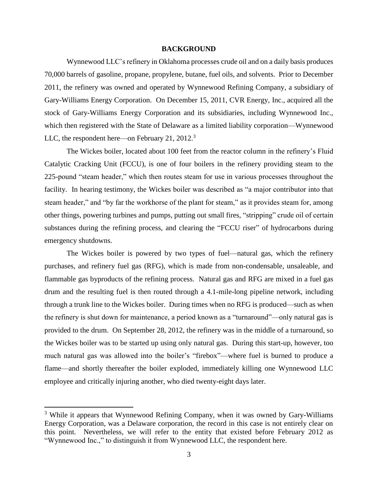## **BACKGROUND**

Wynnewood LLC's refinery in Oklahoma processes crude oil and on a daily basis produces 70,000 barrels of gasoline, propane, propylene, butane, fuel oils, and solvents. Prior to December 2011, the refinery was owned and operated by Wynnewood Refining Company, a subsidiary of Gary-Williams Energy Corporation. On December 15, 2011, CVR Energy, Inc., acquired all the stock of Gary-Williams Energy Corporation and its subsidiaries, including Wynnewood Inc., which then registered with the State of Delaware as a limited liability corporation—Wynnewood LLC, the respondent here—on February 21, 2012.<sup>3</sup>

The Wickes boiler, located about 100 feet from the reactor column in the refinery's Fluid Catalytic Cracking Unit (FCCU), is one of four boilers in the refinery providing steam to the 225-pound "steam header," which then routes steam for use in various processes throughout the facility. In hearing testimony, the Wickes boiler was described as "a major contributor into that steam header," and "by far the workhorse of the plant for steam," as it provides steam for, among other things, powering turbines and pumps, putting out small fires, "stripping" crude oil of certain substances during the refining process, and clearing the "FCCU riser" of hydrocarbons during emergency shutdowns.

The Wickes boiler is powered by two types of fuel—natural gas, which the refinery purchases, and refinery fuel gas (RFG), which is made from non-condensable, unsaleable, and flammable gas byproducts of the refining process. Natural gas and RFG are mixed in a fuel gas drum and the resulting fuel is then routed through a 4.1-mile-long pipeline network, including through a trunk line to the Wickes boiler. During times when no RFG is produced—such as when the refinery is shut down for maintenance, a period known as a "turnaround"—only natural gas is provided to the drum. On September 28, 2012, the refinery was in the middle of a turnaround, so the Wickes boiler was to be started up using only natural gas. During this start-up, however, too much natural gas was allowed into the boiler's "firebox"—where fuel is burned to produce a flame—and shortly thereafter the boiler exploded, immediately killing one Wynnewood LLC employee and critically injuring another, who died twenty-eight days later.

<sup>&</sup>lt;sup>3</sup> While it appears that Wynnewood Refining Company, when it was owned by Gary-Williams Energy Corporation, was a Delaware corporation, the record in this case is not entirely clear on this point. Nevertheless, we will refer to the entity that existed before February 2012 as "Wynnewood Inc.," to distinguish it from Wynnewood LLC, the respondent here.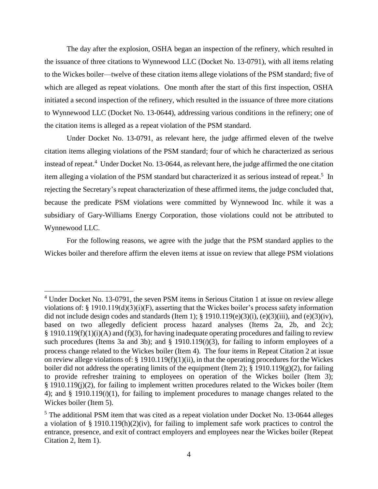The day after the explosion, OSHA began an inspection of the refinery, which resulted in the issuance of three citations to Wynnewood LLC (Docket No. 13-0791), with all items relating to the Wickes boiler—twelve of these citation items allege violations of the PSM standard; five of which are alleged as repeat violations. One month after the start of this first inspection, OSHA initiated a second inspection of the refinery, which resulted in the issuance of three more citations to Wynnewood LLC (Docket No. 13-0644), addressing various conditions in the refinery; one of the citation items is alleged as a repeat violation of the PSM standard.

Under Docket No. 13-0791, as relevant here, the judge affirmed eleven of the twelve citation items alleging violations of the PSM standard; four of which he characterized as serious instead of repeat.<sup>4</sup> Under Docket No. 13-0644, as relevant here, the judge affirmed the one citation item alleging a violation of the PSM standard but characterized it as serious instead of repeat.<sup>5</sup> In rejecting the Secretary's repeat characterization of these affirmed items, the judge concluded that, because the predicate PSM violations were committed by Wynnewood Inc. while it was a subsidiary of Gary-Williams Energy Corporation, those violations could not be attributed to Wynnewood LLC.

For the following reasons, we agree with the judge that the PSM standard applies to the Wickes boiler and therefore affirm the eleven items at issue on review that allege PSM violations

 $\overline{a}$ 

<sup>&</sup>lt;sup>4</sup> Under Docket No. 13-0791, the seven PSM items in Serious Citation 1 at issue on review allege violations of: § 1910.119(d)(3)(i)(F), asserting that the Wickes boiler's process safety information did not include design codes and standards (Item 1); § 1910.119(e)(3)(i), (e)(3)(iii), and (e)(3)(iv), based on two allegedly deficient process hazard analyses (Items 2a, 2b, and 2c);  $§$  1910.119(f)(1)(i)(A) and (f)(3), for having inadequate operating procedures and failing to review such procedures (Items 3a and 3b); and  $\S$  1910.119 $(\ell)(3)$ , for failing to inform employees of a process change related to the Wickes boiler (Item 4). The four items in Repeat Citation 2 at issue on review allege violations of: § 1910.119(f)(1)(ii), in that the operating procedures for the Wickes boiler did not address the operating limits of the equipment (Item 2);  $\S$  1910.119(g)(2), for failing to provide refresher training to employees on operation of the Wickes boiler (Item 3); § 1910.119(j)(2), for failing to implement written procedures related to the Wickes boiler (Item 4); and § 1910.119 $(\ell)(1)$ , for failing to implement procedures to manage changes related to the Wickes boiler (Item 5).

<sup>&</sup>lt;sup>5</sup> The additional PSM item that was cited as a repeat violation under Docket No. 13-0644 alleges a violation of § 1910.119(h)(2)(iv), for failing to implement safe work practices to control the entrance, presence, and exit of contract employers and employees near the Wickes boiler (Repeat Citation 2, Item 1).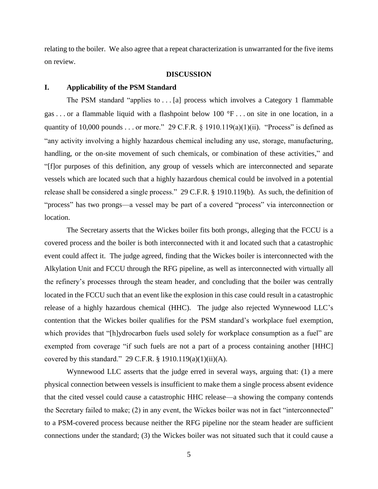relating to the boiler. We also agree that a repeat characterization is unwarranted for the five items on review.

### **DISCUSSION**

### **I. Applicability of the PSM Standard**

The PSM standard "applies to . . . [a] process which involves a Category 1 flammable gas . . . or a flammable liquid with a flashpoint below 100 °F . . . on site in one location, in a quantity of 10,000 pounds . . . or more." 29 C.F.R.  $\S$  1910.119(a)(1)(ii). "Process" is defined as "any activity involving a highly hazardous chemical including any use, storage, manufacturing, handling, or the on-site movement of such chemicals, or combination of these activities," and "[f]or purposes of this definition, any group of vessels which are interconnected and separate vessels which are located such that a highly hazardous chemical could be involved in a potential release shall be considered a single process." 29 C.F.R. § 1910.119(b). As such, the definition of "process" has two prongs—a vessel may be part of a covered "process" via interconnection or location.

The Secretary asserts that the Wickes boiler fits both prongs, alleging that the FCCU is a covered process and the boiler is both interconnected with it and located such that a catastrophic event could affect it. The judge agreed, finding that the Wickes boiler is interconnected with the Alkylation Unit and FCCU through the RFG pipeline, as well as interconnected with virtually all the refinery's processes through the steam header, and concluding that the boiler was centrally located in the FCCU such that an event like the explosion in this case could result in a catastrophic release of a highly hazardous chemical (HHC). The judge also rejected Wynnewood LLC's contention that the Wickes boiler qualifies for the PSM standard's workplace fuel exemption, which provides that "[h]ydrocarbon fuels used solely for workplace consumption as a fuel" are exempted from coverage "if such fuels are not a part of a process containing another [HHC] covered by this standard." 29 C.F.R.  $\S$  1910.119(a)(1)(ii)(A).

Wynnewood LLC asserts that the judge erred in several ways, arguing that: (1) a mere physical connection between vessels is insufficient to make them a single process absent evidence that the cited vessel could cause a catastrophic HHC release—a showing the company contends the Secretary failed to make; (2) in any event, the Wickes boiler was not in fact "interconnected" to a PSM-covered process because neither the RFG pipeline nor the steam header are sufficient connections under the standard; (3) the Wickes boiler was not situated such that it could cause a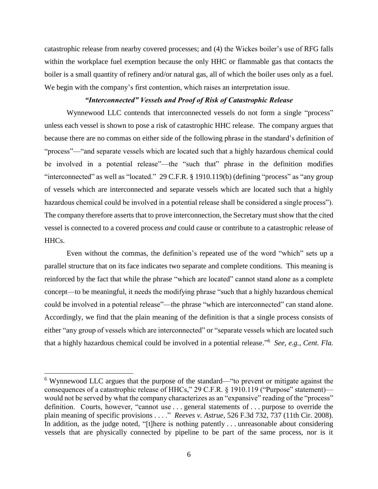catastrophic release from nearby covered processes; and (4) the Wickes boiler's use of RFG falls within the workplace fuel exemption because the only HHC or flammable gas that contacts the boiler is a small quantity of refinery and/or natural gas, all of which the boiler uses only as a fuel. We begin with the company's first contention, which raises an interpretation issue.

# *"Interconnected" Vessels and Proof of Risk of Catastrophic Release*

Wynnewood LLC contends that interconnected vessels do not form a single "process" unless each vessel is shown to pose a risk of catastrophic HHC release. The company argues that because there are no commas on either side of the following phrase in the standard's definition of "process"—"and separate vessels which are located such that a highly hazardous chemical could be involved in a potential release"—the "such that" phrase in the definition modifies "interconnected" as well as "located." 29 C.F.R. § 1910.119(b) (defining "process" as "any group of vessels which are interconnected and separate vessels which are located such that a highly hazardous chemical could be involved in a potential release shall be considered a single process"). The company therefore asserts that to prove interconnection, the Secretary must show that the cited vessel is connected to a covered process *and* could cause or contribute to a catastrophic release of HHCs.

Even without the commas, the definition's repeated use of the word "which" sets up a parallel structure that on its face indicates two separate and complete conditions. This meaning is reinforced by the fact that while the phrase "which are located" cannot stand alone as a complete concept—to be meaningful, it needs the modifying phrase "such that a highly hazardous chemical could be involved in a potential release"—the phrase "which are interconnected" can stand alone. Accordingly, we find that the plain meaning of the definition is that a single process consists of either "any group of vessels which are interconnected" or "separate vessels which are located such that a highly hazardous chemical could be involved in a potential release." 6 *See, e.g., Cent. Fla.* 

 $\overline{a}$ 

<sup>6</sup> Wynnewood LLC argues that the purpose of the standard—"to prevent or mitigate against the consequences of a catastrophic release of HHCs," 29 C.F.R. § 1910.119 ("Purpose" statement) would not be served by what the company characterizes as an "expansive" reading of the "process" definition. Courts, however, "cannot use . . . general statements of . . . purpose to override the plain meaning of specific provisions . . . ." *Reeves v. Astrue*, 526 F.3d 732, 737 (11th Cir. 2008). In addition, as the judge noted, "[t]here is nothing patently ... unreasonable about considering vessels that are physically connected by pipeline to be part of the same process, nor is it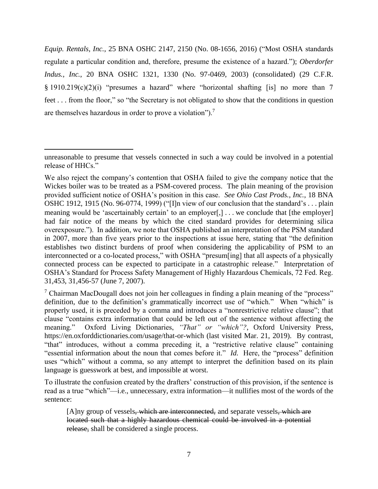*Equip. Rentals, Inc.*, 25 BNA OSHC 2147, 2150 (No. 08-1656, 2016) ("Most OSHA standards regulate a particular condition and, therefore, presume the existence of a hazard."); *Oberdorfer Indus., Inc.*, 20 BNA OSHC 1321, 1330 (No. 97-0469, 2003) (consolidated) (29 C.F.R. § 1910.219(c)(2)(i) "presumes a hazard" where "horizontal shafting [is] no more than 7 feet . . . from the floor," so "the Secretary is not obligated to show that the conditions in question are themselves hazardous in order to prove a violation").<sup>7</sup>

l

unreasonable to presume that vessels connected in such a way could be involved in a potential release of HHCs."

We also reject the company's contention that OSHA failed to give the company notice that the Wickes boiler was to be treated as a PSM-covered process. The plain meaning of the provision provided sufficient notice of OSHA's position in this case. *See Ohio Cast Prods., Inc.*, 18 BNA OSHC 1912, 1915 (No. 96-0774, 1999) ("[I]n view of our conclusion that the standard's . . . plain meaning would be 'ascertainably certain' to an employer[,] ... we conclude that [the employer] had fair notice of the means by which the cited standard provides for determining silica overexposure."). In addition, we note that OSHA published an interpretation of the PSM standard in 2007, more than five years prior to the inspections at issue here, stating that "the definition establishes two distinct burdens of proof when considering the applicability of PSM to an interconnected or a co-located process," with OSHA "presum[ing] that all aspects of a physically connected process can be expected to participate in a catastrophic release." Interpretation of OSHA's Standard for Process Safety Management of Highly Hazardous Chemicals, 72 Fed. Reg. 31,453, 31,456-57 (June 7, 2007).

<sup>&</sup>lt;sup>7</sup> Chairman MacDougall does not join her colleagues in finding a plain meaning of the "process" definition, due to the definition's grammatically incorrect use of "which." When "which" is properly used, it is preceded by a comma and introduces a "nonrestrictive relative clause"; that clause "contains extra information that could be left out of the sentence without affecting the meaning." Oxford Living Dictionaries, *"That" or "which"?*, Oxford University Press, https://en.oxforddictionaries.com/usage/that-or-which (last visited Mar. 21, 2019). By contrast, "that" introduces, without a comma preceding it, a "restrictive relative clause" containing "essential information about the noun that comes before it." *Id.* Here, the "process" definition uses "which" without a comma, so any attempt to interpret the definition based on its plain language is guesswork at best, and impossible at worst.

To illustrate the confusion created by the drafters' construction of this provision, if the sentence is read as a true "which"—i.e., unnecessary, extra information—it nullifies most of the words of the sentence:

<sup>[</sup>A]ny group of vessels, which are interconnected, and separate vessels, which are located such that a highly hazardous chemical could be involved in a potential release, shall be considered a single process.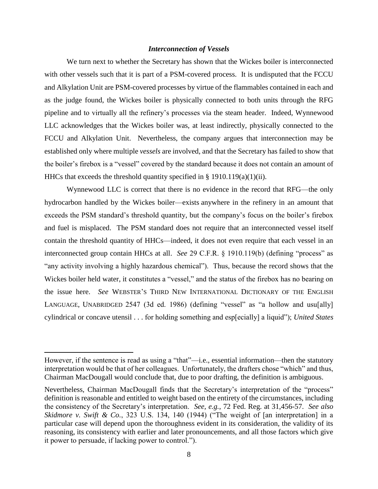## *Interconnection of Vessels*

We turn next to whether the Secretary has shown that the Wickes boiler is interconnected with other vessels such that it is part of a PSM-covered process. It is undisputed that the FCCU and Alkylation Unit are PSM-covered processes by virtue of the flammables contained in each and as the judge found, the Wickes boiler is physically connected to both units through the RFG pipeline and to virtually all the refinery's processes via the steam header. Indeed, Wynnewood LLC acknowledges that the Wickes boiler was, at least indirectly, physically connected to the FCCU and Alkylation Unit. Nevertheless, the company argues that interconnection may be established only where multiple *vessels* are involved, and that the Secretary has failed to show that the boiler's firebox is a "vessel" covered by the standard because it does not contain an amount of HHCs that exceeds the threshold quantity specified in § 1910.119(a)(1)(ii).

Wynnewood LLC is correct that there is no evidence in the record that RFG—the only hydrocarbon handled by the Wickes boiler—exists anywhere in the refinery in an amount that exceeds the PSM standard's threshold quantity, but the company's focus on the boiler's firebox and fuel is misplaced. The PSM standard does not require that an interconnected vessel itself contain the threshold quantity of HHCs—indeed, it does not even require that each vessel in an interconnected group contain HHCs at all. *See* 29 C.F.R. § 1910.119(b) (defining "process" as "any activity involving a highly hazardous chemical"). Thus, because the record shows that the Wickes boiler held water, it constitutes a "vessel," and the status of the firebox has no bearing on the issue here. *See* WEBSTER'S THIRD NEW INTERNATIONAL DICTIONARY OF THE ENGLISH LANGUAGE, UNABRIDGED 2547 (3d ed. 1986) (defining "vessel" as "a hollow and usu[ally] cylindrical or concave utensil . . . for holding something and esp[ecially] a liquid"); *United States* 

However, if the sentence is read as using a "that"—i.e., essential information—then the statutory interpretation would be that of her colleagues. Unfortunately, the drafters chose "which" and thus, Chairman MacDougall would conclude that, due to poor drafting, the definition is ambiguous.

Nevertheless, Chairman MacDougall finds that the Secretary's interpretation of the "process" definition is reasonable and entitled to weight based on the entirety of the circumstances, including the consistency of the Secretary's interpretation. *See, e.g.*, 72 Fed. Reg. at 31,456-57. *See also Skidmore v. Swift & Co.*, 323 U.S. 134, 140 (1944) ("The weight of [an interpretation] in a particular case will depend upon the thoroughness evident in its consideration, the validity of its reasoning, its consistency with earlier and later pronouncements, and all those factors which give it power to persuade, if lacking power to control.").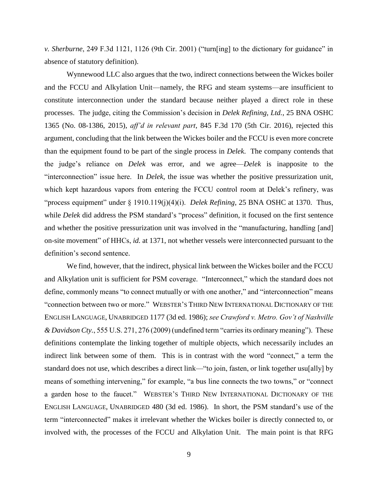*v. Sherburne*, 249 F.3d 1121, 1126 (9th Cir. 2001) ("turn[ing] to the dictionary for guidance" in absence of statutory definition).

Wynnewood LLC also argues that the two, indirect connections between the Wickes boiler and the FCCU and Alkylation Unit—namely, the RFG and steam systems—are insufficient to constitute interconnection under the standard because neither played a direct role in these processes. The judge, citing the Commission's decision in *Delek Refining, Ltd.*, 25 BNA OSHC 1365 (No. 08-1386, 2015), *aff'd in relevant part*, 845 F.3d 170 (5th Cir. 2016), rejected this argument, concluding that the link between the Wickes boiler and the FCCU is even more concrete than the equipment found to be part of the single process in *Delek*. The company contends that the judge's reliance on *Delek* was error, and we agree—*Delek* is inapposite to the "interconnection" issue here. In *Delek*, the issue was whether the positive pressurization unit, which kept hazardous vapors from entering the FCCU control room at Delek's refinery, was "process equipment" under § 1910.119(j)(4)(i). *Delek Refining*, 25 BNA OSHC at 1370. Thus, while *Delek* did address the PSM standard's "process" definition, it focused on the first sentence and whether the positive pressurization unit was involved in the "manufacturing, handling [and] on-site movement" of HHCs, *id.* at 1371, not whether vessels were interconnected pursuant to the definition's second sentence.

We find, however, that the indirect, physical link between the Wickes boiler and the FCCU and Alkylation unit is sufficient for PSM coverage. "Interconnect," which the standard does not define, commonly means "to connect mutually or with one another," and "interconnection" means "connection between two or more." WEBSTER'S THIRD NEW INTERNATIONAL DICTIONARY OF THE ENGLISH LANGUAGE, UNABRIDGED 1177 (3d ed. 1986); *see Crawford v. Metro. Gov't of Nashville & Davidson Cty.*, 555 U.S. 271, 276 (2009) (undefined term "carries its ordinary meaning"). These definitions contemplate the linking together of multiple objects, which necessarily includes an indirect link between some of them. This is in contrast with the word "connect," a term the standard does not use, which describes a direct link—"to join, fasten, or link together usu[ally] by means of something intervening," for example, "a bus line connects the two towns," or "connect a garden hose to the faucet." WEBSTER'S THIRD NEW INTERNATIONAL DICTIONARY OF THE ENGLISH LANGUAGE, UNABRIDGED 480 (3d ed. 1986). In short, the PSM standard's use of the term "interconnected" makes it irrelevant whether the Wickes boiler is directly connected to, or involved with, the processes of the FCCU and Alkylation Unit. The main point is that RFG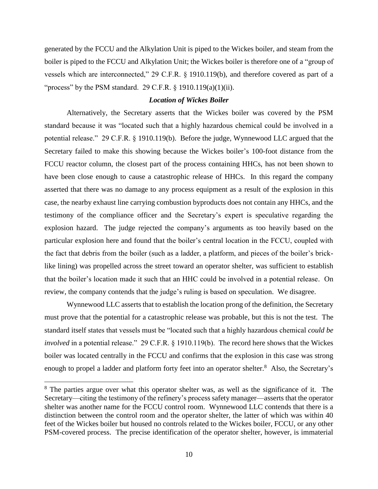generated by the FCCU and the Alkylation Unit is piped to the Wickes boiler, and steam from the boiler is piped to the FCCU and Alkylation Unit; the Wickes boiler is therefore one of a "group of vessels which are interconnected," 29 C.F.R. § 1910.119(b), and therefore covered as part of a "process" by the PSM standard. 29 C.F.R. § 1910.119(a)(1)(ii).

# *Location of Wickes Boiler*

Alternatively, the Secretary asserts that the Wickes boiler was covered by the PSM standard because it was "located such that a highly hazardous chemical could be involved in a potential release." 29 C.F.R. § 1910.119(b). Before the judge, Wynnewood LLC argued that the Secretary failed to make this showing because the Wickes boiler's 100-foot distance from the FCCU reactor column, the closest part of the process containing HHCs, has not been shown to have been close enough to cause a catastrophic release of HHCs. In this regard the company asserted that there was no damage to any process equipment as a result of the explosion in this case, the nearby exhaust line carrying combustion byproducts does not contain any HHCs, and the testimony of the compliance officer and the Secretary's expert is speculative regarding the explosion hazard. The judge rejected the company's arguments as too heavily based on the particular explosion here and found that the boiler's central location in the FCCU, coupled with the fact that debris from the boiler (such as a ladder, a platform, and pieces of the boiler's bricklike lining) was propelled across the street toward an operator shelter, was sufficient to establish that the boiler's location made it such that an HHC could be involved in a potential release. On review, the company contends that the judge's ruling is based on speculation. We disagree.

Wynnewood LLC asserts that to establish the location prong of the definition, the Secretary must prove that the potential for a catastrophic release was probable, but this is not the test. The standard itself states that vessels must be "located such that a highly hazardous chemical *could be involved* in a potential release." 29 C.F.R. § 1910.119(b). The record here shows that the Wickes boiler was located centrally in the FCCU and confirms that the explosion in this case was strong enough to propel a ladder and platform forty feet into an operator shelter.<sup>8</sup> Also, the Secretary's

<sup>&</sup>lt;sup>8</sup> The parties argue over what this operator shelter was, as well as the significance of it. The Secretary—citing the testimony of the refinery's process safety manager—asserts that the operator shelter was another name for the FCCU control room. Wynnewood LLC contends that there is a distinction between the control room and the operator shelter, the latter of which was within 40 feet of the Wickes boiler but housed no controls related to the Wickes boiler, FCCU, or any other PSM-covered process. The precise identification of the operator shelter, however, is immaterial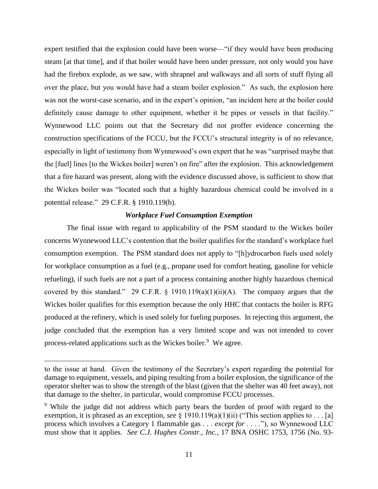expert testified that the explosion could have been worse—"if they would have been producing steam [at that time], and if that boiler would have been under pressure, not only would you have had the firebox explode, as we saw, with shrapnel and walkways and all sorts of stuff flying all over the place, but you would have had a steam boiler explosion." As such, the explosion here was not the worst-case scenario, and in the expert's opinion, "an incident here at the boiler could definitely cause damage to other equipment, whether it be pipes or vessels in that facility." Wynnewood LLC points out that the Secretary did not proffer evidence concerning the construction specifications of the FCCU, but the FCCU's structural integrity is of no relevance, especially in light of testimony from Wynnewood's own expert that he was "surprised maybe that the [fuel] lines [to the Wickes boiler] weren't on fire" after the explosion. This acknowledgement that a fire hazard was present, along with the evidence discussed above, is sufficient to show that the Wickes boiler was "located such that a highly hazardous chemical could be involved in a potential release." 29 C.F.R. § 1910.119(b).

## *Workplace Fuel Consumption Exemption*

The final issue with regard to applicability of the PSM standard to the Wickes boiler concerns Wynnewood LLC's contention that the boiler qualifies for the standard's workplace fuel consumption exemption. The PSM standard does not apply to "[h]ydrocarbon fuels used solely for workplace consumption as a fuel (e.g., propane used for comfort heating, gasoline for vehicle refueling), if such fuels are not a part of a process containing another highly hazardous chemical covered by this standard." 29 C.F.R. § 1910.119(a)(1)(ii)(A). The company argues that the Wickes boiler qualifies for this exemption because the only HHC that contacts the boiler is RFG produced at the refinery, which is used solely for fueling purposes. In rejecting this argument, the judge concluded that the exemption has a very limited scope and was not intended to cover process-related applications such as the Wickes boiler.<sup>9</sup> We agree.

l

to the issue at hand. Given the testimony of the Secretary's expert regarding the potential for damage to equipment, vessels, and piping resulting from a boiler explosion, the significance of the operator shelter was to show the strength of the blast (given that the shelter was 40 feet away), not that damage to the shelter, in particular, would compromise FCCU processes.

<sup>&</sup>lt;sup>9</sup> While the judge did not address which party bears the burden of proof with regard to the exemption, it is phrased as an exception, *see* § 1910.119(a)(1)(ii) ("This section applies to . . . [a] process which involves a Category 1 flammable gas . . . *except for* . . . ."), so Wynnewood LLC must show that it applies. *See C.J. Hughes Constr., Inc.*, 17 BNA OSHC 1753, 1756 (No. 93-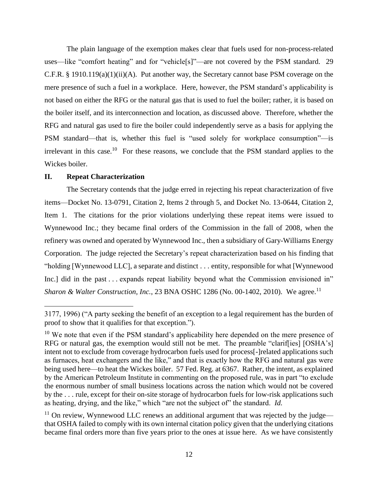The plain language of the exemption makes clear that fuels used for non-process-related uses—like "comfort heating" and for "vehicle[s]"—are not covered by the PSM standard. 29 C.F.R. § 1910.119(a)(1)(ii)(A). Put another way, the Secretary cannot base PSM coverage on the mere presence of such a fuel in a workplace. Here, however, the PSM standard's applicability is not based on either the RFG or the natural gas that is used to fuel the boiler; rather, it is based on the boiler itself, and its interconnection and location, as discussed above. Therefore, whether the RFG and natural gas used to fire the boiler could independently serve as a basis for applying the PSM standard—that is, whether this fuel is "used solely for workplace consumption"—is irrelevant in this case.<sup>10</sup> For these reasons, we conclude that the PSM standard applies to the Wickes boiler.

# **II. Repeat Characterization**

 $\overline{\phantom{a}}$ 

The Secretary contends that the judge erred in rejecting his repeat characterization of five items—Docket No. 13-0791, Citation 2, Items 2 through 5, and Docket No. 13-0644, Citation 2, Item 1. The citations for the prior violations underlying these repeat items were issued to Wynnewood Inc.; they became final orders of the Commission in the fall of 2008, when the refinery was owned and operated by Wynnewood Inc., then a subsidiary of Gary-Williams Energy Corporation. The judge rejected the Secretary's repeat characterization based on his finding that "holding [Wynnewood LLC], a separate and distinct . . . entity, responsible for what [Wynnewood Inc.] did in the past . . . expands repeat liability beyond what the Commission envisioned in" *Sharon & Walter Construction, Inc., 23 BNA OSHC 1286 (No. 00-1402, 2010). We agree.*<sup>11</sup>

<sup>3177, 1996) (&</sup>quot;A party seeking the benefit of an exception to a legal requirement has the burden of proof to show that it qualifies for that exception.").

 $10$  We note that even if the PSM standard's applicability here depended on the mere presence of RFG or natural gas, the exemption would still not be met. The preamble "clariffies] [OSHA's] intent not to exclude from coverage hydrocarbon fuels used for process[-]related applications such as furnaces, heat exchangers and the like," and that is exactly how the RFG and natural gas were being used here—to heat the Wickes boiler. 57 Fed. Reg. at 6367. Rather, the intent, as explained by the American Petroleum Institute in commenting on the proposed rule, was in part "to exclude the enormous number of small business locations across the nation which would not be covered by the . . . rule, except for their on-site storage of hydrocarbon fuels for low-risk applications such as heating, drying, and the like," which "are not the subject of" the standard. *Id.*

 $11$  On review, Wynnewood LLC renews an additional argument that was rejected by the judge that OSHA failed to comply with its own internal citation policy given that the underlying citations became final orders more than five years prior to the ones at issue here. As we have consistently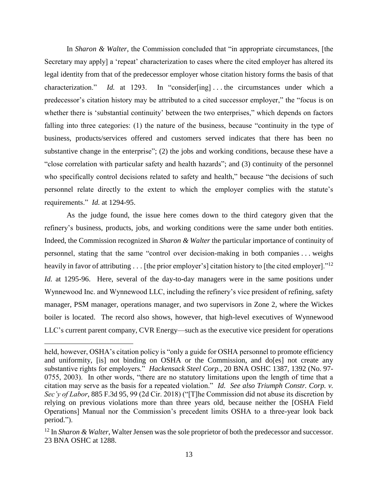In *Sharon & Walter*, the Commission concluded that "in appropriate circumstances, [the Secretary may apply] a 'repeat' characterization to cases where the cited employer has altered its legal identity from that of the predecessor employer whose citation history forms the basis of that characterization." *Id.* at 1293. In "consider[ing]...the circumstances under which a predecessor's citation history may be attributed to a cited successor employer," the "focus is on whether there is 'substantial continuity' between the two enterprises," which depends on factors falling into three categories: (1) the nature of the business, because "continuity in the type of business, products/services offered and customers served indicates that there has been no substantive change in the enterprise"; (2) the jobs and working conditions, because these have a "close correlation with particular safety and health hazards"; and (3) continuity of the personnel who specifically control decisions related to safety and health," because "the decisions of such personnel relate directly to the extent to which the employer complies with the statute's requirements." *Id.* at 1294-95.

As the judge found, the issue here comes down to the third category given that the refinery's business, products, jobs, and working conditions were the same under both entities. Indeed, the Commission recognized in *Sharon & Walter* the particular importance of continuity of personnel, stating that the same "control over decision-making in both companies . . . weighs heavily in favor of attributing . . . [the prior employer's] citation history to [the cited employer]."<sup>12</sup> *Id.* at 1295-96. Here, several of the day-to-day managers were in the same positions under Wynnewood Inc. and Wynnewood LLC, including the refinery's vice president of refining, safety manager, PSM manager, operations manager, and two supervisors in Zone 2, where the Wickes boiler is located. The record also shows, however, that high-level executives of Wynnewood LLC's current parent company, CVR Energy—such as the executive vice president for operations

held, however, OSHA's citation policy is "only a guide for OSHA personnel to promote efficiency and uniformity, [is] not binding on OSHA or the Commission, and do[es] not create any substantive rights for employers." *Hackensack Steel Corp.*, 20 BNA OSHC 1387, 1392 (No. 97- 0755, 2003). In other words, "there are no statutory limitations upon the length of time that a citation may serve as the basis for a repeated violation." *Id. See also Triumph Constr. Corp. v. Sec'y of Labor*, 885 F.3d 95, 99 (2d Cir. 2018) ("[T]he Commission did not abuse its discretion by relying on previous violations more than three years old, because neither the [OSHA Field Operations] Manual nor the Commission's precedent limits OSHA to a three-year look back period.").

<sup>12</sup> In *Sharon & Walter*, Walter Jensen was the sole proprietor of both the predecessor and successor. 23 BNA OSHC at 1288.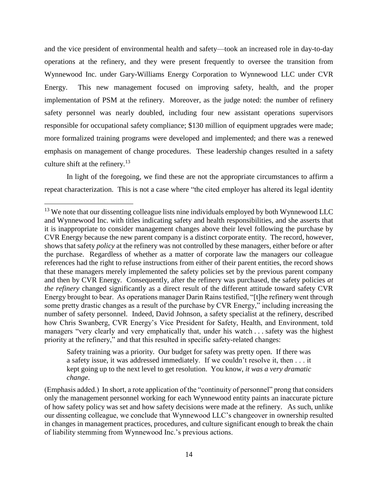and the vice president of environmental health and safety—took an increased role in day-to-day operations at the refinery, and they were present frequently to oversee the transition from Wynnewood Inc. under Gary-Williams Energy Corporation to Wynnewood LLC under CVR Energy. This new management focused on improving safety, health, and the proper implementation of PSM at the refinery. Moreover, as the judge noted: the number of refinery safety personnel was nearly doubled, including four new assistant operations supervisors responsible for occupational safety compliance; \$130 million of equipment upgrades were made; more formalized training programs were developed and implemented; and there was a renewed emphasis on management of change procedures. These leadership changes resulted in a safety culture shift at the refinery.<sup>13</sup>

In light of the foregoing, we find these are not the appropriate circumstances to affirm a repeat characterization. This is not a case where "the cited employer has altered its legal identity

 $\overline{\phantom{a}}$ 

Safety training was a priority. Our budget for safety was pretty open. If there was a safety issue, it was addressed immediately. If we couldn't resolve it, then . . . it kept going up to the next level to get resolution. You know, *it was a very dramatic change*.

<sup>&</sup>lt;sup>13</sup> We note that our dissenting colleague lists nine individuals employed by both Wynnewood LLC and Wynnewood Inc. with titles indicating safety and health responsibilities, and she asserts that it is inappropriate to consider management changes above their level following the purchase by CVR Energy because the new parent company is a distinct corporate entity. The record, however, shows that safety *policy* at the refinery was not controlled by these managers, either before or after the purchase. Regardless of whether as a matter of corporate law the managers our colleague references had the right to refuse instructions from either of their parent entities, the record shows that these managers merely implemented the safety policies set by the previous parent company and then by CVR Energy. Consequently, after the refinery was purchased, the safety policies *at the refinery* changed significantly as a direct result of the different attitude toward safety CVR Energy brought to bear. As operations manager Darin Rains testified, "[t]he refinery went through some pretty drastic changes as a result of the purchase by CVR Energy," including increasing the number of safety personnel. Indeed, David Johnson, a safety specialist at the refinery, described how Chris Swanberg, CVR Energy's Vice President for Safety, Health, and Environment, told managers "very clearly and very emphatically that, under his watch . . . safety was the highest priority at the refinery," and that this resulted in specific safety-related changes:

<sup>(</sup>Emphasis added.) In short, a rote application of the "continuity of personnel" prong that considers only the management personnel working for each Wynnewood entity paints an inaccurate picture of how safety policy was set and how safety decisions were made at the refinery. As such, unlike our dissenting colleague, we conclude that Wynnewood LLC's changeover in ownership resulted in changes in management practices, procedures, and culture significant enough to break the chain of liability stemming from Wynnewood Inc.'s previous actions.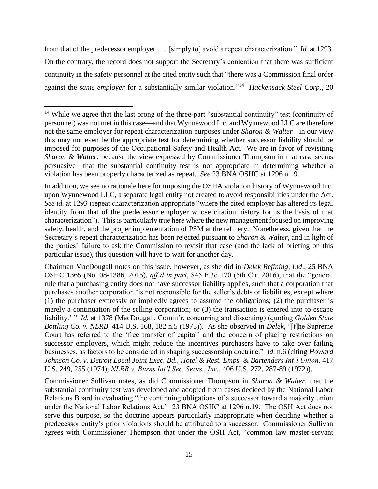from that of the predecessor employer . . . [simply to] avoid a repeat characterization." *Id.* at 1293. On the contrary, the record does not support the Secretary's contention that there was sufficient continuity in the safety personnel at the cited entity such that "there was a Commission final order against the *same employer* for a substantially similar violation." <sup>14</sup> *Hackensack Steel Corp.*, 20

 $\overline{\phantom{a}}$ 

In addition, we see no rationale here for imposing the OSHA violation history of Wynnewood Inc. upon Wynnewood LLC, a separate legal entity not created to avoid responsibilities under the Act. *See id.* at 1293 (repeat characterization appropriate "where the cited employer has altered its legal identity from that of the predecessor employer whose citation history forms the basis of that characterization"). This is particularly true here where the new management focused on improving safety, health, and the proper implementation of PSM at the refinery. Nonetheless, given that the Secretary's repeat characterization has been rejected pursuant to *Sharon & Walter*, and in light of the parties' failure to ask the Commission to revisit that case (and the lack of briefing on this particular issue), this question will have to wait for another day.

Chairman MacDougall notes on this issue, however, as she did in *Delek Refining, Ltd*., 25 BNA OSHC 1365 (No. 08-1386, 2015), *aff'd in part*, 845 F.3d 170 (5th Cir. 2016), that the "general rule that a purchasing entity does not have successor liability applies, such that a corporation that purchases another corporation 'is not responsible for the seller's debts or liabilities, except where (1) the purchaser expressly or impliedly agrees to assume the obligations; (2) the purchaser is merely a continuation of the selling corporation; or (3) the transaction is entered into to escape liability.' " *Id.* at 1378 (MacDougall, Comm'r, concurring and dissenting) (quoting *Golden State Bottling Co. v. NLRB*, 414 U.S. 168, 182 n.5 (1973)). As she observed in *Delek*, "[t]he Supreme Court has referred to the 'free transfer of capital' and the concern of placing restrictions on successor employers, which might reduce the incentives purchasers have to take over failing businesses, as factors to be considered in shaping successorship doctrine." *Id.* n.6 (citing *Howard Johnson Co. v. Detroit Local Joint Exec. Bd., Hotel & Rest. Emps. & Bartenders Int'l Union*, 417 U.S. 249, 255 (1974); *NLRB v. Burns Int'l Sec. Servs., Inc.*, 406 U.S. 272, 287-89 (1972)).

Commissioner Sullivan notes, as did Commissioner Thompson in *Sharon & Walter*, that the substantial continuity test was developed and adopted from cases decided by the National Labor Relations Board in evaluating "the continuing obligations of a successor toward a majority union under the National Labor Relations Act." 23 BNA OSHC at 1296 n.19. The OSH Act does not serve this purpose, so the doctrine appears particularly inappropriate when deciding whether a predecessor entity's prior violations should be attributed to a successor. Commissioner Sullivan agrees with Commissioner Thompson that under the OSH Act, "common law master-servant

<sup>&</sup>lt;sup>14</sup> While we agree that the last prong of the three-part "substantial continuity" test (continuity of personnel) was not met in this case—and that Wynnewood Inc. and Wynnewood LLC are therefore not the same employer for repeat characterization purposes under *Sharon & Walter—*in our view this may not even be the appropriate test for determining whether successor liability should be imposed for purposes of the Occupational Safety and Health Act. We are in favor of revisiting *Sharon & Walter*, because the view expressed by Commissioner Thompson in that case seems persuasive—that the substantial continuity test is not appropriate in determining whether a violation has been properly characterized as repeat. *See* 23 BNA OSHC at 1296 n.19.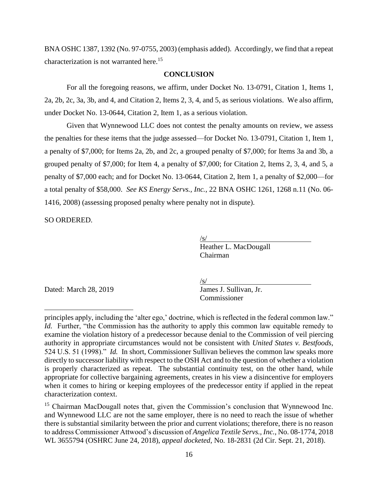BNA OSHC 1387, 1392 (No. 97-0755, 2003) (emphasis added). Accordingly, we find that a repeat characterization is not warranted here. 15

# **CONCLUSION**

For all the foregoing reasons, we affirm, under Docket No. 13-0791, Citation 1, Items 1, 2a, 2b, 2c, 3a, 3b, and 4, and Citation 2, Items 2, 3, 4, and 5, as serious violations. We also affirm, under Docket No. 13-0644, Citation 2, Item 1, as a serious violation.

Given that Wynnewood LLC does not contest the penalty amounts on review, we assess the penalties for these items that the judge assessed—for Docket No. 13-0791, Citation 1, Item 1, a penalty of \$7,000; for Items 2a, 2b, and 2c, a grouped penalty of \$7,000; for Items 3a and 3b, a grouped penalty of \$7,000; for Item 4, a penalty of \$7,000; for Citation 2, Items 2, 3, 4, and 5, a penalty of \$7,000 each; and for Docket No. 13-0644, Citation 2, Item 1, a penalty of \$2,000—for a total penalty of \$58,000. *See KS Energy Servs., Inc.*, 22 BNA OSHC 1261, 1268 n.11 (No. 06- 1416, 2008) (assessing proposed penalty where penalty not in dispute).

SO ORDERED.

 $\sqrt{s/}$ Heather L. MacDougall Chairman

Dated: March 28, 2019

 $\overline{\phantom{a}}$ 

 $\frac{S}{S}$ <br>James J. Sullivan, Jr. Commissioner

principles apply, including the 'alter ego,' doctrine, which is reflected in the federal common law." *Id.* Further, "the Commission has the authority to apply this common law equitable remedy to examine the violation history of a predecessor because denial to the Commission of veil piercing authority in appropriate circumstances would not be consistent with *United States v. Bestfoods*, 524 U.S. 51 (1998)." *Id.* In short, Commissioner Sullivan believes the common law speaks more directly to successor liability with respect to the OSH Act and to the question of whether a violation is properly characterized as repeat. The substantial continuity test, on the other hand, while appropriate for collective bargaining agreements, creates in his view a disincentive for employers when it comes to hiring or keeping employees of the predecessor entity if applied in the repeat characterization context.

<sup>&</sup>lt;sup>15</sup> Chairman MacDougall notes that, given the Commission's conclusion that Wynnewood Inc. and Wynnewood LLC are not the same employer, there is no need to reach the issue of whether there is substantial similarity between the prior and current violations; therefore, there is no reason to address Commissioner Attwood's discussion of *Angelica Textile Servs., Inc.*, No. 08-1774, 2018 WL 3655794 (OSHRC June 24, 2018), *appeal docketed*, No. 18-2831 (2d Cir. Sept. 21, 2018).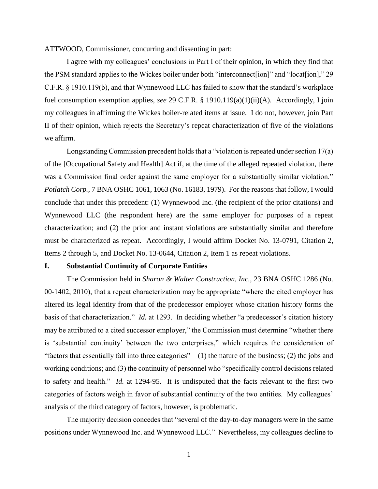ATTWOOD, Commissioner, concurring and dissenting in part:

I agree with my colleagues' conclusions in Part I of their opinion, in which they find that the PSM standard applies to the Wickes boiler under both "interconnect[ion]" and "locat[ion]," 29 C.F.R. § 1910.119(b), and that Wynnewood LLC has failed to show that the standard's workplace fuel consumption exemption applies, *see* 29 C.F.R. § 1910.119(a)(1)(ii)(A). Accordingly, I join my colleagues in affirming the Wickes boiler-related items at issue. I do not, however, join Part II of their opinion, which rejects the Secretary's repeat characterization of five of the violations we affirm.

Longstanding Commission precedent holds that a "violation is repeated under section 17(a) of the [Occupational Safety and Health] Act if, at the time of the alleged repeated violation, there was a Commission final order against the same employer for a substantially similar violation." *Potlatch Corp.*, 7 BNA OSHC 1061, 1063 (No. 16183, 1979). For the reasons that follow, I would conclude that under this precedent: (1) Wynnewood Inc. (the recipient of the prior citations) and Wynnewood LLC (the respondent here) are the same employer for purposes of a repeat characterization; and (2) the prior and instant violations are substantially similar and therefore must be characterized as repeat. Accordingly, I would affirm Docket No. 13-0791, Citation 2, Items 2 through 5, and Docket No. 13-0644, Citation 2, Item 1 as repeat violations.

# **I. Substantial Continuity of Corporate Entities**

The Commission held in *Sharon & Walter Construction, Inc.*, 23 BNA OSHC 1286 (No. 00-1402, 2010), that a repeat characterization may be appropriate "where the cited employer has altered its legal identity from that of the predecessor employer whose citation history forms the basis of that characterization." *Id.* at 1293. In deciding whether "a predecessor's citation history may be attributed to a cited successor employer," the Commission must determine "whether there is 'substantial continuity' between the two enterprises," which requires the consideration of "factors that essentially fall into three categories"— $(1)$  the nature of the business;  $(2)$  the jobs and working conditions; and (3) the continuity of personnel who "specifically control decisions related to safety and health." *Id.* at 1294-95. It is undisputed that the facts relevant to the first two categories of factors weigh in favor of substantial continuity of the two entities. My colleagues' analysis of the third category of factors, however, is problematic.

The majority decision concedes that "several of the day-to-day managers were in the same positions under Wynnewood Inc. and Wynnewood LLC." Nevertheless, my colleagues decline to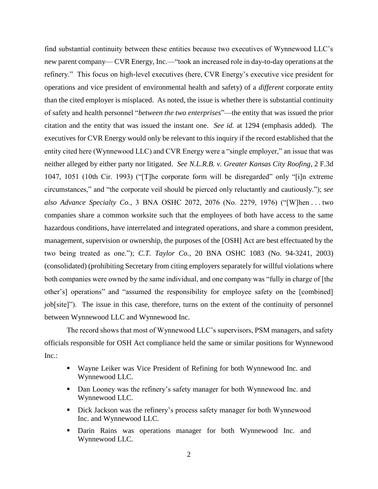find substantial continuity between these entities because two executives of Wynnewood LLC's new parent company— CVR Energy, Inc.—"took an increased role in day-to-day operations at the refinery." This focus on high-level executives (here, CVR Energy's executive vice president for operations and vice president of environmental health and safety) of a *different* corporate entity than the cited employer is misplaced. As noted, the issue is whether there is substantial continuity of safety and health personnel "*between the two enterprises*"—the entity that was issued the prior citation and the entity that was issued the instant one. *See id.* at 1294 (emphasis added). The executives for CVR Energy would only be relevant to this inquiry if the record established that the entity cited here (Wynnewood LLC) and CVR Energy were a "single employer," an issue that was neither alleged by either party nor litigated. *See N.L.R.B. v. Greater Kansas City Roofing*, 2 F.3d 1047, 1051 (10th Cir. 1993) ("[T]he corporate form will be disregarded" only "[i]n extreme circumstances," and "the corporate veil should be pierced only reluctantly and cautiously."); *see also Advance Specialty Co.*, 3 BNA OSHC 2072, 2076 (No. 2279, 1976) ("[W]hen . . . two companies share a common worksite such that the employees of both have access to the same hazardous conditions, have interrelated and integrated operations, and share a common president, management, supervision or ownership, the purposes of the [OSH] Act are best effectuated by the two being treated as one."); *C.T. Taylor Co.*, 20 BNA OSHC 1083 (No. 94-3241, 2003) (consolidated) (prohibiting Secretary from citing employers separately for willful violations where both companies were owned by the same individual, and one company was "fully in charge of [the other's] operations" and "assumed the responsibility for employee safety on the [combined] job[site]"). The issue in this case, therefore, turns on the extent of the continuity of personnel between Wynnewood LLC and Wynnewood Inc.

The record shows that most of Wynnewood LLC's supervisors, PSM managers, and safety officials responsible for OSH Act compliance held the same or similar positions for Wynnewood Inc.:

- Wayne Leiker was Vice President of Refining for both Wynnewood Inc. and Wynnewood LLC.
- Dan Looney was the refinery's safety manager for both Wynnewood Inc. and Wynnewood LLC.
- **•** Dick Jackson was the refinery's process safety manager for both Wynnewood Inc. and Wynnewood LLC.
- Darin Rains was operations manager for both Wynnewood Inc. and Wynnewood LLC.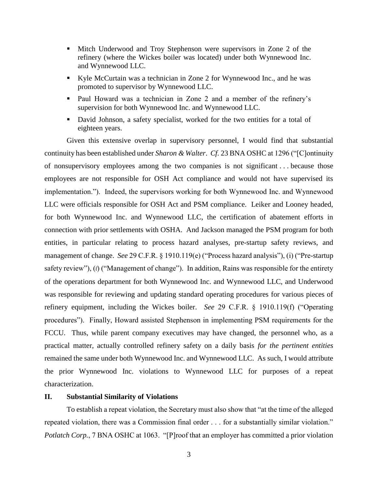- **EXECUTE:** Mitch Underwood and Troy Stephenson were supervisors in Zone 2 of the refinery (where the Wickes boiler was located) under both Wynnewood Inc. and Wynnewood LLC.
- Kyle McCurtain was a technician in Zone 2 for Wynnewood Inc., and he was promoted to supervisor by Wynnewood LLC.
- Paul Howard was a technician in Zone 2 and a member of the refinery's supervision for both Wynnewood Inc. and Wynnewood LLC.
- David Johnson, a safety specialist, worked for the two entities for a total of eighteen years.

Given this extensive overlap in supervisory personnel, I would find that substantial continuity has been established under *Sharon & Walter*. *Cf.* 23 BNA OSHC at 1296 ("[C]ontinuity of nonsupervisory employees among the two companies is not significant . . . because those employees are not responsible for OSH Act compliance and would not have supervised its implementation."). Indeed, the supervisors working for both Wynnewood Inc. and Wynnewood LLC were officials responsible for OSH Act and PSM compliance. Leiker and Looney headed, for both Wynnewood Inc. and Wynnewood LLC, the certification of abatement efforts in connection with prior settlements with OSHA. And Jackson managed the PSM program for both entities, in particular relating to process hazard analyses, pre-startup safety reviews, and management of change. *See* 29 C.F.R. § 1910.119(e) ("Process hazard analysis"), (i) ("Pre-startup safety review"),  $(l)$  ("Management of change"). In addition, Rains was responsible for the entirety of the operations department for both Wynnewood Inc. and Wynnewood LLC, and Underwood was responsible for reviewing and updating standard operating procedures for various pieces of refinery equipment, including the Wickes boiler. *See* 29 C.F.R. § 1910.119(f) ("Operating procedures"). Finally, Howard assisted Stephenson in implementing PSM requirements for the FCCU. Thus, while parent company executives may have changed, the personnel who, as a practical matter, actually controlled refinery safety on a daily basis *for the pertinent entities* remained the same under both Wynnewood Inc. and Wynnewood LLC. As such, I would attribute the prior Wynnewood Inc. violations to Wynnewood LLC for purposes of a repeat characterization.

# **II. Substantial Similarity of Violations**

To establish a repeat violation, the Secretary must also show that "at the time of the alleged repeated violation, there was a Commission final order . . . for a substantially similar violation." *Potlatch Corp.*, 7 BNA OSHC at 1063. "[P]roof that an employer has committed a prior violation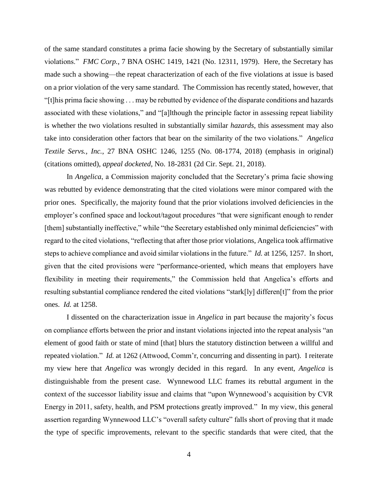of the same standard constitutes a prima facie showing by the Secretary of substantially similar violations." *FMC Corp.*, 7 BNA OSHC 1419, 1421 (No. 12311, 1979). Here, the Secretary has made such a showing—the repeat characterization of each of the five violations at issue is based on a prior violation of the very same standard. The Commission has recently stated, however, that "[t]his prima facie showing . . . may be rebutted by evidence of the disparate conditions and hazards associated with these violations," and "[a]lthough the principle factor in assessing repeat liability is whether the two violations resulted in substantially similar *hazards*, this assessment may also take into consideration other factors that bear on the similarity of the two violations." *Angelica Textile Servs., Inc.*, 27 BNA OSHC 1246, 1255 (No. 08-1774, 2018) (emphasis in original) (citations omitted), *appeal docketed*, No. 18-2831 (2d Cir. Sept. 21, 2018).

In *Angelica*, a Commission majority concluded that the Secretary's prima facie showing was rebutted by evidence demonstrating that the cited violations were minor compared with the prior ones. Specifically, the majority found that the prior violations involved deficiencies in the employer's confined space and lockout/tagout procedures "that were significant enough to render [them] substantially ineffective," while "the Secretary established only minimal deficiencies" with regard to the cited violations, "reflecting that after those prior violations, Angelica took affirmative steps to achieve compliance and avoid similar violations in the future." *Id.* at 1256, 1257. In short, given that the cited provisions were "performance-oriented, which means that employers have flexibility in meeting their requirements," the Commission held that Angelica's efforts and resulting substantial compliance rendered the cited violations "stark[ly] differen[t]" from the prior ones. *Id.* at 1258.

I dissented on the characterization issue in *Angelica* in part because the majority's focus on compliance efforts between the prior and instant violations injected into the repeat analysis "an element of good faith or state of mind [that] blurs the statutory distinction between a willful and repeated violation." *Id.* at 1262 (Attwood, Comm'r, concurring and dissenting in part). I reiterate my view here that *Angelica* was wrongly decided in this regard. In any event, *Angelica* is distinguishable from the present case. Wynnewood LLC frames its rebuttal argument in the context of the successor liability issue and claims that "upon Wynnewood's acquisition by CVR Energy in 2011, safety, health, and PSM protections greatly improved." In my view, this general assertion regarding Wynnewood LLC's "overall safety culture" falls short of proving that it made the type of specific improvements, relevant to the specific standards that were cited, that the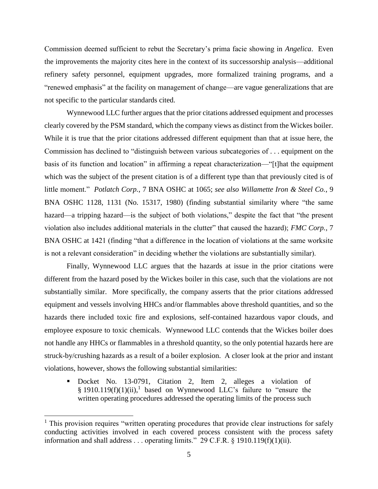Commission deemed sufficient to rebut the Secretary's prima facie showing in *Angelica*. Even the improvements the majority cites here in the context of its successorship analysis—additional refinery safety personnel, equipment upgrades, more formalized training programs, and a "renewed emphasis" at the facility on management of change—are vague generalizations that are not specific to the particular standards cited.

Wynnewood LLC further argues that the prior citations addressed equipment and processes clearly covered by the PSM standard, which the company views as distinct from the Wickes boiler. While it is true that the prior citations addressed different equipment than that at issue here, the Commission has declined to "distinguish between various subcategories of . . . equipment on the basis of its function and location" in affirming a repeat characterization—"[t]hat the equipment which was the subject of the present citation is of a different type than that previously cited is of little moment." *Potlatch Corp.*, 7 BNA OSHC at 1065; *see also Willamette Iron & Steel Co.*, 9 BNA OSHC 1128, 1131 (No. 15317, 1980) (finding substantial similarity where "the same hazard—a tripping hazard—is the subject of both violations," despite the fact that "the present violation also includes additional materials in the clutter" that caused the hazard); *FMC Corp.*, 7 BNA OSHC at 1421 (finding "that a difference in the location of violations at the same worksite is not a relevant consideration" in deciding whether the violations are substantially similar).

Finally, Wynnewood LLC argues that the hazards at issue in the prior citations were different from the hazard posed by the Wickes boiler in this case, such that the violations are not substantially similar. More specifically, the company asserts that the prior citations addressed equipment and vessels involving HHCs and/or flammables above threshold quantities, and so the hazards there included toxic fire and explosions, self-contained hazardous vapor clouds, and employee exposure to toxic chemicals. Wynnewood LLC contends that the Wickes boiler does not handle any HHCs or flammables in a threshold quantity, so the only potential hazards here are struck-by/crushing hazards as a result of a boiler explosion. A closer look at the prior and instant violations, however, shows the following substantial similarities:

▪ Docket No. 13-0791, Citation 2, Item 2, alleges a violation of § 1910.119 $(f)(1)(ii)$ ,<sup>1</sup> based on Wynnewood LLC's failure to "ensure the written operating procedures addressed the operating limits of the process such

l

 $<sup>1</sup>$  This provision requires "written operating procedures that provide clear instructions for safely</sup> conducting activities involved in each covered process consistent with the process safety information and shall address . . . operating limits." 29 C.F.R.  $\S$  1910.119(f)(1)(ii).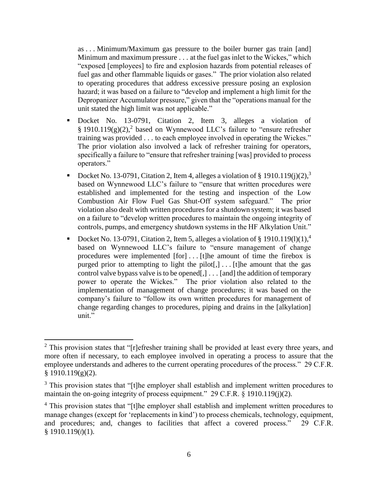as . . . Minimum/Maximum gas pressure to the boiler burner gas train [and] Minimum and maximum pressure . . . at the fuel gas inlet to the Wickes," which "exposed [employees] to fire and explosion hazards from potential releases of fuel gas and other flammable liquids or gases." The prior violation also related to operating procedures that address excessive pressure posing an explosion hazard; it was based on a failure to "develop and implement a high limit for the Depropanizer Accumulator pressure," given that the "operations manual for the unit stated the high limit was not applicable."

- Docket No. 13-0791, Citation 2, Item 3, alleges a violation of § 1910.119 $(g)(2)$ ,<sup>2</sup> based on Wynnewood LLC's failure to "ensure refresher training was provided . . . to each employee involved in operating the Wickes." The prior violation also involved a lack of refresher training for operators, specifically a failure to "ensure that refresher training [was] provided to process operators."
- Docket No. 13-0791, Citation 2, Item 4, alleges a violation of § 1910.119(j)(2),<sup>3</sup> based on Wynnewood LLC's failure to "ensure that written procedures were established and implemented for the testing and inspection of the Low Combustion Air Flow Fuel Gas Shut-Off system safeguard." The prior violation also dealt with written procedures for a shutdown system; it was based on a failure to "develop written procedures to maintain the ongoing integrity of controls, pumps, and emergency shutdown systems in the HF Alkylation Unit."
- Docket No. 13-0791, Citation 2, Item 5, alleges a violation of § 1910.119(1)(1),<sup>4</sup> based on Wynnewood LLC's failure to "ensure management of change procedures were implemented [for] . . . [t]he amount of time the firebox is purged prior to attempting to light the pilot[,] . . . [t]he amount that the gas control valve bypass valve is to be opened[,] . . . [and] the addition of temporary power to operate the Wickes." The prior violation also related to the implementation of management of change procedures; it was based on the company's failure to "follow its own written procedures for management of change regarding changes to procedures, piping and drains in the [alkylation] unit."

 $2$  This provision states that "[r]efresher training shall be provided at least every three years, and more often if necessary, to each employee involved in operating a process to assure that the employee understands and adheres to the current operating procedures of the process." 29 C.F.R.  $§$  1910.119(g)(2).

 $3$  This provision states that "[t]he employer shall establish and implement written procedures to maintain the on-going integrity of process equipment." 29 C.F.R. § 1910.119(j)(2).

<sup>&</sup>lt;sup>4</sup> This provision states that "[t]he employer shall establish and implement written procedures to manage changes (except for 'replacements in kind') to process chemicals, technology, equipment, and procedures; and, changes to facilities that affect a covered process." 29 C.F.R.  $§$  1910.119( $\ell$ )(1).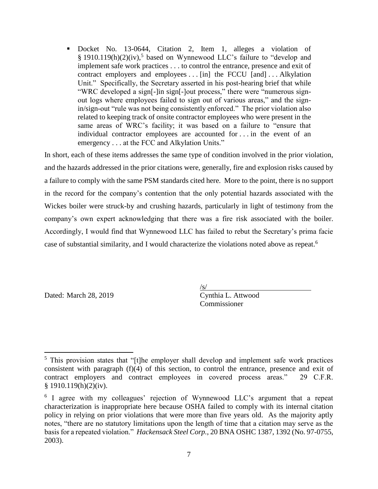▪ Docket No. 13-0644, Citation 2, Item 1, alleges a violation of § 1910.119(h)(2)(iv),<sup>5</sup> based on Wynnewood LLC's failure to "develop and implement safe work practices . . . to control the entrance, presence and exit of contract employers and employees . . . [in] the FCCU [and] . . . Alkylation Unit." Specifically, the Secretary asserted in his post-hearing brief that while "WRC developed a sign[-]in sign[-]out process," there were "numerous signout logs where employees failed to sign out of various areas," and the signin/sign-out "rule was not being consistently enforced." The prior violation also related to keeping track of onsite contractor employees who were present in the same areas of WRC's facility; it was based on a failure to "ensure that individual contractor employees are accounted for . . . in the event of an emergency . . . at the FCC and Alkylation Units."

In short, each of these items addresses the same type of condition involved in the prior violation, and the hazards addressed in the prior citations were, generally, fire and explosion risks caused by a failure to comply with the same PSM standards cited here. More to the point, there is no support in the record for the company's contention that the only potential hazards associated with the Wickes boiler were struck-by and crushing hazards, particularly in light of testimony from the company's own expert acknowledging that there was a fire risk associated with the boiler. Accordingly, I would find that Wynnewood LLC has failed to rebut the Secretary's prima facie case of substantial similarity, and I would characterize the violations noted above as repeat.<sup>6</sup>

Dated: March 28, 2019 Cynthia L. Attwood

 $\sqrt{s/}$ Commissioner

 $\overline{\phantom{a}}$ <sup>5</sup> This provision states that "[t]he employer shall develop and implement safe work practices consistent with paragraph (f)(4) of this section, to control the entrance, presence and exit of contract employers and contract employees in covered process areas." 29 C.F.R.  $§ 1910.119(h)(2)(iv).$ 

<sup>&</sup>lt;sup>6</sup> I agree with my colleagues' rejection of Wynnewood LLC's argument that a repeat characterization is inappropriate here because OSHA failed to comply with its internal citation policy in relying on prior violations that were more than five years old. As the majority aptly notes, "there are no statutory limitations upon the length of time that a citation may serve as the basis for a repeated violation." *Hackensack Steel Corp.*, 20 BNA OSHC 1387, 1392 (No. 97-0755, 2003).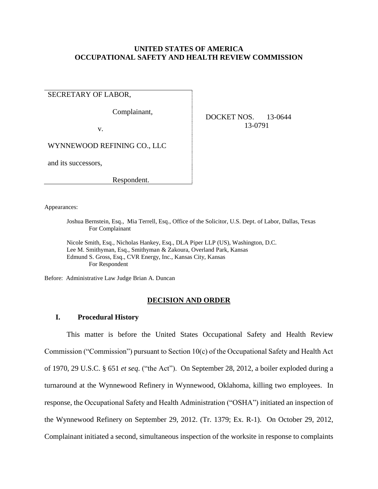# **UNITED STATES OF AMERICA OCCUPATIONAL SAFETY AND HEALTH REVIEW COMMISSION**

SECRETARY OF LABOR,

Complainant,

v.

 DOCKET NOS. 13-0644 13-0791

WYNNEWOOD REFINING CO., LLC

and its successors,

Respondent.

Appearances:

Joshua Bernstein, Esq., Mia Terrell, Esq., Office of the Solicitor, U.S. Dept. of Labor, Dallas, Texas For Complainant

Nicole Smith, Esq., Nicholas Hankey, Esq., DLA Piper LLP (US), Washington, D.C. Lee M. Smithyman, Esq., Smithyman & Zakoura, Overland Park, Kansas Edmund S. Gross, Esq., CVR Energy, Inc., Kansas City, Kansas For Respondent

Before: Administrative Law Judge Brian A. Duncan

## **DECISION AND ORDER**

# **I. Procedural History**

This matter is before the United States Occupational Safety and Health Review Commission ("Commission") pursuant to Section 10(c) of the Occupational Safety and Health Act of 1970, 29 U.S.C. § 651 *et seq*. ("the Act"). On September 28, 2012, a boiler exploded during a turnaround at the Wynnewood Refinery in Wynnewood, Oklahoma, killing two employees. In response, the Occupational Safety and Health Administration ("OSHA") initiated an inspection of the Wynnewood Refinery on September 29, 2012. (Tr. 1379; Ex. R-1). On October 29, 2012, Complainant initiated a second, simultaneous inspection of the worksite in response to complaints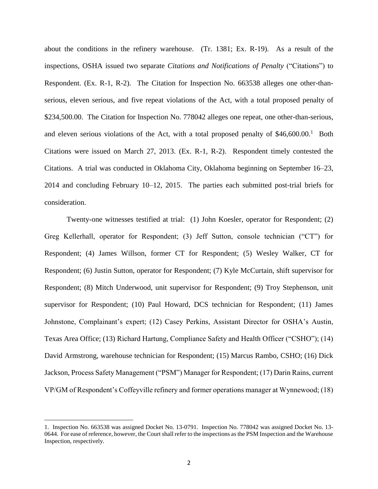about the conditions in the refinery warehouse. (Tr. 1381; Ex. R-19). As a result of the inspections, OSHA issued two separate *Citations and Notifications of Penalty* ("Citations") to Respondent. (Ex. R-1, R-2). The Citation for Inspection No. 663538 alleges one other-thanserious, eleven serious, and five repeat violations of the Act, with a total proposed penalty of \$234,500.00. The Citation for Inspection No. 778042 alleges one repeat, one other-than-serious, and eleven serious violations of the Act, with a total proposed penalty of  $$46,600.00$ .<sup>1</sup> Both Citations were issued on March 27, 2013. (Ex. R-1, R-2). Respondent timely contested the Citations. A trial was conducted in Oklahoma City, Oklahoma beginning on September 16–23, 2014 and concluding February 10–12, 2015. The parties each submitted post-trial briefs for consideration.

Twenty-one witnesses testified at trial: (1) John Koesler, operator for Respondent; (2) Greg Kellerhall, operator for Respondent; (3) Jeff Sutton, console technician ("CT") for Respondent; (4) James Willson, former CT for Respondent; (5) Wesley Walker, CT for Respondent; (6) Justin Sutton, operator for Respondent; (7) Kyle McCurtain, shift supervisor for Respondent; (8) Mitch Underwood, unit supervisor for Respondent; (9) Troy Stephenson, unit supervisor for Respondent; (10) Paul Howard, DCS technician for Respondent; (11) James Johnstone, Complainant's expert; (12) Casey Perkins, Assistant Director for OSHA's Austin, Texas Area Office; (13) Richard Hartung, Compliance Safety and Health Officer ("CSHO"); (14) David Armstrong, warehouse technician for Respondent; (15) Marcus Rambo, CSHO; (16) Dick Jackson, Process Safety Management ("PSM") Manager for Respondent; (17) Darin Rains, current VP/GM of Respondent's Coffeyville refinery and former operations manager at Wynnewood; (18)

<sup>1.</sup> Inspection No. 663538 was assigned Docket No. 13-0791. Inspection No. 778042 was assigned Docket No. 13- 0644. For ease of reference, however, the Court shall refer to the inspections as the PSM Inspection and the Warehouse Inspection, respectively.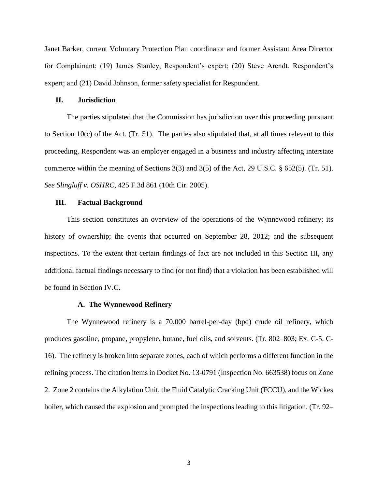Janet Barker, current Voluntary Protection Plan coordinator and former Assistant Area Director for Complainant; (19) James Stanley, Respondent's expert; (20) Steve Arendt, Respondent's expert; and (21) David Johnson, former safety specialist for Respondent.

### **II. Jurisdiction**

The parties stipulated that the Commission has jurisdiction over this proceeding pursuant to Section 10(c) of the Act. (Tr. 51). The parties also stipulated that, at all times relevant to this proceeding, Respondent was an employer engaged in a business and industry affecting interstate commerce within the meaning of Sections 3(3) and 3(5) of the Act, 29 U.S.C. § 652(5). (Tr. 51). *See Slingluff v. OSHRC*, 425 F.3d 861 (10th Cir. 2005).

## **III. Factual Background**

This section constitutes an overview of the operations of the Wynnewood refinery; its history of ownership; the events that occurred on September 28, 2012; and the subsequent inspections. To the extent that certain findings of fact are not included in this Section III, any additional factual findings necessary to find (or not find) that a violation has been established will be found in Section IV.C.

### **A. The Wynnewood Refinery**

The Wynnewood refinery is a 70,000 barrel-per-day (bpd) crude oil refinery, which produces gasoline, propane, propylene, butane, fuel oils, and solvents. (Tr. 802–803; Ex. C-5, C-16). The refinery is broken into separate zones, each of which performs a different function in the refining process. The citation items in Docket No. 13-0791 (Inspection No. 663538) focus on Zone 2. Zone 2 contains the Alkylation Unit, the Fluid Catalytic Cracking Unit (FCCU), and the Wickes boiler, which caused the explosion and prompted the inspections leading to this litigation. (Tr. 92–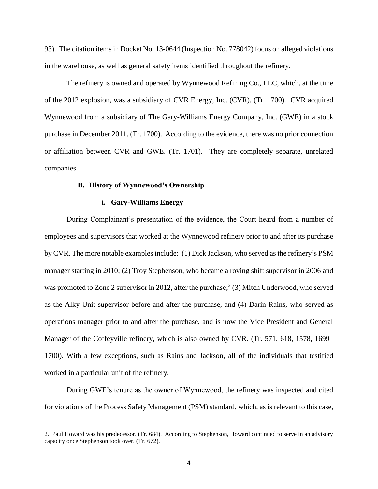93). The citation items in Docket No. 13-0644 (Inspection No. 778042) focus on alleged violations in the warehouse, as well as general safety items identified throughout the refinery.

The refinery is owned and operated by Wynnewood Refining Co., LLC, which, at the time of the 2012 explosion, was a subsidiary of CVR Energy, Inc. (CVR). (Tr. 1700). CVR acquired Wynnewood from a subsidiary of The Gary-Williams Energy Company, Inc. (GWE) in a stock purchase in December 2011. (Tr. 1700). According to the evidence, there was no prior connection or affiliation between CVR and GWE. (Tr. 1701). They are completely separate, unrelated companies.

## **B. History of Wynnewood's Ownership**

### **i. Gary-Williams Energy**

 $\overline{a}$ 

During Complainant's presentation of the evidence, the Court heard from a number of employees and supervisors that worked at the Wynnewood refinery prior to and after its purchase by CVR. The more notable examples include: (1) Dick Jackson, who served as the refinery's PSM manager starting in 2010; (2) Troy Stephenson, who became a roving shift supervisor in 2006 and was promoted to Zone 2 supervisor in 2012, after the purchase; 2 (3) Mitch Underwood, who served as the Alky Unit supervisor before and after the purchase, and (4) Darin Rains, who served as operations manager prior to and after the purchase, and is now the Vice President and General Manager of the Coffeyville refinery, which is also owned by CVR. (Tr. 571, 618, 1578, 1699– 1700). With a few exceptions, such as Rains and Jackson, all of the individuals that testified worked in a particular unit of the refinery.

During GWE's tenure as the owner of Wynnewood, the refinery was inspected and cited for violations of the Process Safety Management (PSM) standard, which, as is relevant to this case,

<sup>2.</sup> Paul Howard was his predecessor. (Tr. 684). According to Stephenson, Howard continued to serve in an advisory capacity once Stephenson took over. (Tr. 672).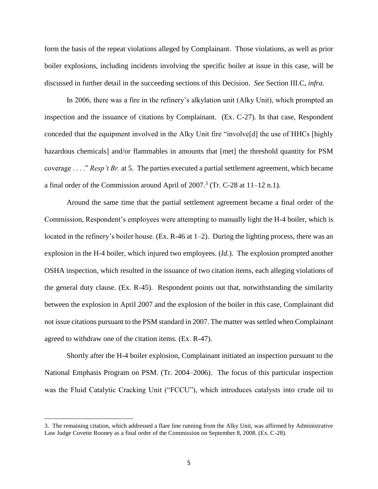form the basis of the repeat violations alleged by Complainant. Those violations, as well as prior boiler explosions, including incidents involving the specific boiler at issue in this case, will be discussed in further detail in the succeeding sections of this Decision. *See* Section III.C, *infra*.

In 2006, there was a fire in the refinery's alkylation unit (Alky Unit), which prompted an inspection and the issuance of citations by Complainant. (Ex. C-27). In that case, Respondent conceded that the equipment involved in the Alky Unit fire "involve[d] the use of HHCs [highly hazardous chemicals] and/or flammables in amounts that [met] the threshold quantity for PSM coverage . . . ." *Resp't Br.* at 5. The parties executed a partial settlement agreement, which became a final order of the Commission around April of  $2007<sup>3</sup>$  (Tr. C-28 at 11–12 n.1).

Around the same time that the partial settlement agreement became a final order of the Commission, Respondent's employees were attempting to manually light the H-4 boiler, which is located in the refinery's boiler house. (Ex. R-46 at 1–2). During the lighting process, there was an explosion in the H-4 boiler, which injured two employees. (*Id.*). The explosion prompted another OSHA inspection, which resulted in the issuance of two citation items, each alleging violations of the general duty clause. (Ex. R-45). Respondent points out that, notwithstanding the similarity between the explosion in April 2007 and the explosion of the boiler in this case, Complainant did not issue citations pursuant to the PSM standard in 2007. The matter was settled when Complainant agreed to withdraw one of the citation items. (Ex. R-47).

Shortly after the H-4 boiler explosion, Complainant initiated an inspection pursuant to the National Emphasis Program on PSM. (Tr. 2004–2006). The focus of this particular inspection was the Fluid Catalytic Cracking Unit ("FCCU"), which introduces catalysts into crude oil to

l

<sup>3.</sup> The remaining citation, which addressed a flare line running from the Alky Unit, was affirmed by Administrative Law Judge Covette Rooney as a final order of the Commission on September 8, 2008. (Ex. C-28).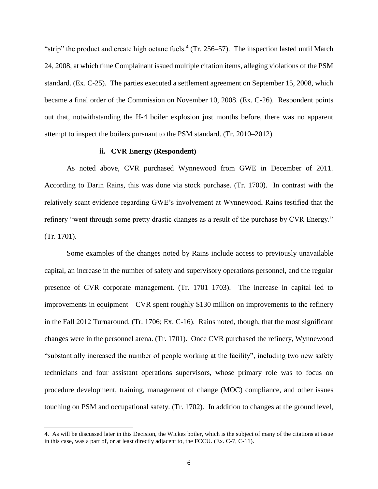"strip" the product and create high octane fuels. $4$  (Tr. 256–57). The inspection lasted until March 24, 2008, at which time Complainant issued multiple citation items, alleging violations of the PSM standard. (Ex. C-25). The parties executed a settlement agreement on September 15, 2008, which became a final order of the Commission on November 10, 2008. (Ex. C-26). Respondent points out that, notwithstanding the H-4 boiler explosion just months before, there was no apparent attempt to inspect the boilers pursuant to the PSM standard. (Tr. 2010–2012)

## **ii. CVR Energy (Respondent)**

As noted above, CVR purchased Wynnewood from GWE in December of 2011. According to Darin Rains, this was done via stock purchase. (Tr. 1700). In contrast with the relatively scant evidence regarding GWE's involvement at Wynnewood, Rains testified that the refinery "went through some pretty drastic changes as a result of the purchase by CVR Energy." (Tr. 1701).

Some examples of the changes noted by Rains include access to previously unavailable capital, an increase in the number of safety and supervisory operations personnel, and the regular presence of CVR corporate management. (Tr. 1701–1703). The increase in capital led to improvements in equipment—CVR spent roughly \$130 million on improvements to the refinery in the Fall 2012 Turnaround. (Tr. 1706; Ex. C-16). Rains noted, though, that the most significant changes were in the personnel arena. (Tr. 1701). Once CVR purchased the refinery, Wynnewood "substantially increased the number of people working at the facility", including two new safety technicians and four assistant operations supervisors, whose primary role was to focus on procedure development, training, management of change (MOC) compliance, and other issues touching on PSM and occupational safety. (Tr. 1702). In addition to changes at the ground level,

 $\overline{a}$ 

<sup>4.</sup> As will be discussed later in this Decision, the Wickes boiler, which is the subject of many of the citations at issue in this case, was a part of, or at least directly adjacent to, the FCCU. (Ex. C-7, C-11).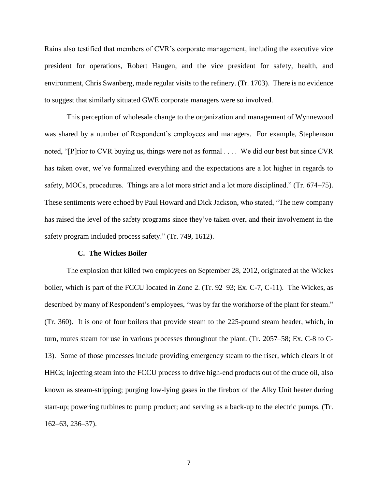Rains also testified that members of CVR's corporate management, including the executive vice president for operations, Robert Haugen, and the vice president for safety, health, and environment, Chris Swanberg, made regular visits to the refinery. (Tr. 1703). There is no evidence to suggest that similarly situated GWE corporate managers were so involved.

This perception of wholesale change to the organization and management of Wynnewood was shared by a number of Respondent's employees and managers. For example, Stephenson noted, "[P]rior to CVR buying us, things were not as formal . . . . We did our best but since CVR has taken over, we've formalized everything and the expectations are a lot higher in regards to safety, MOCs, procedures. Things are a lot more strict and a lot more disciplined." (Tr. 674–75). These sentiments were echoed by Paul Howard and Dick Jackson, who stated, "The new company has raised the level of the safety programs since they've taken over, and their involvement in the safety program included process safety." (Tr. 749, 1612).

### **C. The Wickes Boiler**

The explosion that killed two employees on September 28, 2012, originated at the Wickes boiler, which is part of the FCCU located in Zone 2. (Tr. 92–93; Ex. C-7, C-11). The Wickes, as described by many of Respondent's employees, "was by far the workhorse of the plant for steam." (Tr. 360). It is one of four boilers that provide steam to the 225-pound steam header, which, in turn, routes steam for use in various processes throughout the plant. (Tr. 2057–58; Ex. C-8 to C-13). Some of those processes include providing emergency steam to the riser, which clears it of HHCs; injecting steam into the FCCU process to drive high-end products out of the crude oil, also known as steam-stripping; purging low-lying gases in the firebox of the Alky Unit heater during start-up; powering turbines to pump product; and serving as a back-up to the electric pumps. (Tr. 162–63, 236–37).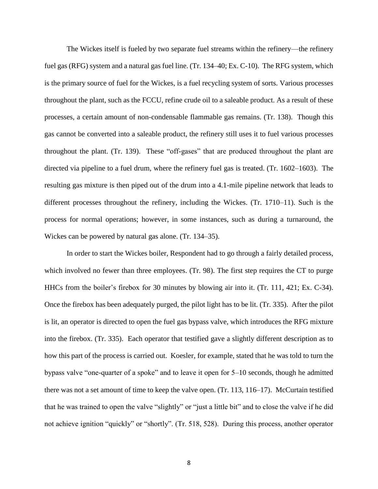The Wickes itself is fueled by two separate fuel streams within the refinery—the refinery fuel gas (RFG) system and a natural gas fuel line. (Tr. 134–40; Ex. C-10). The RFG system, which is the primary source of fuel for the Wickes, is a fuel recycling system of sorts. Various processes throughout the plant, such as the FCCU, refine crude oil to a saleable product. As a result of these processes, a certain amount of non-condensable flammable gas remains. (Tr. 138). Though this gas cannot be converted into a saleable product, the refinery still uses it to fuel various processes throughout the plant. (Tr. 139). These "off-gases" that are produced throughout the plant are directed via pipeline to a fuel drum, where the refinery fuel gas is treated. (Tr. 1602–1603). The resulting gas mixture is then piped out of the drum into a 4.1-mile pipeline network that leads to different processes throughout the refinery, including the Wickes. (Tr. 1710–11). Such is the process for normal operations; however, in some instances, such as during a turnaround, the Wickes can be powered by natural gas alone. (Tr. 134–35).

In order to start the Wickes boiler, Respondent had to go through a fairly detailed process, which involved no fewer than three employees. (Tr. 98). The first step requires the CT to purge HHCs from the boiler's firebox for 30 minutes by blowing air into it. (Tr. 111, 421; Ex. C-34). Once the firebox has been adequately purged, the pilot light has to be lit. (Tr. 335). After the pilot is lit, an operator is directed to open the fuel gas bypass valve, which introduces the RFG mixture into the firebox. (Tr. 335). Each operator that testified gave a slightly different description as to how this part of the process is carried out. Koesler, for example, stated that he was told to turn the bypass valve "one-quarter of a spoke" and to leave it open for 5–10 seconds, though he admitted there was not a set amount of time to keep the valve open. (Tr. 113, 116–17). McCurtain testified that he was trained to open the valve "slightly" or "just a little bit" and to close the valve if he did not achieve ignition "quickly" or "shortly". (Tr. 518, 528). During this process, another operator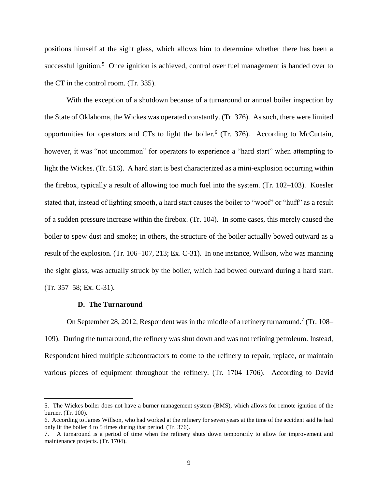positions himself at the sight glass, which allows him to determine whether there has been a successful ignition.<sup>5</sup> Once ignition is achieved, control over fuel management is handed over to the CT in the control room. (Tr. 335).

With the exception of a shutdown because of a turnaround or annual boiler inspection by the State of Oklahoma, the Wickes was operated constantly. (Tr. 376). As such, there were limited opportunities for operators and CTs to light the boiler.<sup>6</sup> (Tr. 376). According to McCurtain, however, it was "not uncommon" for operators to experience a "hard start" when attempting to light the Wickes. (Tr. 516). A hard start is best characterized as a mini-explosion occurring within the firebox, typically a result of allowing too much fuel into the system. (Tr. 102–103). Koesler stated that, instead of lighting smooth, a hard start causes the boiler to "woof" or "huff" as a result of a sudden pressure increase within the firebox. (Tr. 104). In some cases, this merely caused the boiler to spew dust and smoke; in others, the structure of the boiler actually bowed outward as a result of the explosion. (Tr. 106–107, 213; Ex. C-31). In one instance, Willson, who was manning the sight glass, was actually struck by the boiler, which had bowed outward during a hard start. (Tr. 357–58; Ex. C-31).

## **D. The Turnaround**

 $\overline{\phantom{a}}$ 

On September 28, 2012, Respondent was in the middle of a refinery turnaround.<sup>7</sup> (Tr. 108– 109). During the turnaround, the refinery was shut down and was not refining petroleum. Instead, Respondent hired multiple subcontractors to come to the refinery to repair, replace, or maintain various pieces of equipment throughout the refinery. (Tr. 1704–1706). According to David

<sup>5.</sup> The Wickes boiler does not have a burner management system (BMS), which allows for remote ignition of the burner. (Tr. 100).

<sup>6.</sup> According to James Willson, who had worked at the refinery for seven years at the time of the accident said he had only lit the boiler 4 to 5 times during that period. (Tr. 376).

<sup>7.</sup> A turnaround is a period of time when the refinery shuts down temporarily to allow for improvement and maintenance projects. (Tr. 1704).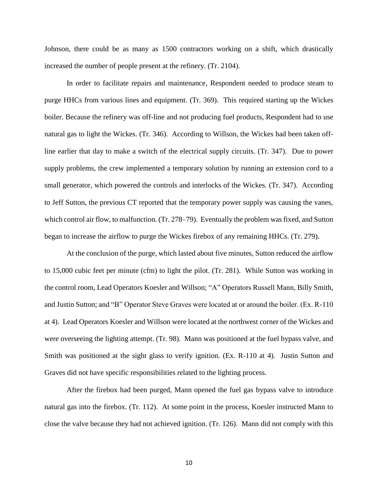Johnson, there could be as many as 1500 contractors working on a shift, which drastically increased the number of people present at the refinery. (Tr. 2104).

In order to facilitate repairs and maintenance, Respondent needed to produce steam to purge HHCs from various lines and equipment. (Tr. 369). This required starting up the Wickes boiler. Because the refinery was off-line and not producing fuel products, Respondent had to use natural gas to light the Wickes. (Tr. 346). According to Willson, the Wickes had been taken offline earlier that day to make a switch of the electrical supply circuits. (Tr. 347). Due to power supply problems, the crew implemented a temporary solution by running an extension cord to a small generator, which powered the controls and interlocks of the Wickes. (Tr. 347). According to Jeff Sutton, the previous CT reported that the temporary power supply was causing the vanes, which control air flow, to malfunction. (Tr. 278–79). Eventually the problem was fixed, and Sutton began to increase the airflow to purge the Wickes firebox of any remaining HHCs. (Tr. 279).

At the conclusion of the purge, which lasted about five minutes, Sutton reduced the airflow to 15,000 cubic feet per minute (cfm) to light the pilot. (Tr. 281). While Sutton was working in the control room, Lead Operators Koesler and Willson; "A" Operators Russell Mann, Billy Smith, and Justin Sutton; and "B" Operator Steve Graves were located at or around the boiler. (Ex. R-110 at 4). Lead Operators Koesler and Willson were located at the northwest corner of the Wickes and were overseeing the lighting attempt. (Tr. 98). Mann was positioned at the fuel bypass valve, and Smith was positioned at the sight glass to verify ignition. (Ex. R-110 at 4). Justin Sutton and Graves did not have specific responsibilities related to the lighting process.

After the firebox had been purged, Mann opened the fuel gas bypass valve to introduce natural gas into the firebox. (Tr. 112). At some point in the process, Koesler instructed Mann to close the valve because they had not achieved ignition. (Tr. 126). Mann did not comply with this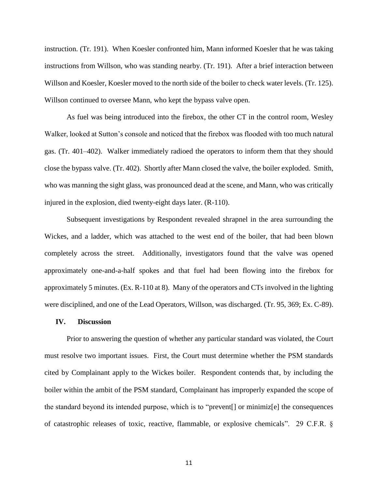instruction. (Tr. 191). When Koesler confronted him, Mann informed Koesler that he was taking instructions from Willson, who was standing nearby. (Tr. 191). After a brief interaction between Willson and Koesler, Koesler moved to the north side of the boiler to check water levels. (Tr. 125). Willson continued to oversee Mann, who kept the bypass valve open.

As fuel was being introduced into the firebox, the other CT in the control room, Wesley Walker, looked at Sutton's console and noticed that the firebox was flooded with too much natural gas. (Tr. 401–402). Walker immediately radioed the operators to inform them that they should close the bypass valve. (Tr. 402). Shortly after Mann closed the valve, the boiler exploded. Smith, who was manning the sight glass, was pronounced dead at the scene, and Mann, who was critically injured in the explosion, died twenty-eight days later. (R-110).

Subsequent investigations by Respondent revealed shrapnel in the area surrounding the Wickes, and a ladder, which was attached to the west end of the boiler, that had been blown completely across the street. Additionally, investigators found that the valve was opened approximately one-and-a-half spokes and that fuel had been flowing into the firebox for approximately 5 minutes. (Ex. R-110 at 8). Many of the operators and CTs involved in the lighting were disciplined, and one of the Lead Operators, Willson, was discharged. (Tr. 95, 369; Ex. C-89).

### **IV. Discussion**

Prior to answering the question of whether any particular standard was violated, the Court must resolve two important issues. First, the Court must determine whether the PSM standards cited by Complainant apply to the Wickes boiler. Respondent contends that, by including the boiler within the ambit of the PSM standard, Complainant has improperly expanded the scope of the standard beyond its intended purpose, which is to "prevent[] or minimiz[e] the consequences of catastrophic releases of toxic, reactive, flammable, or explosive chemicals". 29 C.F.R. §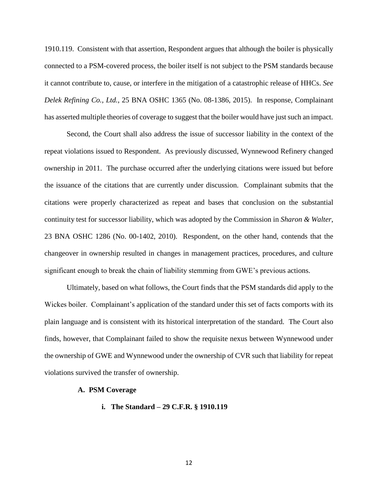1910.119. Consistent with that assertion, Respondent argues that although the boiler is physically connected to a PSM-covered process, the boiler itself is not subject to the PSM standards because it cannot contribute to, cause, or interfere in the mitigation of a catastrophic release of HHCs. *See Delek Refining Co., Ltd.*, 25 BNA OSHC 1365 (No. 08-1386, 2015). In response, Complainant has asserted multiple theories of coverage to suggest that the boiler would have just such an impact.

Second, the Court shall also address the issue of successor liability in the context of the repeat violations issued to Respondent. As previously discussed, Wynnewood Refinery changed ownership in 2011. The purchase occurred after the underlying citations were issued but before the issuance of the citations that are currently under discussion. Complainant submits that the citations were properly characterized as repeat and bases that conclusion on the substantial continuity test for successor liability, which was adopted by the Commission in *Sharon & Walter*, 23 BNA OSHC 1286 (No. 00-1402, 2010). Respondent, on the other hand, contends that the changeover in ownership resulted in changes in management practices, procedures, and culture significant enough to break the chain of liability stemming from GWE's previous actions.

Ultimately, based on what follows, the Court finds that the PSM standards did apply to the Wickes boiler. Complainant's application of the standard under this set of facts comports with its plain language and is consistent with its historical interpretation of the standard. The Court also finds, however, that Complainant failed to show the requisite nexus between Wynnewood under the ownership of GWE and Wynnewood under the ownership of CVR such that liability for repeat violations survived the transfer of ownership.

### **A. PSM Coverage**

## **i. The Standard – 29 C.F.R. § 1910.119**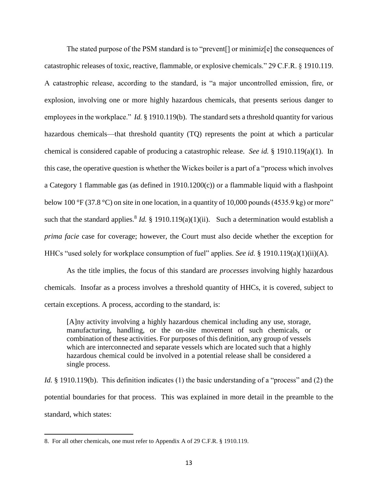The stated purpose of the PSM standard is to "prevent[] or minimiz[e] the consequences of catastrophic releases of toxic, reactive, flammable, or explosive chemicals." 29 C.F.R. § 1910.119. A catastrophic release, according to the standard, is "a major uncontrolled emission, fire, or explosion, involving one or more highly hazardous chemicals, that presents serious danger to employees in the workplace." *Id.* § 1910.119(b). The standard sets a threshold quantity for various hazardous chemicals—that threshold quantity (TQ) represents the point at which a particular chemical is considered capable of producing a catastrophic release. *See id.* § 1910.119(a)(1). In this case, the operative question is whether the Wickes boiler is a part of a "process which involves a Category 1 flammable gas (as defined in 1910.1200(c)) or a flammable liquid with a flashpoint below 100 °F (37.8 °C) on site in one location, in a quantity of 10,000 pounds (4535.9 kg) or more" such that the standard applies.<sup>8</sup> *Id.* § 1910.119(a)(1)(ii). Such a determination would establish a *prima facie* case for coverage; however, the Court must also decide whether the exception for HHCs "used solely for workplace consumption of fuel" applies. *See id.* § 1910.119(a)(1)(ii)(A).

As the title implies, the focus of this standard are *processes* involving highly hazardous chemicals. Insofar as a process involves a threshold quantity of HHCs, it is covered, subject to certain exceptions. A process, according to the standard, is:

[A]ny activity involving a highly hazardous chemical including any use, storage, manufacturing, handling, or the on-site movement of such chemicals, or combination of these activities. For purposes of this definition, any group of vessels which are interconnected and separate vessels which are located such that a highly hazardous chemical could be involved in a potential release shall be considered a single process.

*Id.* § 1910.119(b). This definition indicates (1) the basic understanding of a "process" and (2) the potential boundaries for that process. This was explained in more detail in the preamble to the standard, which states:

<sup>8.</sup> For all other chemicals, one must refer to Appendix A of 29 C.F.R. § 1910.119.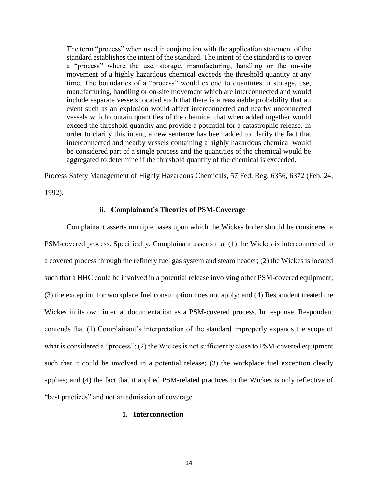The term "process" when used in conjunction with the application statement of the standard establishes the intent of the standard. The intent of the standard is to cover a "process" where the use, storage, manufacturing, handling or the on-site movement of a highly hazardous chemical exceeds the threshold quantity at any time. The boundaries of a "process" would extend to quantities in storage, use, manufacturing, handling or on-site movement which are interconnected and would include separate vessels located such that there is a reasonable probability that an event such as an explosion would affect interconnected and nearby unconnected vessels which contain quantities of the chemical that when added together would exceed the threshold quantity and provide a potential for a catastrophic release. In order to clarify this intent, a new sentence has been added to clarify the fact that interconnected and nearby vessels containing a highly hazardous chemical would be considered part of a single process and the quantities of the chemical would be aggregated to determine if the threshold quantity of the chemical is exceeded.

Process Safety Management of Highly Hazardous Chemicals, 57 Fed. Reg. 6356, 6372 (Feb. 24,

1992).

### **ii. Complainant's Theories of PSM-Coverage**

Complainant asserts multiple bases upon which the Wickes boiler should be considered a PSM-covered process. Specifically, Complainant asserts that (1) the Wickes is interconnected to a covered process through the refinery fuel gas system and steam header; (2) the Wickes is located such that a HHC could be involved in a potential release involving other PSM-covered equipment; (3) the exception for workplace fuel consumption does not apply; and (4) Respondent treated the Wickes in its own internal documentation as a PSM-covered process. In response, Respondent contends that (1) Complainant's interpretation of the standard improperly expands the scope of what is considered a "process"; (2) the Wickes is not sufficiently close to PSM-covered equipment such that it could be involved in a potential release; (3) the workplace fuel exception clearly applies; and (4) the fact that it applied PSM-related practices to the Wickes is only reflective of "best practices" and not an admission of coverage.

# **1. Interconnection**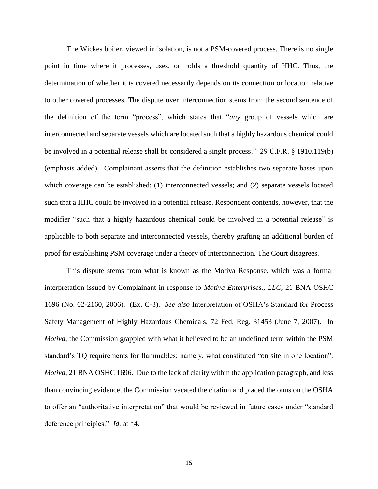The Wickes boiler, viewed in isolation, is not a PSM-covered process. There is no single point in time where it processes, uses, or holds a threshold quantity of HHC. Thus, the determination of whether it is covered necessarily depends on its connection or location relative to other covered processes. The dispute over interconnection stems from the second sentence of the definition of the term "process", which states that "*any* group of vessels which are interconnected and separate vessels which are located such that a highly hazardous chemical could be involved in a potential release shall be considered a single process." 29 C.F.R. § 1910.119(b) (emphasis added). Complainant asserts that the definition establishes two separate bases upon which coverage can be established: (1) interconnected vessels; and (2) separate vessels located such that a HHC could be involved in a potential release. Respondent contends, however, that the modifier "such that a highly hazardous chemical could be involved in a potential release" is applicable to both separate and interconnected vessels, thereby grafting an additional burden of proof for establishing PSM coverage under a theory of interconnection. The Court disagrees.

This dispute stems from what is known as the Motiva Response, which was a formal interpretation issued by Complainant in response to *Motiva Enterprises., LLC*, 21 BNA OSHC 1696 (No. 02-2160, 2006). (Ex. C-3). *See also* Interpretation of OSHA's Standard for Process Safety Management of Highly Hazardous Chemicals, 72 Fed. Reg. 31453 (June 7, 2007). In *Motiva*, the Commission grappled with what it believed to be an undefined term within the PSM standard's TQ requirements for flammables; namely, what constituted "on site in one location". *Motiva*, 21 BNA OSHC 1696. Due to the lack of clarity within the application paragraph, and less than convincing evidence, the Commission vacated the citation and placed the onus on the OSHA to offer an "authoritative interpretation" that would be reviewed in future cases under "standard deference principles." *Id.* at \*4.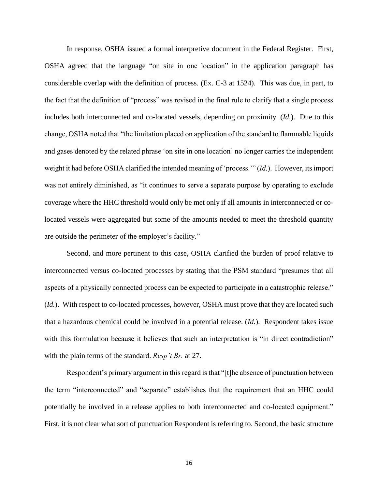In response, OSHA issued a formal interpretive document in the Federal Register. First, OSHA agreed that the language "on site in one location" in the application paragraph has considerable overlap with the definition of process. (Ex. C-3 at 1524). This was due, in part, to the fact that the definition of "process" was revised in the final rule to clarify that a single process includes both interconnected and co-located vessels, depending on proximity. (*Id.*). Due to this change, OSHA noted that "the limitation placed on application of the standard to flammable liquids and gases denoted by the related phrase 'on site in one location' no longer carries the independent weight it had before OSHA clarified the intended meaning of 'process.'" (*Id.*). However, its import was not entirely diminished, as "it continues to serve a separate purpose by operating to exclude coverage where the HHC threshold would only be met only if all amounts in interconnected or colocated vessels were aggregated but some of the amounts needed to meet the threshold quantity are outside the perimeter of the employer's facility."

Second, and more pertinent to this case, OSHA clarified the burden of proof relative to interconnected versus co-located processes by stating that the PSM standard "presumes that all aspects of a physically connected process can be expected to participate in a catastrophic release." (*Id.*). With respect to co-located processes, however, OSHA must prove that they are located such that a hazardous chemical could be involved in a potential release. (*Id.*). Respondent takes issue with this formulation because it believes that such an interpretation is "in direct contradiction" with the plain terms of the standard. *Resp't Br.* at 27.

Respondent's primary argument in this regard is that "[t]he absence of punctuation between the term "interconnected" and "separate" establishes that the requirement that an HHC could potentially be involved in a release applies to both interconnected and co-located equipment." First, it is not clear what sort of punctuation Respondent is referring to. Second, the basic structure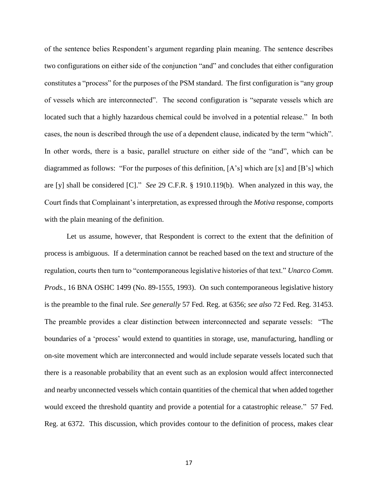of the sentence belies Respondent's argument regarding plain meaning. The sentence describes two configurations on either side of the conjunction "and" and concludes that either configuration constitutes a "process" for the purposes of the PSM standard. The first configuration is "any group of vessels which are interconnected". The second configuration is "separate vessels which are located such that a highly hazardous chemical could be involved in a potential release." In both cases, the noun is described through the use of a dependent clause, indicated by the term "which". In other words, there is a basic, parallel structure on either side of the "and", which can be diagrammed as follows: "For the purposes of this definition, [A's] which are [x] and [B's] which are [y] shall be considered [C]." *See* 29 C.F.R. § 1910.119(b). When analyzed in this way, the Court finds that Complainant's interpretation, as expressed through the *Motiva* response, comports with the plain meaning of the definition.

Let us assume, however, that Respondent is correct to the extent that the definition of process is ambiguous. If a determination cannot be reached based on the text and structure of the regulation, courts then turn to "contemporaneous legislative histories of that text." *Unarco Comm. Prods.*, 16 BNA OSHC 1499 (No. 89-1555, 1993). On such contemporaneous legislative history is the preamble to the final rule. *See generally* 57 Fed. Reg. at 6356; *see also* 72 Fed. Reg. 31453. The preamble provides a clear distinction between interconnected and separate vessels: "The boundaries of a 'process' would extend to quantities in storage, use, manufacturing, handling or on-site movement which are interconnected and would include separate vessels located such that there is a reasonable probability that an event such as an explosion would affect interconnected and nearby unconnected vessels which contain quantities of the chemical that when added together would exceed the threshold quantity and provide a potential for a catastrophic release." 57 Fed. Reg. at 6372. This discussion, which provides contour to the definition of process, makes clear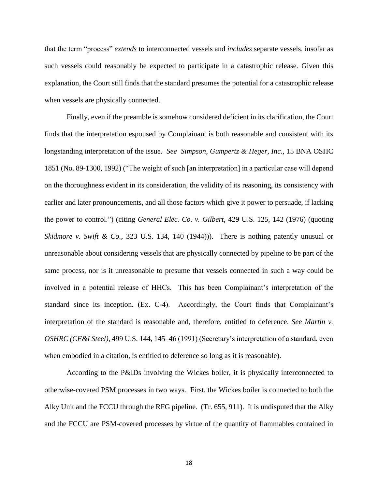that the term "process" *extends* to interconnected vessels and *includes* separate vessels, insofar as such vessels could reasonably be expected to participate in a catastrophic release. Given this explanation, the Court still finds that the standard presumes the potential for a catastrophic release when vessels are physically connected.

Finally, even if the preamble is somehow considered deficient in its clarification, the Court finds that the interpretation espoused by Complainant is both reasonable and consistent with its longstanding interpretation of the issue. *See Simpson, Gumpertz & Heger, Inc.*, 15 BNA OSHC 1851 (No. 89-1300, 1992) ("The weight of such [an interpretation] in a particular case will depend on the thoroughness evident in its consideration, the validity of its reasoning, its consistency with earlier and later pronouncements, and all those factors which give it power to persuade, if lacking the power to control.") (citing *General Elec. Co. v. Gilbert*, 429 U.S. 125, 142 (1976) (quoting *Skidmore v. Swift & Co.*, 323 U.S. 134, 140 (1944))). There is nothing patently unusual or unreasonable about considering vessels that are physically connected by pipeline to be part of the same process, nor is it unreasonable to presume that vessels connected in such a way could be involved in a potential release of HHCs. This has been Complainant's interpretation of the standard since its inception. (Ex. C-4). Accordingly, the Court finds that Complainant's interpretation of the standard is reasonable and, therefore, entitled to deference. *See Martin v. OSHRC (CF&I Steel)*, 499 U.S. 144, 145–46 (1991) (Secretary's interpretation of a standard, even when embodied in a citation, is entitled to deference so long as it is reasonable).

According to the P&IDs involving the Wickes boiler, it is physically interconnected to otherwise-covered PSM processes in two ways. First, the Wickes boiler is connected to both the Alky Unit and the FCCU through the RFG pipeline. (Tr. 655, 911). It is undisputed that the Alky and the FCCU are PSM-covered processes by virtue of the quantity of flammables contained in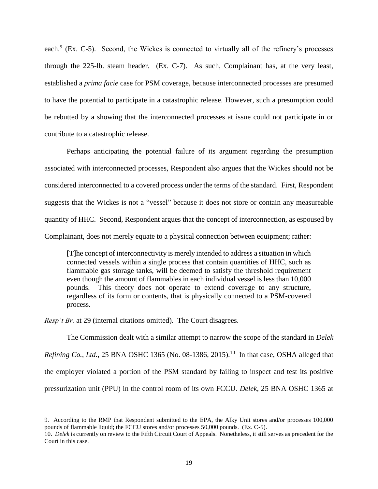each. $9$  (Ex. C-5). Second, the Wickes is connected to virtually all of the refinery's processes through the 225-lb. steam header. (Ex. C-7). As such, Complainant has, at the very least, established a *prima facie* case for PSM coverage, because interconnected processes are presumed to have the potential to participate in a catastrophic release. However, such a presumption could be rebutted by a showing that the interconnected processes at issue could not participate in or contribute to a catastrophic release.

Perhaps anticipating the potential failure of its argument regarding the presumption associated with interconnected processes, Respondent also argues that the Wickes should not be considered interconnected to a covered process under the terms of the standard. First, Respondent suggests that the Wickes is not a "vessel" because it does not store or contain any measureable quantity of HHC. Second, Respondent argues that the concept of interconnection, as espoused by Complainant, does not merely equate to a physical connection between equipment; rather:

[T]he concept of interconnectivity is merely intended to address a situation in which connected vessels within a single process that contain quantities of HHC, such as flammable gas storage tanks, will be deemed to satisfy the threshold requirement even though the amount of flammables in each individual vessel is less than 10,000 pounds. This theory does not operate to extend coverage to any structure, regardless of its form or contents, that is physically connected to a PSM-covered process.

*Resp't Br.* at 29 (internal citations omitted). The Court disagrees.

 $\overline{a}$ 

The Commission dealt with a similar attempt to narrow the scope of the standard in *Delek Refining Co., Ltd.*, 25 BNA OSHC 1365 (No. 08-1386, 2015). 10 In that case, OSHA alleged that the employer violated a portion of the PSM standard by failing to inspect and test its positive pressurization unit (PPU) in the control room of its own FCCU. *Delek*, 25 BNA OSHC 1365 at

<sup>9.</sup> According to the RMP that Respondent submitted to the EPA, the Alky Unit stores and/or processes 100,000 pounds of flammable liquid; the FCCU stores and/or processes 50,000 pounds. (Ex. C-5).

<sup>10.</sup> *Delek* is currently on review to the Fifth Circuit Court of Appeals. Nonetheless, it still serves as precedent for the Court in this case.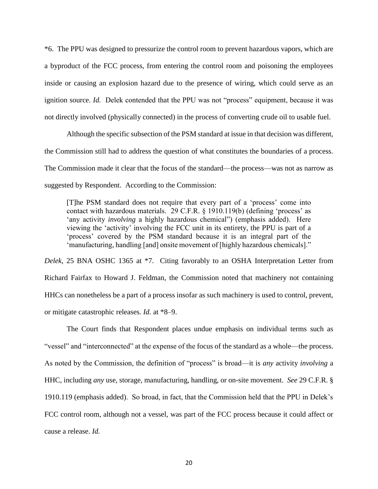\*6. The PPU was designed to pressurize the control room to prevent hazardous vapors, which are a byproduct of the FCC process, from entering the control room and poisoning the employees inside or causing an explosion hazard due to the presence of wiring, which could serve as an ignition source. *Id.* Delek contended that the PPU was not "process" equipment, because it was not directly involved (physically connected) in the process of converting crude oil to usable fuel.

Although the specific subsection of the PSM standard at issue in that decision was different, the Commission still had to address the question of what constitutes the boundaries of a process. The Commission made it clear that the focus of the standard—the process—was not as narrow as suggested by Respondent. According to the Commission:

[T]he PSM standard does not require that every part of a 'process' come into contact with hazardous materials. 29 C.F.R. § 1910.119(b) (defining 'process' as 'any activity *involving* a highly hazardous chemical") (emphasis added). Here viewing the 'activity' involving the FCC unit in its entirety, the PPU is part of a 'process' covered by the PSM standard because it is an integral part of the 'manufacturing, handling [and] onsite movement of [highly hazardous chemicals]."

*Delek*, 25 BNA OSHC 1365 at \*7. Citing favorably to an OSHA Interpretation Letter from Richard Fairfax to Howard J. Feldman, the Commission noted that machinery not containing HHCs can nonetheless be a part of a process insofar as such machinery is used to control, prevent, or mitigate catastrophic releases. *Id.* at \*8–9.

The Court finds that Respondent places undue emphasis on individual terms such as "vessel" and "interconnected" at the expense of the focus of the standard as a whole—the process. As noted by the Commission, the definition of "process" is broad—it is *any* activity *involving* a HHC, including *any* use, storage, manufacturing, handling, or on-site movement. *See* 29 C.F.R. § 1910.119 (emphasis added). So broad, in fact, that the Commission held that the PPU in Delek's FCC control room, although not a vessel, was part of the FCC process because it could affect or cause a release. *Id.*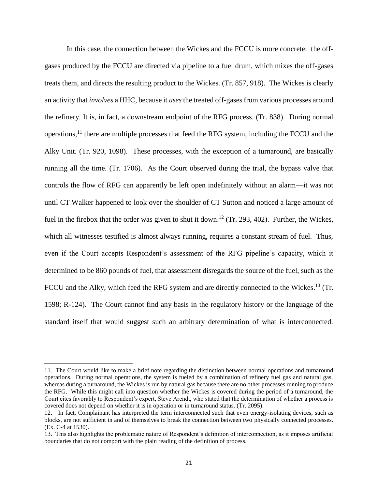In this case, the connection between the Wickes and the FCCU is more concrete: the offgases produced by the FCCU are directed via pipeline to a fuel drum, which mixes the off-gases treats them, and directs the resulting product to the Wickes. (Tr. 857, 918). The Wickes is clearly an activity that *involves* a HHC, because it *uses* the treated off-gases from various processes around the refinery. It is, in fact, a downstream endpoint of the RFG process. (Tr. 838). During normal operations,<sup>11</sup> there are multiple processes that feed the RFG system, including the FCCU and the Alky Unit. (Tr. 920, 1098). These processes, with the exception of a turnaround, are basically running all the time. (Tr. 1706). As the Court observed during the trial, the bypass valve that controls the flow of RFG can apparently be left open indefinitely without an alarm—it was not until CT Walker happened to look over the shoulder of CT Sutton and noticed a large amount of fuel in the firebox that the order was given to shut it down.<sup>12</sup> (Tr. 293, 402). Further, the Wickes, which all witnesses testified is almost always running, requires a constant stream of fuel. Thus, even if the Court accepts Respondent's assessment of the RFG pipeline's capacity, which it determined to be 860 pounds of fuel, that assessment disregards the source of the fuel, such as the FCCU and the Alky, which feed the RFG system and are directly connected to the Wickes.<sup>13</sup> (Tr. 1598; R-124). The Court cannot find any basis in the regulatory history or the language of the standard itself that would suggest such an arbitrary determination of what is interconnected.

l

<sup>11.</sup> The Court would like to make a brief note regarding the distinction between normal operations and turnaround operations. During normal operations, the system is fueled by a combination of refinery fuel gas and natural gas, whereas during a turnaround, the Wickes is run by natural gas because there are no other processes running to produce the RFG. While this might call into question whether the Wickes is covered during the period of a turnaround, the Court cites favorably to Respondent's expert, Steve Arendt, who stated that the determination of whether a process is covered does not depend on whether it is in operation or in turnaround status. (Tr. 2095).

<sup>12.</sup> In fact, Complainant has interpreted the term interconnected such that even energy-isolating devices, such as blocks, are not sufficient in and of themselves to break the connection between two physically connected processes. (Ex. C-4 at 1530).

<sup>13.</sup> This also highlights the problematic nature of Respondent's definition of interconnection, as it imposes artificial boundaries that do not comport with the plain reading of the definition of process.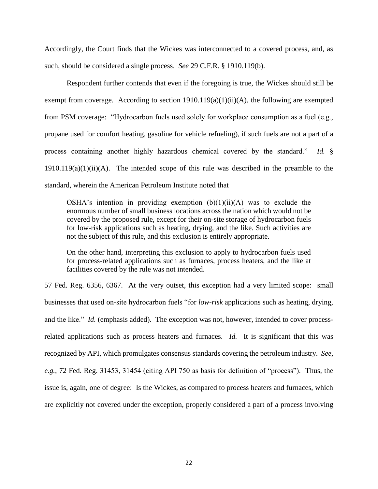Accordingly, the Court finds that the Wickes was interconnected to a covered process, and, as such, should be considered a single process. *See* 29 C.F.R. § 1910.119(b).

Respondent further contends that even if the foregoing is true, the Wickes should still be exempt from coverage. According to section  $1910.119(a)(1)(ii)(A)$ , the following are exempted from PSM coverage: "Hydrocarbon fuels used solely for workplace consumption as a fuel (e.g., propane used for comfort heating, gasoline for vehicle refueling), if such fuels are not a part of a process containing another highly hazardous chemical covered by the standard." *Id.* §  $1910.119(a)(1)(ii)(A)$ . The intended scope of this rule was described in the preamble to the standard, wherein the American Petroleum Institute noted that

OSHA's intention in providing exemption  $(b)(1)(ii)(A)$  was to exclude the enormous number of small business locations across the nation which would not be covered by the proposed rule, except for their on-site storage of hydrocarbon fuels for low-risk applications such as heating, drying, and the like. Such activities are not the subject of this rule, and this exclusion is entirely appropriate.

On the other hand, interpreting this exclusion to apply to hydrocarbon fuels used for process-related applications such as furnaces, process heaters, and the like at facilities covered by the rule was not intended.

57 Fed. Reg. 6356, 6367. At the very outset, this exception had a very limited scope: small businesses that used on-site hydrocarbon fuels "for *low-risk* applications such as heating, drying, and the like." *Id.* (emphasis added). The exception was not, however, intended to cover processrelated applications such as process heaters and furnaces. *Id.* It is significant that this was recognized by API, which promulgates consensus standards covering the petroleum industry. *See, e.g.*, 72 Fed. Reg. 31453, 31454 (citing API 750 as basis for definition of "process"). Thus, the issue is, again, one of degree: Is the Wickes, as compared to process heaters and furnaces, which are explicitly not covered under the exception, properly considered a part of a process involving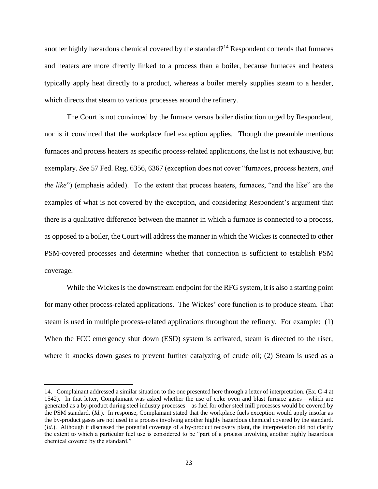another highly hazardous chemical covered by the standard?<sup>14</sup> Respondent contends that furnaces and heaters are more directly linked to a process than a boiler, because furnaces and heaters typically apply heat directly to a product, whereas a boiler merely supplies steam to a header, which directs that steam to various processes around the refinery.

The Court is not convinced by the furnace versus boiler distinction urged by Respondent, nor is it convinced that the workplace fuel exception applies. Though the preamble mentions furnaces and process heaters as specific process-related applications, the list is not exhaustive, but exemplary. *See* 57 Fed. Reg. 6356, 6367 (exception does not cover "furnaces, process heaters, *and the like*") (emphasis added). To the extent that process heaters, furnaces, "and the like" are the examples of what is not covered by the exception, and considering Respondent's argument that there is a qualitative difference between the manner in which a furnace is connected to a process, as opposed to a boiler, the Court will address the manner in which the Wickes is connected to other PSM-covered processes and determine whether that connection is sufficient to establish PSM coverage.

While the Wickes is the downstream endpoint for the RFG system, it is also a starting point for many other process-related applications. The Wickes' core function is to produce steam. That steam is used in multiple process-related applications throughout the refinery. For example: (1) When the FCC emergency shut down (ESD) system is activated, steam is directed to the riser, where it knocks down gases to prevent further catalyzing of crude oil; (2) Steam is used as a

 $\overline{a}$ 

<sup>14.</sup> Complainant addressed a similar situation to the one presented here through a letter of interpretation. (Ex. C-4 at 1542). In that letter, Complainant was asked whether the use of coke oven and blast furnace gases—which are generated as a by-product during steel industry processes—as fuel for other steel mill processes would be covered by the PSM standard. (*Id.*). In response, Complainant stated that the workplace fuels exception would apply insofar as the by-product gases are not used in a process involving another highly hazardous chemical covered by the standard. (*Id.*). Although it discussed the potential coverage of a by-product recovery plant, the interpretation did not clarify the extent to which a particular fuel use is considered to be "part of a process involving another highly hazardous chemical covered by the standard."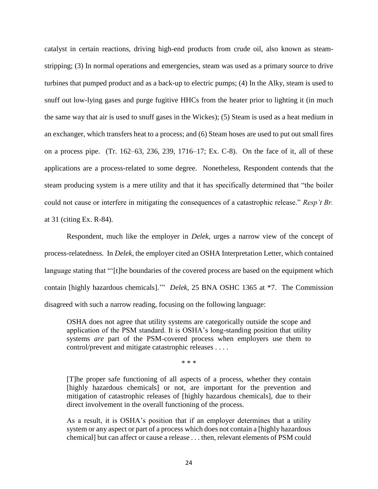catalyst in certain reactions, driving high-end products from crude oil, also known as steamstripping; (3) In normal operations and emergencies, steam was used as a primary source to drive turbines that pumped product and as a back-up to electric pumps; (4) In the Alky, steam is used to snuff out low-lying gases and purge fugitive HHCs from the heater prior to lighting it (in much the same way that air is used to snuff gases in the Wickes); (5) Steam is used as a heat medium in an exchanger, which transfers heat to a process; and (6) Steam hoses are used to put out small fires on a process pipe. (Tr. 162–63, 236, 239, 1716–17; Ex. C-8). On the face of it, all of these applications are a process-related to some degree. Nonetheless, Respondent contends that the steam producing system is a mere utility and that it has specifically determined that "the boiler could not cause or interfere in mitigating the consequences of a catastrophic release." *Resp't Br.*  at 31 (citing Ex. R-84).

Respondent, much like the employer in *Delek*, urges a narrow view of the concept of process-relatedness. In *Delek*, the employer cited an OSHA Interpretation Letter, which contained language stating that "'[t]he boundaries of the covered process are based on the equipment which contain [highly hazardous chemicals].'" *Delek*, 25 BNA OSHC 1365 at \*7. The Commission disagreed with such a narrow reading, focusing on the following language:

OSHA does not agree that utility systems are categorically outside the scope and application of the PSM standard. It is OSHA's long-standing position that utility systems *are* part of the PSM-covered process when employers use them to control/prevent and mitigate catastrophic releases . . . .

\* \* \*

[T]he proper safe functioning of all aspects of a process, whether they contain [highly hazardous chemicals] or not, are important for the prevention and mitigation of catastrophic releases of [highly hazardous chemicals], due to their direct involvement in the overall functioning of the process.

As a result, it is OSHA's position that if an employer determines that a utility system or any aspect or part of a process which does not contain a [highly hazardous chemical] but can affect or cause a release . . . then, relevant elements of PSM could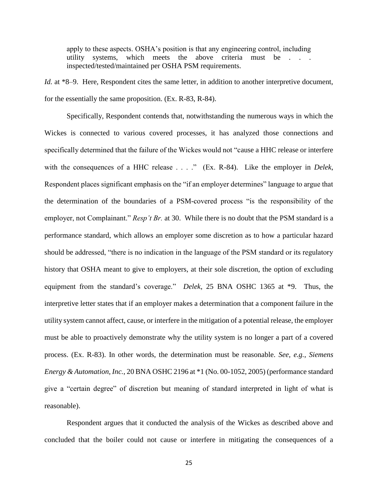apply to these aspects. OSHA's position is that any engineering control, including utility systems, which meets the above criteria must be . inspected/tested/maintained per OSHA PSM requirements.

*Id.* at \*8–9. Here, Respondent cites the same letter, in addition to another interpretive document, for the essentially the same proposition. (Ex. R-83, R-84).

Specifically, Respondent contends that, notwithstanding the numerous ways in which the Wickes is connected to various covered processes, it has analyzed those connections and specifically determined that the failure of the Wickes would not "cause a HHC release or interfere with the consequences of a HHC release . . . ." (Ex. R-84). Like the employer in *Delek*, Respondent places significant emphasis on the "if an employer determines" language to argue that the determination of the boundaries of a PSM-covered process "is the responsibility of the employer, not Complainant." *Resp't Br.* at 30. While there is no doubt that the PSM standard is a performance standard, which allows an employer some discretion as to how a particular hazard should be addressed, "there is no indication in the language of the PSM standard or its regulatory history that OSHA meant to give to employers, at their sole discretion, the option of excluding equipment from the standard's coverage." *Delek*, 25 BNA OSHC 1365 at \*9. Thus, the interpretive letter states that if an employer makes a determination that a component failure in the utility system cannot affect, cause, or interfere in the mitigation of a potential release, the employer must be able to proactively demonstrate why the utility system is no longer a part of a covered process. (Ex. R-83). In other words, the determination must be reasonable. *See, e.g.*, *Siemens Energy & Automation, Inc.*, 20 BNA OSHC 2196 at \*1 (No. 00-1052, 2005) (performance standard give a "certain degree" of discretion but meaning of standard interpreted in light of what is reasonable).

Respondent argues that it conducted the analysis of the Wickes as described above and concluded that the boiler could not cause or interfere in mitigating the consequences of a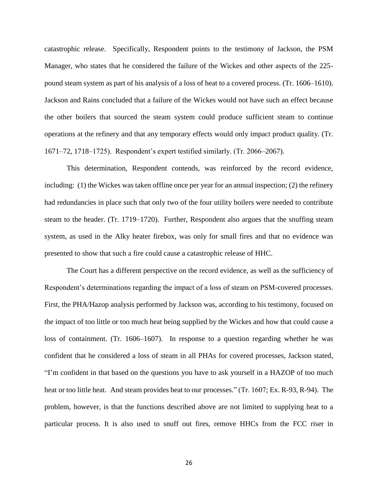catastrophic release. Specifically, Respondent points to the testimony of Jackson, the PSM Manager, who states that he considered the failure of the Wickes and other aspects of the 225 pound steam system as part of his analysis of a loss of heat to a covered process. (Tr. 1606–1610). Jackson and Rains concluded that a failure of the Wickes would not have such an effect because the other boilers that sourced the steam system could produce sufficient steam to continue operations at the refinery and that any temporary effects would only impact product quality. (Tr. 1671–72, 1718–1725). Respondent's expert testified similarly. (Tr. 2066–2067).

This determination, Respondent contends, was reinforced by the record evidence, including: (1) the Wickes was taken offline once per year for an annual inspection; (2) the refinery had redundancies in place such that only two of the four utility boilers were needed to contribute steam to the header. (Tr. 1719–1720). Further, Respondent also argues that the snuffing steam system, as used in the Alky heater firebox, was only for small fires and that no evidence was presented to show that such a fire could cause a catastrophic release of HHC.

The Court has a different perspective on the record evidence, as well as the sufficiency of Respondent's determinations regarding the impact of a loss of steam on PSM-covered processes. First, the PHA/Hazop analysis performed by Jackson was, according to his testimony, focused on the impact of too little or too much heat being supplied by the Wickes and how that could cause a loss of containment. (Tr. 1606–1607). In response to a question regarding whether he was confident that he considered a loss of steam in all PHAs for covered processes, Jackson stated, "I'm confident in that based on the questions you have to ask yourself in a HAZOP of too much heat or too little heat. And steam provides heat to our processes." (Tr. 1607; Ex. R-93, R-94). The problem, however, is that the functions described above are not limited to supplying heat to a particular process. It is also used to snuff out fires, remove HHCs from the FCC riser in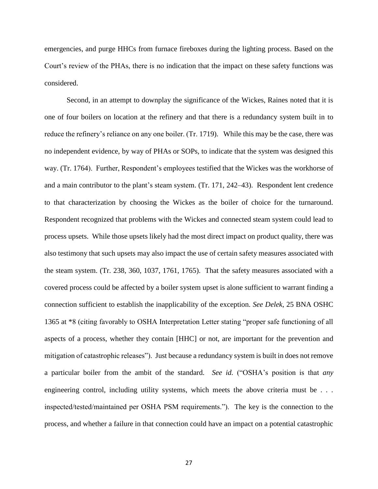emergencies, and purge HHCs from furnace fireboxes during the lighting process. Based on the Court's review of the PHAs, there is no indication that the impact on these safety functions was considered.

Second, in an attempt to downplay the significance of the Wickes, Raines noted that it is one of four boilers on location at the refinery and that there is a redundancy system built in to reduce the refinery's reliance on any one boiler. (Tr. 1719). While this may be the case, there was no independent evidence, by way of PHAs or SOPs, to indicate that the system was designed this way. (Tr. 1764). Further, Respondent's employees testified that the Wickes was the workhorse of and a main contributor to the plant's steam system. (Tr. 171, 242–43). Respondent lent credence to that characterization by choosing the Wickes as the boiler of choice for the turnaround. Respondent recognized that problems with the Wickes and connected steam system could lead to process upsets. While those upsets likely had the most direct impact on product quality, there was also testimony that such upsets may also impact the use of certain safety measures associated with the steam system. (Tr. 238, 360, 1037, 1761, 1765). That the safety measures associated with a covered process could be affected by a boiler system upset is alone sufficient to warrant finding a connection sufficient to establish the inapplicability of the exception. *See Delek*, 25 BNA OSHC 1365 at \*8 (citing favorably to OSHA Interpretation Letter stating "proper safe functioning of all aspects of a process, whether they contain [HHC] or not, are important for the prevention and mitigation of catastrophic releases"). Just because a redundancy system is built in does not remove a particular boiler from the ambit of the standard. *See id.* ("OSHA's position is that *any*  engineering control, including utility systems, which meets the above criteria must be . . . inspected/tested/maintained per OSHA PSM requirements."). The key is the connection to the process, and whether a failure in that connection could have an impact on a potential catastrophic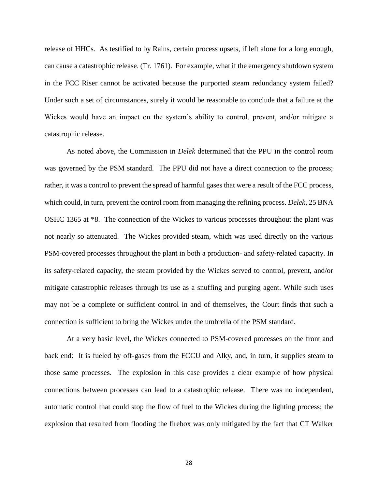release of HHCs. As testified to by Rains, certain process upsets, if left alone for a long enough, can cause a catastrophic release. (Tr. 1761). For example, what if the emergency shutdown system in the FCC Riser cannot be activated because the purported steam redundancy system failed? Under such a set of circumstances, surely it would be reasonable to conclude that a failure at the Wickes would have an impact on the system's ability to control, prevent, and/or mitigate a catastrophic release.

As noted above, the Commission in *Delek* determined that the PPU in the control room was governed by the PSM standard. The PPU did not have a direct connection to the process; rather, it was a control to prevent the spread of harmful gases that were a result of the FCC process, which could, in turn, prevent the control room from managing the refining process. *Delek*, 25 BNA OSHC 1365 at \*8. The connection of the Wickes to various processes throughout the plant was not nearly so attenuated. The Wickes provided steam, which was used directly on the various PSM-covered processes throughout the plant in both a production- and safety-related capacity. In its safety-related capacity, the steam provided by the Wickes served to control, prevent, and/or mitigate catastrophic releases through its use as a snuffing and purging agent. While such uses may not be a complete or sufficient control in and of themselves, the Court finds that such a connection is sufficient to bring the Wickes under the umbrella of the PSM standard.

At a very basic level, the Wickes connected to PSM-covered processes on the front and back end: It is fueled by off-gases from the FCCU and Alky, and, in turn, it supplies steam to those same processes. The explosion in this case provides a clear example of how physical connections between processes can lead to a catastrophic release. There was no independent, automatic control that could stop the flow of fuel to the Wickes during the lighting process; the explosion that resulted from flooding the firebox was only mitigated by the fact that CT Walker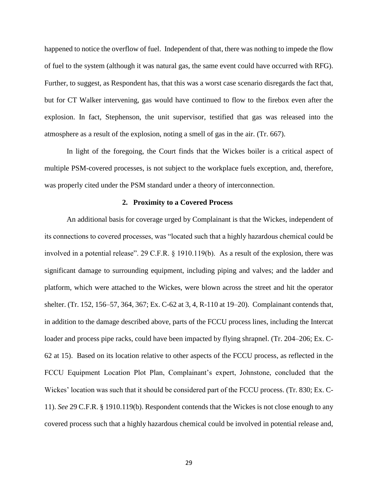happened to notice the overflow of fuel. Independent of that, there was nothing to impede the flow of fuel to the system (although it was natural gas, the same event could have occurred with RFG). Further, to suggest, as Respondent has, that this was a worst case scenario disregards the fact that, but for CT Walker intervening, gas would have continued to flow to the firebox even after the explosion. In fact, Stephenson, the unit supervisor, testified that gas was released into the atmosphere as a result of the explosion, noting a smell of gas in the air. (Tr. 667).

In light of the foregoing, the Court finds that the Wickes boiler is a critical aspect of multiple PSM-covered processes, is not subject to the workplace fuels exception, and, therefore, was properly cited under the PSM standard under a theory of interconnection.

### **2. Proximity to a Covered Process**

An additional basis for coverage urged by Complainant is that the Wickes, independent of its connections to covered processes, was "located such that a highly hazardous chemical could be involved in a potential release". 29 C.F.R. § 1910.119(b). As a result of the explosion, there was significant damage to surrounding equipment, including piping and valves; and the ladder and platform, which were attached to the Wickes, were blown across the street and hit the operator shelter. (Tr. 152, 156–57, 364, 367; Ex. C-62 at 3, 4, R-110 at 19–20). Complainant contends that, in addition to the damage described above, parts of the FCCU process lines, including the Intercat loader and process pipe racks, could have been impacted by flying shrapnel. (Tr. 204–206; Ex. C-62 at 15). Based on its location relative to other aspects of the FCCU process, as reflected in the FCCU Equipment Location Plot Plan, Complainant's expert, Johnstone, concluded that the Wickes' location was such that it should be considered part of the FCCU process. (Tr. 830; Ex. C-11). *See* 29 C.F.R. § 1910.119(b). Respondent contends that the Wickes is not close enough to any covered process such that a highly hazardous chemical could be involved in potential release and,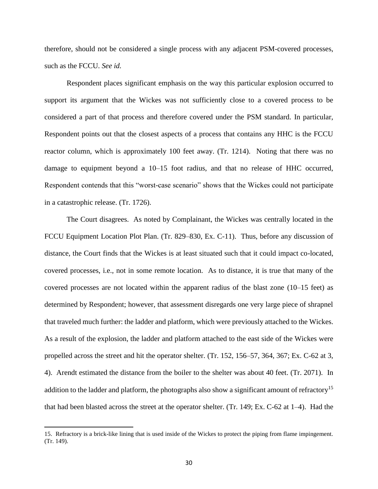therefore, should not be considered a single process with any adjacent PSM-covered processes, such as the FCCU. *See id.*

Respondent places significant emphasis on the way this particular explosion occurred to support its argument that the Wickes was not sufficiently close to a covered process to be considered a part of that process and therefore covered under the PSM standard. In particular, Respondent points out that the closest aspects of a process that contains any HHC is the FCCU reactor column, which is approximately 100 feet away. (Tr. 1214). Noting that there was no damage to equipment beyond a 10–15 foot radius, and that no release of HHC occurred, Respondent contends that this "worst-case scenario" shows that the Wickes could not participate in a catastrophic release. (Tr. 1726).

The Court disagrees. As noted by Complainant, the Wickes was centrally located in the FCCU Equipment Location Plot Plan. (Tr. 829–830, Ex. C-11). Thus, before any discussion of distance, the Court finds that the Wickes is at least situated such that it could impact co-located, covered processes, i.e., not in some remote location. As to distance, it is true that many of the covered processes are not located within the apparent radius of the blast zone (10–15 feet) as determined by Respondent; however, that assessment disregards one very large piece of shrapnel that traveled much further: the ladder and platform, which were previously attached to the Wickes. As a result of the explosion, the ladder and platform attached to the east side of the Wickes were propelled across the street and hit the operator shelter. (Tr. 152, 156–57, 364, 367; Ex. C-62 at 3, 4). Arendt estimated the distance from the boiler to the shelter was about 40 feet. (Tr. 2071). In addition to the ladder and platform, the photographs also show a significant amount of refractory<sup>15</sup> that had been blasted across the street at the operator shelter. (Tr. 149; Ex. C-62 at 1–4). Had the

 $\overline{a}$ 

<sup>15.</sup> Refractory is a brick-like lining that is used inside of the Wickes to protect the piping from flame impingement. (Tr. 149).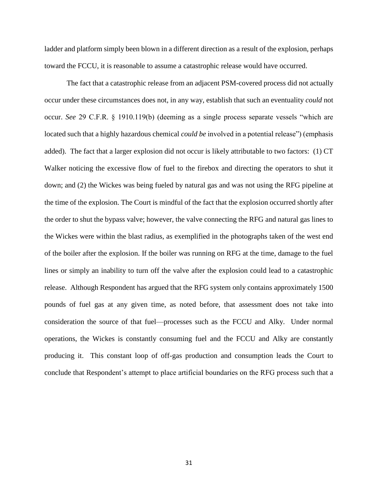ladder and platform simply been blown in a different direction as a result of the explosion, perhaps toward the FCCU, it is reasonable to assume a catastrophic release would have occurred.

The fact that a catastrophic release from an adjacent PSM-covered process did not actually occur under these circumstances does not, in any way, establish that such an eventuality *could* not occur. *See* 29 C.F.R. § 1910.119(b) (deeming as a single process separate vessels "which are located such that a highly hazardous chemical *could be* involved in a potential release") (emphasis added). The fact that a larger explosion did not occur is likely attributable to two factors: (1) CT Walker noticing the excessive flow of fuel to the firebox and directing the operators to shut it down; and (2) the Wickes was being fueled by natural gas and was not using the RFG pipeline at the time of the explosion. The Court is mindful of the fact that the explosion occurred shortly after the order to shut the bypass valve; however, the valve connecting the RFG and natural gas lines to the Wickes were within the blast radius, as exemplified in the photographs taken of the west end of the boiler after the explosion. If the boiler was running on RFG at the time, damage to the fuel lines or simply an inability to turn off the valve after the explosion could lead to a catastrophic release. Although Respondent has argued that the RFG system only contains approximately 1500 pounds of fuel gas at any given time, as noted before, that assessment does not take into consideration the source of that fuel—processes such as the FCCU and Alky. Under normal operations, the Wickes is constantly consuming fuel and the FCCU and Alky are constantly producing it. This constant loop of off-gas production and consumption leads the Court to conclude that Respondent's attempt to place artificial boundaries on the RFG process such that a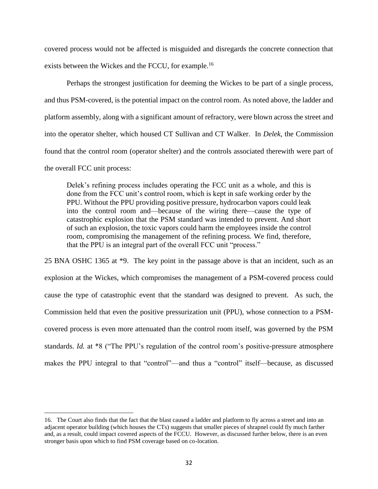covered process would not be affected is misguided and disregards the concrete connection that exists between the Wickes and the FCCU, for example.<sup>16</sup>

Perhaps the strongest justification for deeming the Wickes to be part of a single process, and thus PSM-covered, is the potential impact on the control room. As noted above, the ladder and platform assembly, along with a significant amount of refractory, were blown across the street and into the operator shelter, which housed CT Sullivan and CT Walker. In *Delek*, the Commission found that the control room (operator shelter) and the controls associated therewith were part of the overall FCC unit process:

Delek's refining process includes operating the FCC unit as a whole, and this is done from the FCC unit's control room, which is kept in safe working order by the PPU. Without the PPU providing positive pressure, hydrocarbon vapors could leak into the control room and—because of the wiring there—cause the type of catastrophic explosion that the PSM standard was intended to prevent. And short of such an explosion, the toxic vapors could harm the employees inside the control room, compromising the management of the refining process. We find, therefore, that the PPU is an integral part of the overall FCC unit "process."

25 BNA OSHC 1365 at \*9. The key point in the passage above is that an incident, such as an explosion at the Wickes, which compromises the management of a PSM-covered process could cause the type of catastrophic event that the standard was designed to prevent. As such, the Commission held that even the positive pressurization unit (PPU), whose connection to a PSMcovered process is even more attenuated than the control room itself, was governed by the PSM standards. *Id.* at \*8 ("The PPU's regulation of the control room's positive-pressure atmosphere makes the PPU integral to that "control"—and thus a "control" itself—because, as discussed

 $\overline{a}$ 

<sup>16.</sup> The Court also finds that the fact that the blast caused a ladder and platform to fly across a street and into an adjacent operator building (which houses the CTs) suggests that smaller pieces of shrapnel could fly much farther and, as a result, could impact covered aspects of the FCCU. However, as discussed further below, there is an even stronger basis upon which to find PSM coverage based on co-location.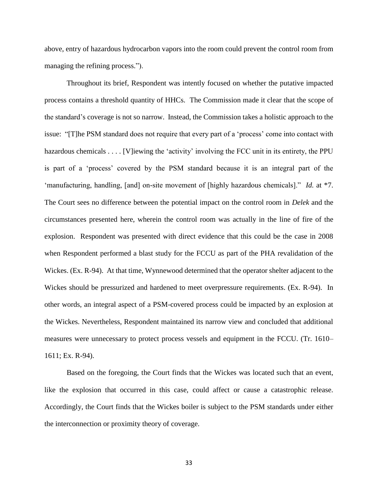above, entry of hazardous hydrocarbon vapors into the room could prevent the control room from managing the refining process.").

Throughout its brief, Respondent was intently focused on whether the putative impacted process contains a threshold quantity of HHCs. The Commission made it clear that the scope of the standard's coverage is not so narrow. Instead, the Commission takes a holistic approach to the issue: "[T]he PSM standard does not require that every part of a 'process' come into contact with hazardous chemicals . . . . [V] iewing the 'activity' involving the FCC unit in its entirety, the PPU is part of a 'process' covered by the PSM standard because it is an integral part of the 'manufacturing, handling, [and] on-site movement of [highly hazardous chemicals]." *Id.* at \*7. The Court sees no difference between the potential impact on the control room in *Delek* and the circumstances presented here, wherein the control room was actually in the line of fire of the explosion. Respondent was presented with direct evidence that this could be the case in 2008 when Respondent performed a blast study for the FCCU as part of the PHA revalidation of the Wickes. (Ex. R-94). At that time, Wynnewood determined that the operator shelter adjacent to the Wickes should be pressurized and hardened to meet overpressure requirements. (Ex. R-94). In other words, an integral aspect of a PSM-covered process could be impacted by an explosion at the Wickes. Nevertheless, Respondent maintained its narrow view and concluded that additional measures were unnecessary to protect process vessels and equipment in the FCCU. (Tr. 1610– 1611; Ex. R-94).

Based on the foregoing, the Court finds that the Wickes was located such that an event, like the explosion that occurred in this case, could affect or cause a catastrophic release. Accordingly, the Court finds that the Wickes boiler is subject to the PSM standards under either the interconnection or proximity theory of coverage.

33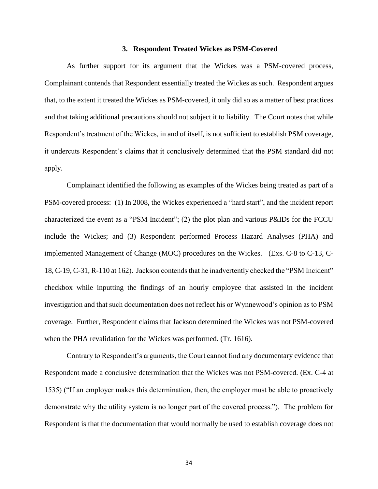# **3. Respondent Treated Wickes as PSM-Covered**

As further support for its argument that the Wickes was a PSM-covered process, Complainant contends that Respondent essentially treated the Wickes as such. Respondent argues that, to the extent it treated the Wickes as PSM-covered, it only did so as a matter of best practices and that taking additional precautions should not subject it to liability. The Court notes that while Respondent's treatment of the Wickes, in and of itself, is not sufficient to establish PSM coverage, it undercuts Respondent's claims that it conclusively determined that the PSM standard did not apply.

Complainant identified the following as examples of the Wickes being treated as part of a PSM-covered process: (1) In 2008, the Wickes experienced a "hard start", and the incident report characterized the event as a "PSM Incident"; (2) the plot plan and various P&IDs for the FCCU include the Wickes; and (3) Respondent performed Process Hazard Analyses (PHA) and implemented Management of Change (MOC) procedures on the Wickes. (Exs. C-8 to C-13, C-18, C-19, C-31, R-110 at 162). Jackson contends that he inadvertently checked the "PSM Incident" checkbox while inputting the findings of an hourly employee that assisted in the incident investigation and that such documentation does not reflect his or Wynnewood's opinion as to PSM coverage. Further, Respondent claims that Jackson determined the Wickes was not PSM-covered when the PHA revalidation for the Wickes was performed. (Tr. 1616).

Contrary to Respondent's arguments, the Court cannot find any documentary evidence that Respondent made a conclusive determination that the Wickes was not PSM-covered. (Ex. C-4 at 1535) ("If an employer makes this determination, then, the employer must be able to proactively demonstrate why the utility system is no longer part of the covered process."). The problem for Respondent is that the documentation that would normally be used to establish coverage does not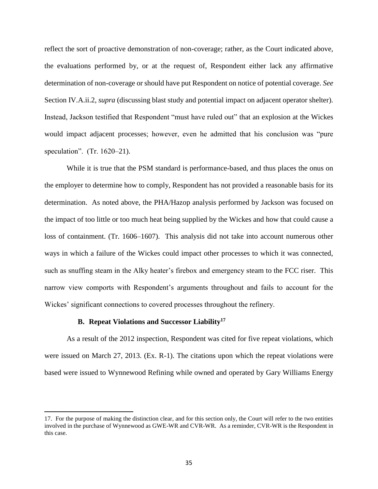reflect the sort of proactive demonstration of non-coverage; rather, as the Court indicated above, the evaluations performed by, or at the request of, Respondent either lack any affirmative determination of non-coverage or should have put Respondent on notice of potential coverage. *See*  Section IV.A.ii.2, *supra* (discussing blast study and potential impact on adjacent operator shelter). Instead, Jackson testified that Respondent "must have ruled out" that an explosion at the Wickes would impact adjacent processes; however, even he admitted that his conclusion was "pure speculation". (Tr. 1620–21).

While it is true that the PSM standard is performance-based, and thus places the onus on the employer to determine how to comply, Respondent has not provided a reasonable basis for its determination. As noted above, the PHA/Hazop analysis performed by Jackson was focused on the impact of too little or too much heat being supplied by the Wickes and how that could cause a loss of containment. (Tr. 1606–1607). This analysis did not take into account numerous other ways in which a failure of the Wickes could impact other processes to which it was connected, such as snuffing steam in the Alky heater's firebox and emergency steam to the FCC riser. This narrow view comports with Respondent's arguments throughout and fails to account for the Wickes' significant connections to covered processes throughout the refinery.

### **B. Repeat Violations and Successor Liability<sup>17</sup>**

 $\overline{a}$ 

As a result of the 2012 inspection, Respondent was cited for five repeat violations, which were issued on March 27, 2013. (Ex. R-1). The citations upon which the repeat violations were based were issued to Wynnewood Refining while owned and operated by Gary Williams Energy

<sup>17.</sup> For the purpose of making the distinction clear, and for this section only, the Court will refer to the two entities involved in the purchase of Wynnewood as GWE-WR and CVR-WR. As a reminder, CVR-WR is the Respondent in this case.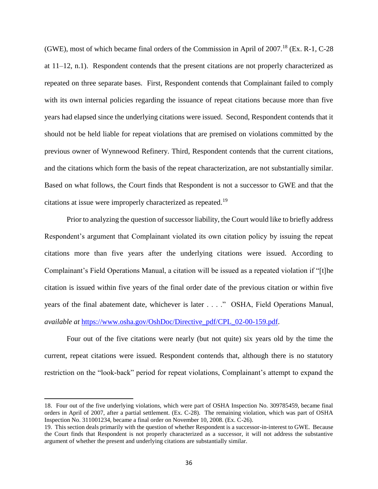(GWE), most of which became final orders of the Commission in April of  $2007$ .<sup>18</sup> (Ex. R-1, C-28) at  $11-12$ , n.1). Respondent contends that the present citations are not properly characterized as repeated on three separate bases. First, Respondent contends that Complainant failed to comply with its own internal policies regarding the issuance of repeat citations because more than five years had elapsed since the underlying citations were issued. Second, Respondent contends that it should not be held liable for repeat violations that are premised on violations committed by the previous owner of Wynnewood Refinery. Third, Respondent contends that the current citations, and the citations which form the basis of the repeat characterization, are not substantially similar. Based on what follows, the Court finds that Respondent is not a successor to GWE and that the citations at issue were improperly characterized as repeated.<sup>19</sup>

Prior to analyzing the question of successor liability, the Court would like to briefly address Respondent's argument that Complainant violated its own citation policy by issuing the repeat citations more than five years after the underlying citations were issued. According to Complainant's Field Operations Manual, a citation will be issued as a repeated violation if "[t]he citation is issued within five years of the final order date of the previous citation or within five years of the final abatement date, whichever is later . . . ." OSHA, Field Operations Manual, *available at* [https://www.osha.gov/OshDoc/Directive\\_pdf/CPL\\_02-00-159.pdf.](https://www.osha.gov/OshDoc/Directive_pdf/CPL_02-00-159.pdf)

Four out of the five citations were nearly (but not quite) six years old by the time the current, repeat citations were issued. Respondent contends that, although there is no statutory restriction on the "look-back" period for repeat violations, Complainant's attempt to expand the

 $\overline{\phantom{a}}$ 

<sup>18.</sup> Four out of the five underlying violations, which were part of OSHA Inspection No. 309785459, became final orders in April of 2007, after a partial settlement. (Ex. C-28). The remaining violation, which was part of OSHA Inspection No. 311001234, became a final order on November 10, 2008. (Ex. C-26).

<sup>19.</sup> This section deals primarily with the question of whether Respondent is a successor-in-interest to GWE. Because the Court finds that Respondent is not properly characterized as a successor, it will not address the substantive argument of whether the present and underlying citations are substantially similar.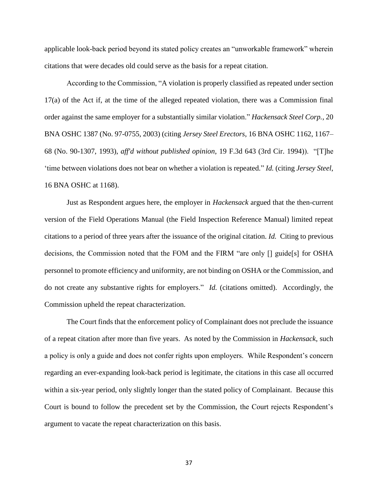applicable look-back period beyond its stated policy creates an "unworkable framework" wherein citations that were decades old could serve as the basis for a repeat citation.

According to the Commission, "A violation is properly classified as repeated under section 17(a) of the Act if, at the time of the alleged repeated violation, there was a Commission final order against the same employer for a substantially similar violation." *Hackensack Steel Corp.*, 20 BNA OSHC 1387 (No. 97-0755, 2003) (citing *Jersey Steel Erectors*, 16 BNA OSHC 1162, 1167– 68 (No. 90-1307, 1993), *aff'd without published opinion*, 19 F.3d 643 (3rd Cir. 1994)). "[T]he 'time between violations does not bear on whether a violation is repeated." *Id.* (citing *Jersey Steel*, 16 BNA OSHC at 1168).

Just as Respondent argues here, the employer in *Hackensack* argued that the then-current version of the Field Operations Manual (the Field Inspection Reference Manual) limited repeat citations to a period of three years after the issuance of the original citation. *Id.* Citing to previous decisions, the Commission noted that the FOM and the FIRM "are only [] guide[s] for OSHA personnel to promote efficiency and uniformity, are not binding on OSHA or the Commission, and do not create any substantive rights for employers." *Id.* (citations omitted). Accordingly, the Commission upheld the repeat characterization.

The Court finds that the enforcement policy of Complainant does not preclude the issuance of a repeat citation after more than five years. As noted by the Commission in *Hackensack*, such a policy is only a guide and does not confer rights upon employers. While Respondent's concern regarding an ever-expanding look-back period is legitimate, the citations in this case all occurred within a six-year period, only slightly longer than the stated policy of Complainant. Because this Court is bound to follow the precedent set by the Commission, the Court rejects Respondent's argument to vacate the repeat characterization on this basis.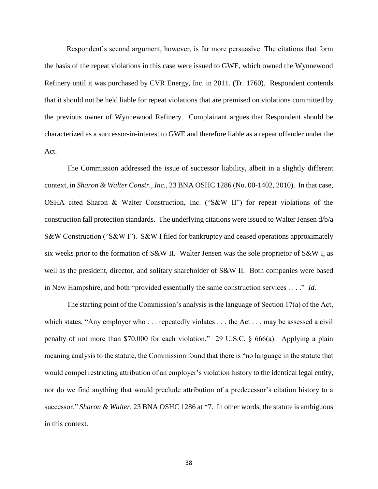Respondent's second argument, however, is far more persuasive. The citations that form the basis of the repeat violations in this case were issued to GWE, which owned the Wynnewood Refinery until it was purchased by CVR Energy, Inc. in 2011. (Tr. 1760). Respondent contends that it should not be held liable for repeat violations that are premised on violations committed by the previous owner of Wynnewood Refinery. Complainant argues that Respondent should be characterized as a successor-in-interest to GWE and therefore liable as a repeat offender under the Act.

The Commission addressed the issue of successor liability, albeit in a slightly different context, in *Sharon & Walter Constr., Inc.*, 23 BNA OSHC 1286 (No. 00-1402, 2010). In that case, OSHA cited Sharon & Walter Construction, Inc. ("S&W II") for repeat violations of the construction fall protection standards. The underlying citations were issued to Walter Jensen d/b/a S&W Construction ("S&W I"). S&W I filed for bankruptcy and ceased operations approximately six weeks prior to the formation of S&W II. Walter Jensen was the sole proprietor of S&W I, as well as the president, director, and solitary shareholder of S&W II. Both companies were based in New Hampshire, and both "provided essentially the same construction services . . . ." *Id.*

The starting point of the Commission's analysis is the language of Section 17(a) of the Act, which states, "Any employer who . . . repeatedly violates . . . the Act . . . may be assessed a civil penalty of not more than \$70,000 for each violation." 29 U.S.C. § 666(a). Applying a plain meaning analysis to the statute, the Commission found that there is "no language in the statute that would compel restricting attribution of an employer's violation history to the identical legal entity, nor do we find anything that would preclude attribution of a predecessor's citation history to a successor." *Sharon & Walter*, 23 BNA OSHC 1286 at \*7. In other words, the statute is ambiguous in this context.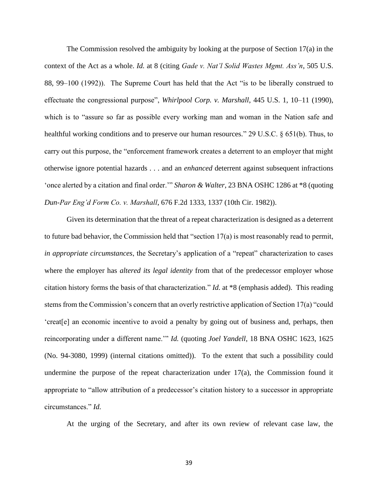The Commission resolved the ambiguity by looking at the purpose of Section 17(a) in the context of the Act as a whole. *Id.* at 8 (citing *Gade v. Nat'l Solid Wastes Mgmt. Ass'n*, 505 U.S. 88, 99–100 (1992)). The Supreme Court has held that the Act "is to be liberally construed to effectuate the congressional purpose", *Whirlpool Corp. v. Marshall*, 445 U.S. 1, 10–11 (1990), which is to "assure so far as possible every working man and woman in the Nation safe and healthful working conditions and to preserve our human resources." 29 U.S.C. § 651(b). Thus, to carry out this purpose, the "enforcement framework creates a deterrent to an employer that might otherwise ignore potential hazards . . . and an *enhanced* deterrent against subsequent infractions 'once alerted by a citation and final order.'" *Sharon & Walter*, 23 BNA OSHC 1286 at \*8 (quoting *Dun-Par Eng'd Form Co. v. Marshall*, 676 F.2d 1333, 1337 (10th Cir. 1982)).

Given its determination that the threat of a repeat characterization is designed as a deterrent to future bad behavior, the Commission held that "section 17(a) is most reasonably read to permit, *in appropriate circumstances*, the Secretary's application of a "repeat" characterization to cases where the employer has *altered its legal identity* from that of the predecessor employer whose citation history forms the basis of that characterization." *Id.* at \*8 (emphasis added). This reading stems from the Commission's concern that an overly restrictive application of Section 17(a) "could 'creat[e] an economic incentive to avoid a penalty by going out of business and, perhaps, then reincorporating under a different name.'" *Id.* (quoting *Joel Yandell*, 18 BNA OSHC 1623, 1625 (No. 94-3080, 1999) (internal citations omitted)). To the extent that such a possibility could undermine the purpose of the repeat characterization under 17(a), the Commission found it appropriate to "allow attribution of a predecessor's citation history to a successor in appropriate circumstances." *Id.*

At the urging of the Secretary, and after its own review of relevant case law, the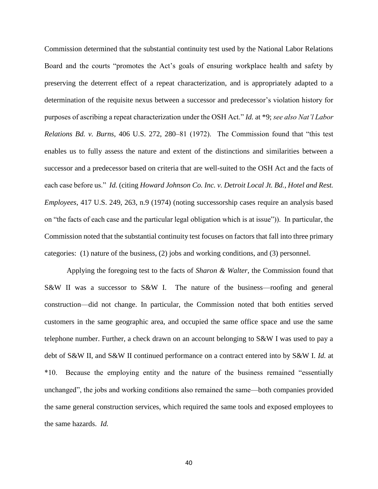Commission determined that the substantial continuity test used by the National Labor Relations Board and the courts "promotes the Act's goals of ensuring workplace health and safety by preserving the deterrent effect of a repeat characterization, and is appropriately adapted to a determination of the requisite nexus between a successor and predecessor's violation history for purposes of ascribing a repeat characterization under the OSH Act." *Id.* at \*9; *see also Nat'l Labor Relations Bd. v. Burns*, 406 U.S. 272, 280–81 (1972). The Commission found that "this test enables us to fully assess the nature and extent of the distinctions and similarities between a successor and a predecessor based on criteria that are well-suited to the OSH Act and the facts of each case before us." *Id.* (citing *Howard Johnson Co. Inc. v. Detroit Local Jt. Bd., Hotel and Rest. Employees*, 417 U.S. 249, 263, n.9 (1974) (noting successorship cases require an analysis based on "the facts of each case and the particular legal obligation which is at issue")). In particular, the Commission noted that the substantial continuity test focuses on factors that fall into three primary categories: (1) nature of the business, (2) jobs and working conditions, and (3) personnel.

Applying the foregoing test to the facts of *Sharon & Walter*, the Commission found that S&W II was a successor to S&W I. The nature of the business—roofing and general construction—did not change. In particular, the Commission noted that both entities served customers in the same geographic area, and occupied the same office space and use the same telephone number. Further, a check drawn on an account belonging to S&W I was used to pay a debt of S&W II, and S&W II continued performance on a contract entered into by S&W I. *Id.* at \*10. Because the employing entity and the nature of the business remained "essentially unchanged", the jobs and working conditions also remained the same—both companies provided the same general construction services, which required the same tools and exposed employees to the same hazards. *Id.*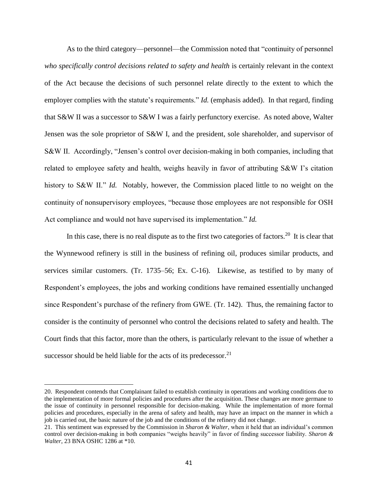As to the third category—personnel—the Commission noted that "continuity of personnel *who specifically control decisions related to safety and health* is certainly relevant in the context of the Act because the decisions of such personnel relate directly to the extent to which the employer complies with the statute's requirements." *Id.* (emphasis added). In that regard, finding that S&W II was a successor to S&W I was a fairly perfunctory exercise. As noted above, Walter Jensen was the sole proprietor of S&W I, and the president, sole shareholder, and supervisor of S&W II. Accordingly, "Jensen's control over decision-making in both companies, including that related to employee safety and health, weighs heavily in favor of attributing S&W I's citation history to S&W II." *Id.* Notably, however, the Commission placed little to no weight on the continuity of nonsupervisory employees, "because those employees are not responsible for OSH Act compliance and would not have supervised its implementation." *Id.*

In this case, there is no real dispute as to the first two categories of factors.<sup>20</sup> It is clear that the Wynnewood refinery is still in the business of refining oil, produces similar products, and services similar customers. (Tr. 1735–56; Ex. C-16). Likewise, as testified to by many of Respondent's employees, the jobs and working conditions have remained essentially unchanged since Respondent's purchase of the refinery from GWE. (Tr. 142). Thus, the remaining factor to consider is the continuity of personnel who control the decisions related to safety and health. The Court finds that this factor, more than the others, is particularly relevant to the issue of whether a successor should be held liable for the acts of its predecessor.<sup>21</sup>

 $\overline{a}$ 

<sup>20.</sup> Respondent contends that Complainant failed to establish continuity in operations and working conditions due to the implementation of more formal policies and procedures after the acquisition. These changes are more germane to the issue of continuity in personnel responsible for decision-making. While the implementation of more formal policies and procedures, especially in the arena of safety and health, may have an impact on the manner in which a job is carried out, the basic nature of the job and the conditions of the refinery did not change.

<sup>21.</sup> This sentiment was expressed by the Commission in *Sharon & Walter*, when it held that an individual's common control over decision-making in both companies "weighs heavily" in favor of finding successor liability. *Sharon & Walter*, 23 BNA OSHC 1286 at \*10.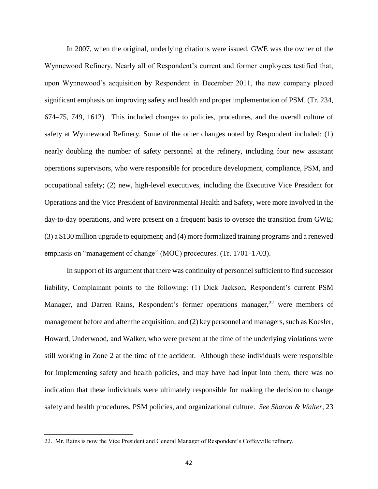In 2007, when the original, underlying citations were issued, GWE was the owner of the Wynnewood Refinery. Nearly all of Respondent's current and former employees testified that, upon Wynnewood's acquisition by Respondent in December 2011, the new company placed significant emphasis on improving safety and health and proper implementation of PSM. (Tr. 234, 674–75, 749, 1612). This included changes to policies, procedures, and the overall culture of safety at Wynnewood Refinery. Some of the other changes noted by Respondent included: (1) nearly doubling the number of safety personnel at the refinery, including four new assistant operations supervisors, who were responsible for procedure development, compliance, PSM, and occupational safety; (2) new, high-level executives, including the Executive Vice President for Operations and the Vice President of Environmental Health and Safety, were more involved in the day-to-day operations, and were present on a frequent basis to oversee the transition from GWE; (3) a \$130 million upgrade to equipment; and (4) more formalized training programs and a renewed emphasis on "management of change" (MOC) procedures. (Tr. 1701–1703).

In support of its argument that there was continuity of personnel sufficient to find successor liability, Complainant points to the following: (1) Dick Jackson, Respondent's current PSM Manager, and Darren Rains, Respondent's former operations manager,  $22$  were members of management before and after the acquisition; and (2) key personnel and managers, such as Koesler, Howard, Underwood, and Walker, who were present at the time of the underlying violations were still working in Zone 2 at the time of the accident. Although these individuals were responsible for implementing safety and health policies, and may have had input into them, there was no indication that these individuals were ultimately responsible for making the decision to change safety and health procedures, PSM policies, and organizational culture. *See Sharon & Walter*, 23

 $\overline{\phantom{a}}$ 

<sup>22.</sup> Mr. Rains is now the Vice President and General Manager of Respondent's Coffeyville refinery.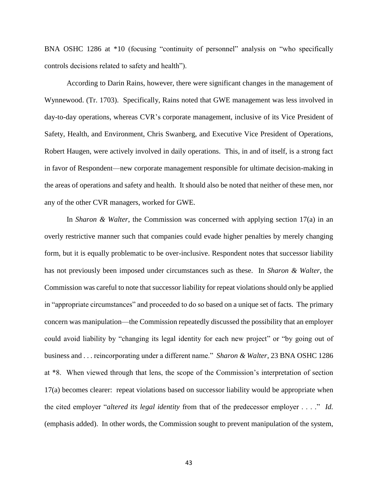BNA OSHC 1286 at \*10 (focusing "continuity of personnel" analysis on "who specifically controls decisions related to safety and health").

According to Darin Rains, however, there were significant changes in the management of Wynnewood. (Tr. 1703). Specifically, Rains noted that GWE management was less involved in day-to-day operations, whereas CVR's corporate management, inclusive of its Vice President of Safety, Health, and Environment, Chris Swanberg, and Executive Vice President of Operations, Robert Haugen, were actively involved in daily operations. This, in and of itself, is a strong fact in favor of Respondent—new corporate management responsible for ultimate decision-making in the areas of operations and safety and health. It should also be noted that neither of these men, nor any of the other CVR managers, worked for GWE.

In *Sharon & Walter*, the Commission was concerned with applying section 17(a) in an overly restrictive manner such that companies could evade higher penalties by merely changing form, but it is equally problematic to be over-inclusive. Respondent notes that successor liability has not previously been imposed under circumstances such as these. In *Sharon & Walter*, the Commission was careful to note that successor liability for repeat violations should only be applied in "appropriate circumstances" and proceeded to do so based on a unique set of facts. The primary concern was manipulation—the Commission repeatedly discussed the possibility that an employer could avoid liability by "changing its legal identity for each new project" or "by going out of business and . . . reincorporating under a different name." *Sharon & Walter*, 23 BNA OSHC 1286 at \*8. When viewed through that lens, the scope of the Commission's interpretation of section 17(a) becomes clearer: repeat violations based on successor liability would be appropriate when the cited employer "*altered its legal identity* from that of the predecessor employer . . . ." *Id.*  (emphasis added). In other words, the Commission sought to prevent manipulation of the system,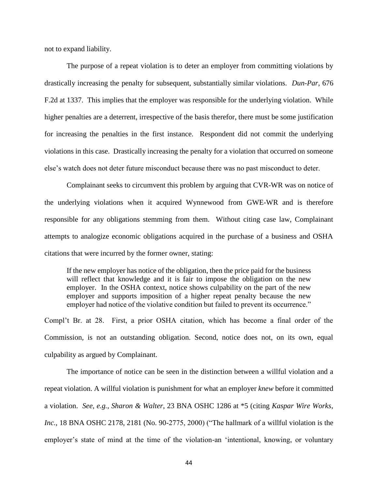not to expand liability.

The purpose of a repeat violation is to deter an employer from committing violations by drastically increasing the penalty for subsequent, substantially similar violations. *Dun-Par*, 676 F.2d at 1337. This implies that the employer was responsible for the underlying violation. While higher penalties are a deterrent, irrespective of the basis therefor, there must be some justification for increasing the penalties in the first instance. Respondent did not commit the underlying violations in this case. Drastically increasing the penalty for a violation that occurred on someone else's watch does not deter future misconduct because there was no past misconduct to deter.

Complainant seeks to circumvent this problem by arguing that CVR-WR was on notice of the underlying violations when it acquired Wynnewood from GWE-WR and is therefore responsible for any obligations stemming from them. Without citing case law, Complainant attempts to analogize economic obligations acquired in the purchase of a business and OSHA citations that were incurred by the former owner, stating:

If the new employer has notice of the obligation, then the price paid for the business will reflect that knowledge and it is fair to impose the obligation on the new employer. In the OSHA context, notice shows culpability on the part of the new employer and supports imposition of a higher repeat penalty because the new employer had notice of the violative condition but failed to prevent its occurrence."

Compl't Br. at 28. First, a prior OSHA citation, which has become a final order of the Commission, is not an outstanding obligation. Second, notice does not, on its own, equal culpability as argued by Complainant.

The importance of notice can be seen in the distinction between a willful violation and a repeat violation. A willful violation is punishment for what an employer *knew* before it committed a violation. *See, e.g.*, *Sharon & Walter*, 23 BNA OSHC 1286 at \*5 (citing *Kaspar Wire Works, Inc.*, 18 BNA OSHC 2178, 2181 (No. 90-2775, 2000) ("The hallmark of a willful violation is the employer's state of mind at the time of the violation-an 'intentional, knowing, or voluntary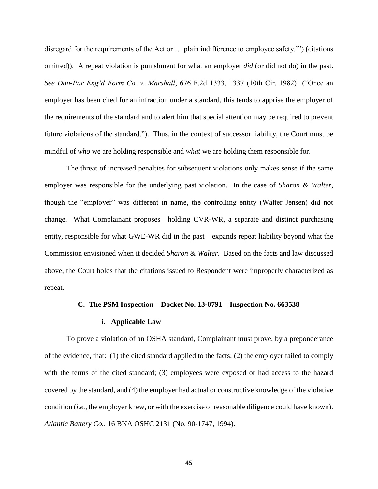disregard for the requirements of the Act or … plain indifference to employee safety.'") (citations omitted)). A repeat violation is punishment for what an employer *did* (or did not do) in the past. *See Dun-Par Eng'd Form Co. v. Marshall*, 676 F.2d 1333, 1337 (10th Cir. 1982) ("Once an employer has been cited for an infraction under a standard, this tends to apprise the employer of the requirements of the standard and to alert him that special attention may be required to prevent future violations of the standard."). Thus, in the context of successor liability, the Court must be mindful of *who* we are holding responsible and *what* we are holding them responsible for.

The threat of increased penalties for subsequent violations only makes sense if the same employer was responsible for the underlying past violation. In the case of *Sharon & Walter*, though the "employer" was different in name, the controlling entity (Walter Jensen) did not change. What Complainant proposes—holding CVR-WR, a separate and distinct purchasing entity, responsible for what GWE-WR did in the past—expands repeat liability beyond what the Commission envisioned when it decided *Sharon & Walter*. Based on the facts and law discussed above, the Court holds that the citations issued to Respondent were improperly characterized as repeat.

#### **C. The PSM Inspection – Docket No. 13-0791 – Inspection No. 663538**

### **i. Applicable Law**

To prove a violation of an OSHA standard, Complainant must prove, by a preponderance of the evidence, that: (1) the cited standard applied to the facts; (2) the employer failed to comply with the terms of the cited standard; (3) employees were exposed or had access to the hazard covered by the standard, and (4) the employer had actual or constructive knowledge of the violative condition (*i.e.*, the employer knew, or with the exercise of reasonable diligence could have known). *Atlantic Battery Co.*, 16 BNA OSHC 2131 (No. 90-1747, 1994).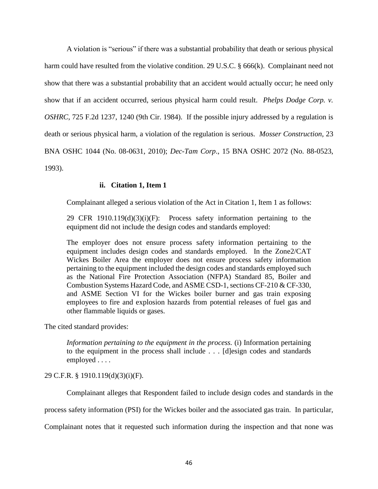A violation is "serious" if there was a substantial probability that death or serious physical harm could have resulted from the violative condition. 29 U.S.C. § 666(k). Complainant need not show that there was a substantial probability that an accident would actually occur; he need only show that if an accident occurred, serious physical harm could result. *Phelps Dodge Corp. v. OSHRC*, 725 F.2d 1237, 1240 (9th Cir. 1984). If the possible injury addressed by a regulation is death or serious physical harm, a violation of the regulation is serious. *Mosser Construction*, 23 BNA OSHC 1044 (No. 08-0631, 2010); *Dec-Tam Corp*., 15 BNA OSHC 2072 (No. 88-0523, 1993).

# **ii. Citation 1, Item 1**

Complainant alleged a serious violation of the Act in Citation 1, Item 1 as follows:

29 CFR  $1910.119(d)(3)(i)(F)$ : Process safety information pertaining to the equipment did not include the design codes and standards employed:

The employer does not ensure process safety information pertaining to the equipment includes design codes and standards employed. In the Zone2/CAT Wickes Boiler Area the employer does not ensure process safety information pertaining to the equipment included the design codes and standards employed such as the National Fire Protection Association (NFPA) Standard 85, Boiler and Combustion Systems Hazard Code, and ASME CSD-1, sections CF-210 & CF-330, and ASME Section VI for the Wickes boiler burner and gas train exposing employees to fire and explosion hazards from potential releases of fuel gas and other flammable liquids or gases.

The cited standard provides:

*Information pertaining to the equipment in the process.* (i) Information pertaining to the equipment in the process shall include . . . [d]esign codes and standards employed . . . .

## 29 C.F.R. § 1910.119(d)(3)(i)(F).

Complainant alleges that Respondent failed to include design codes and standards in the

process safety information (PSI) for the Wickes boiler and the associated gas train. In particular,

Complainant notes that it requested such information during the inspection and that none was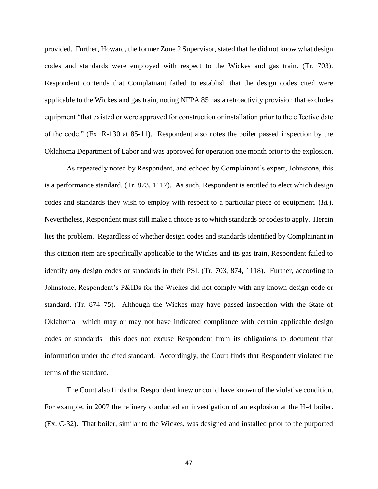provided. Further, Howard, the former Zone 2 Supervisor, stated that he did not know what design codes and standards were employed with respect to the Wickes and gas train. (Tr. 703). Respondent contends that Complainant failed to establish that the design codes cited were applicable to the Wickes and gas train, noting NFPA 85 has a retroactivity provision that excludes equipment "that existed or were approved for construction or installation prior to the effective date of the code." (Ex. R-130 at 85-11). Respondent also notes the boiler passed inspection by the Oklahoma Department of Labor and was approved for operation one month prior to the explosion.

As repeatedly noted by Respondent, and echoed by Complainant's expert, Johnstone, this is a performance standard. (Tr. 873, 1117). As such, Respondent is entitled to elect which design codes and standards they wish to employ with respect to a particular piece of equipment. (*Id.*). Nevertheless, Respondent must still make a choice as to which standards or codes to apply. Herein lies the problem. Regardless of whether design codes and standards identified by Complainant in this citation item are specifically applicable to the Wickes and its gas train, Respondent failed to identify *any* design codes or standards in their PSI. (Tr. 703, 874, 1118). Further, according to Johnstone, Respondent's P&IDs for the Wickes did not comply with any known design code or standard. (Tr. 874–75). Although the Wickes may have passed inspection with the State of Oklahoma—which may or may not have indicated compliance with certain applicable design codes or standards—this does not excuse Respondent from its obligations to document that information under the cited standard. Accordingly, the Court finds that Respondent violated the terms of the standard.

The Court also finds that Respondent knew or could have known of the violative condition. For example, in 2007 the refinery conducted an investigation of an explosion at the H-4 boiler. (Ex. C-32). That boiler, similar to the Wickes, was designed and installed prior to the purported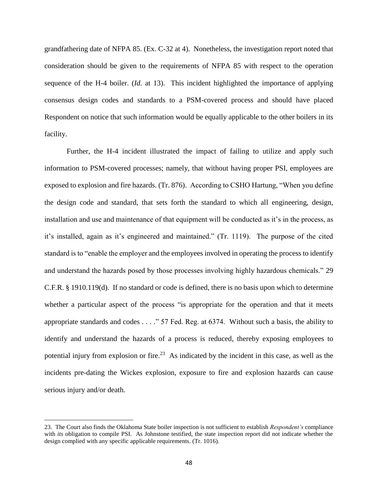grandfathering date of NFPA 85. (Ex. C-32 at 4). Nonetheless, the investigation report noted that consideration should be given to the requirements of NFPA 85 with respect to the operation sequence of the H-4 boiler. (*Id.* at 13). This incident highlighted the importance of applying consensus design codes and standards to a PSM-covered process and should have placed Respondent on notice that such information would be equally applicable to the other boilers in its facility.

Further, the H-4 incident illustrated the impact of failing to utilize and apply such information to PSM-covered processes; namely, that without having proper PSI, employees are exposed to explosion and fire hazards. (Tr. 876). According to CSHO Hartung, "When you define the design code and standard, that sets forth the standard to which all engineering, design, installation and use and maintenance of that equipment will be conducted as it's in the process, as it's installed, again as it's engineered and maintained." (Tr. 1119). The purpose of the cited standard is to "enable the employer and the employees involved in operating the process to identify and understand the hazards posed by those processes involving highly hazardous chemicals." 29 C.F.R. § 1910.119(d). If no standard or code is defined, there is no basis upon which to determine whether a particular aspect of the process "is appropriate for the operation and that it meets appropriate standards and codes . . . ." 57 Fed. Reg. at 6374. Without such a basis, the ability to identify and understand the hazards of a process is reduced, thereby exposing employees to potential injury from explosion or fire.<sup>23</sup> As indicated by the incident in this case, as well as the incidents pre-dating the Wickes explosion, exposure to fire and explosion hazards can cause serious injury and/or death.

 $\overline{\phantom{a}}$ 

<sup>23.</sup> The Court also finds the Oklahoma State boiler inspection is not sufficient to establish *Respondent's* compliance with *its* obligation to compile PSI. As Johnstone testified, the state inspection report did not indicate whether the design complied with any specific applicable requirements. (Tr. 1016).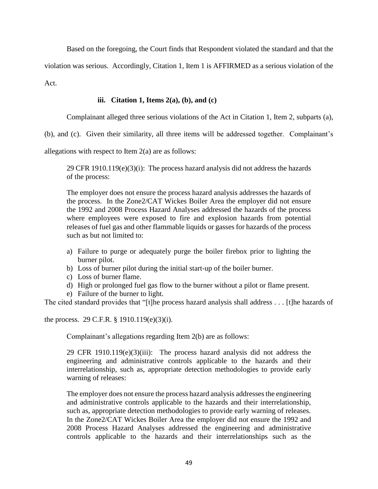Based on the foregoing, the Court finds that Respondent violated the standard and that the

violation was serious. Accordingly, Citation 1, Item 1 is AFFIRMED as a serious violation of the

Act.

# **iii. Citation 1, Items 2(a), (b), and (c)**

Complainant alleged three serious violations of the Act in Citation 1, Item 2, subparts (a),

(b), and (c). Given their similarity, all three items will be addressed together. Complainant's

allegations with respect to Item 2(a) are as follows:

29 CFR 1910.119(e)(3)(i): The process hazard analysis did not address the hazards of the process:

The employer does not ensure the process hazard analysis addresses the hazards of the process. In the Zone2/CAT Wickes Boiler Area the employer did not ensure the 1992 and 2008 Process Hazard Analyses addressed the hazards of the process where employees were exposed to fire and explosion hazards from potential releases of fuel gas and other flammable liquids or gasses for hazards of the process such as but not limited to:

- a) Failure to purge or adequately purge the boiler firebox prior to lighting the burner pilot.
- b) Loss of burner pilot during the initial start-up of the boiler burner.
- c) Loss of burner flame.
- d) High or prolonged fuel gas flow to the burner without a pilot or flame present.
- e) Failure of the burner to light.

The cited standard provides that "[t]he process hazard analysis shall address . . . [t]he hazards of

the process. 29 C.F.R. § 1910.119(e)(3)(i).

Complainant's allegations regarding Item 2(b) are as follows:

29 CFR 1910.119 $(e)(3)(iii)$ : The process hazard analysis did not address the engineering and administrative controls applicable to the hazards and their interrelationship, such as, appropriate detection methodologies to provide early warning of releases:

The employer does not ensure the process hazard analysis addresses the engineering and administrative controls applicable to the hazards and their interrelationship, such as, appropriate detection methodologies to provide early warning of releases. In the Zone2/CAT Wickes Boiler Area the employer did not ensure the 1992 and 2008 Process Hazard Analyses addressed the engineering and administrative controls applicable to the hazards and their interrelationships such as the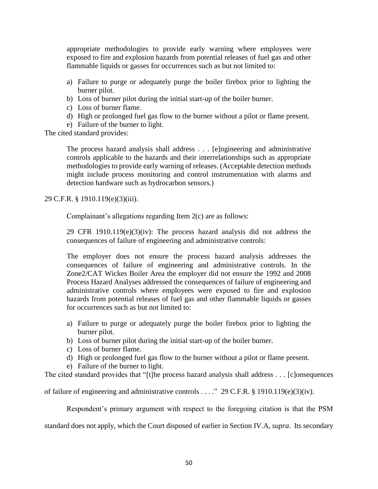appropriate methodologies to provide early warning where employees were exposed to fire and explosion hazards from potential releases of fuel gas and other flammable liquids or gasses for occurrences such as but not limited to:

- a) Failure to purge or adequately purge the boiler firebox prior to lighting the burner pilot.
- b) Loss of burner pilot during the initial start-up of the boiler burner.
- c) Loss of burner flame.
- d) High or prolonged fuel gas flow to the burner without a pilot or flame present.
- e) Failure of the burner to light.

The cited standard provides:

The process hazard analysis shall address . . . [e]ngineering and administrative controls applicable to the hazards and their interrelationships such as appropriate methodologies to provide early warning of releases. (Acceptable detection methods might include process monitoring and control instrumentation with alarms and detection hardware such as hydrocarbon sensors.)

29 C.F.R. § 1910.119(e)(3)(iii).

Complainant's allegations regarding Item 2(c) are as follows:

29 CFR 1910.119(e)(3)(iv): The process hazard analysis did not address the consequences of failure of engineering and administrative controls:

The employer does not ensure the process hazard analysis addresses the consequences of failure of engineering and administrative controls. In the Zone2/CAT Wickes Boiler Area the employer did not ensure the 1992 and 2008 Process Hazard Analyses addressed the consequences of failure of engineering and administrative controls where employees were exposed to fire and explosion hazards from potential releases of fuel gas and other flammable liquids or gasses for occurrences such as but not limited to:

- a) Failure to purge or adequately purge the boiler firebox prior to lighting the burner pilot.
- b) Loss of burner pilot during the initial start-up of the boiler burner.
- c) Loss of burner flame.
- d) High or prolonged fuel gas flow to the burner without a pilot or flame present.
- e) Failure of the burner to light.

The cited standard provides that "[t]he process hazard analysis shall address . . . [c]onsequences

of failure of engineering and administrative controls . . . ." 29 C.F.R. § 1910.119(e)(3)(iv).

Respondent's primary argument with respect to the foregoing citation is that the PSM

standard does not apply, which the Court disposed of earlier in Section IV.A, *supra*. Its secondary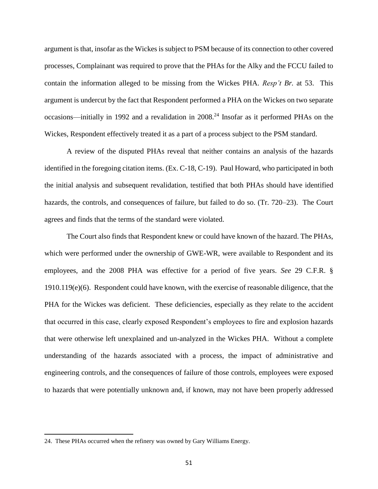argument is that, insofar as the Wickes is subject to PSM because of its connection to other covered processes, Complainant was required to prove that the PHAs for the Alky and the FCCU failed to contain the information alleged to be missing from the Wickes PHA. *Resp't Br.* at 53. This argument is undercut by the fact that Respondent performed a PHA on the Wickes on two separate occasions—initially in 1992 and a revalidation in 2008.<sup>24</sup> Insofar as it performed PHAs on the Wickes, Respondent effectively treated it as a part of a process subject to the PSM standard.

A review of the disputed PHAs reveal that neither contains an analysis of the hazards identified in the foregoing citation items. (Ex. C-18, C-19). Paul Howard, who participated in both the initial analysis and subsequent revalidation, testified that both PHAs should have identified hazards, the controls, and consequences of failure, but failed to do so. (Tr. 720–23). The Court agrees and finds that the terms of the standard were violated.

The Court also finds that Respondent knew or could have known of the hazard. The PHAs, which were performed under the ownership of GWE-WR, were available to Respondent and its employees, and the 2008 PHA was effective for a period of five years. *See* 29 C.F.R. § 1910.119(e)(6). Respondent could have known, with the exercise of reasonable diligence, that the PHA for the Wickes was deficient. These deficiencies, especially as they relate to the accident that occurred in this case, clearly exposed Respondent's employees to fire and explosion hazards that were otherwise left unexplained and un-analyzed in the Wickes PHA. Without a complete understanding of the hazards associated with a process, the impact of administrative and engineering controls, and the consequences of failure of those controls, employees were exposed to hazards that were potentially unknown and, if known, may not have been properly addressed

 $\overline{\phantom{a}}$ 

<sup>24.</sup> These PHAs occurred when the refinery was owned by Gary Williams Energy.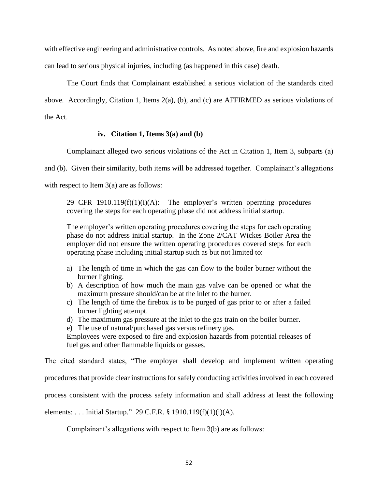with effective engineering and administrative controls. As noted above, fire and explosion hazards can lead to serious physical injuries, including (as happened in this case) death.

The Court finds that Complainant established a serious violation of the standards cited above. Accordingly, Citation 1, Items 2(a), (b), and (c) are AFFIRMED as serious violations of the Act.

# **iv. Citation 1, Items 3(a) and (b)**

Complainant alleged two serious violations of the Act in Citation 1, Item 3, subparts (a)

and (b). Given their similarity, both items will be addressed together. Complainant's allegations

with respect to Item 3(a) are as follows:

29 CFR  $1910.119(f)(1)(i)(A)$ : The employer's written operating procedures covering the steps for each operating phase did not address initial startup.

The employer's written operating procedures covering the steps for each operating phase do not address initial startup. In the Zone 2/CAT Wickes Boiler Area the employer did not ensure the written operating procedures covered steps for each operating phase including initial startup such as but not limited to:

- a) The length of time in which the gas can flow to the boiler burner without the burner lighting.
- b) A description of how much the main gas valve can be opened or what the maximum pressure should/can be at the inlet to the burner.
- c) The length of time the firebox is to be purged of gas prior to or after a failed burner lighting attempt.
- d) The maximum gas pressure at the inlet to the gas train on the boiler burner.
- e) The use of natural/purchased gas versus refinery gas.

Employees were exposed to fire and explosion hazards from potential releases of fuel gas and other flammable liquids or gasses.

The cited standard states, "The employer shall develop and implement written operating

procedures that provide clear instructions for safely conducting activities involved in each covered

process consistent with the process safety information and shall address at least the following

elements: . . . Initial Startup." 29 C.F.R. § 1910.119(f)(1)(i)(A).

Complainant's allegations with respect to Item 3(b) are as follows: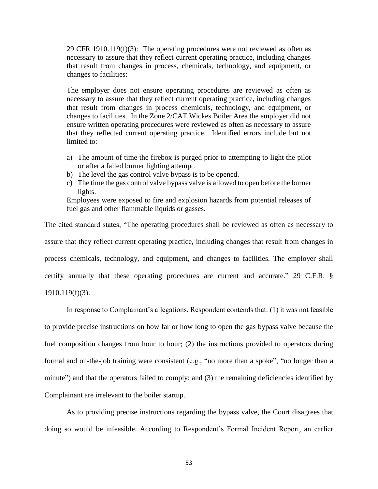29 CFR 1910.119(f)(3): The operating procedures were not reviewed as often as necessary to assure that they reflect current operating practice, including changes that result from changes in process, chemicals, technology, and equipment, or changes to facilities:

The employer does not ensure operating procedures are reviewed as often as necessary to assure that they reflect current operating practice, including changes that result from changes in process chemicals, technology, and equipment, or changes to facilities. In the Zone 2/CAT Wickes Boiler Area the employer did not ensure written operating procedures were reviewed as often as necessary to assure that they reflected current operating practice. Identified errors include but not limited to:

- a) The amount of time the firebox is purged prior to attempting to light the pilot or after a failed burner lighting attempt.
- b) The level the gas control valve bypass is to be opened.
- c) The time the gas control valve bypass valve is allowed to open before the burner lights.

Employees were exposed to fire and explosion hazards from potential releases of fuel gas and other flammable liquids or gasses.

The cited standard states, "The operating procedures shall be reviewed as often as necessary to assure that they reflect current operating practice, including changes that result from changes in process chemicals, technology, and equipment, and changes to facilities. The employer shall certify annually that these operating procedures are current and accurate." 29 C.F.R. § 1910.119(f)(3).

In response to Complainant's allegations, Respondent contends that: (1) it was not feasible to provide precise instructions on how far or how long to open the gas bypass valve because the fuel composition changes from hour to hour; (2) the instructions provided to operators during formal and on-the-job training were consistent (e.g., "no more than a spoke", "no longer than a minute") and that the operators failed to comply; and (3) the remaining deficiencies identified by Complainant are irrelevant to the boiler startup.

As to providing precise instructions regarding the bypass valve, the Court disagrees that doing so would be infeasible. According to Respondent's Formal Incident Report, an earlier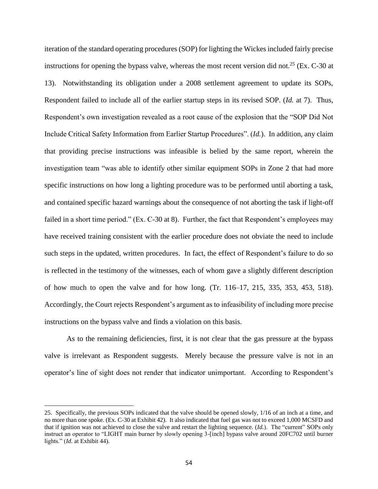iteration of the standard operating procedures (SOP) for lighting the Wickes included fairly precise instructions for opening the bypass valve, whereas the most recent version did not.<sup>25</sup> (Ex. C-30 at 13). Notwithstanding its obligation under a 2008 settlement agreement to update its SOPs, Respondent failed to include all of the earlier startup steps in its revised SOP. (*Id.* at 7). Thus, Respondent's own investigation revealed as a root cause of the explosion that the "SOP Did Not Include Critical Safety Information from Earlier Startup Procedures". (*Id.*). In addition, any claim that providing precise instructions was infeasible is belied by the same report, wherein the investigation team "was able to identify other similar equipment SOPs in Zone 2 that had more specific instructions on how long a lighting procedure was to be performed until aborting a task, and contained specific hazard warnings about the consequence of not aborting the task if light-off failed in a short time period." (Ex. C-30 at 8). Further, the fact that Respondent's employees may have received training consistent with the earlier procedure does not obviate the need to include such steps in the updated, written procedures. In fact, the effect of Respondent's failure to do so is reflected in the testimony of the witnesses, each of whom gave a slightly different description of how much to open the valve and for how long. (Tr. 116–17, 215, 335, 353, 453, 518). Accordingly, the Court rejects Respondent's argument as to infeasibility of including more precise instructions on the bypass valve and finds a violation on this basis.

As to the remaining deficiencies, first, it is not clear that the gas pressure at the bypass valve is irrelevant as Respondent suggests. Merely because the pressure valve is not in an operator's line of sight does not render that indicator unimportant. According to Respondent's

l

<sup>25.</sup> Specifically, the previous SOPs indicated that the valve should be opened slowly, 1/16 of an inch at a time, and no more than one spoke. (Ex. C-30 at Exhibit 42). It also indicated that fuel gas was not to exceed 1,000 MCSFD and that if ignition was not achieved to close the valve and restart the lighting sequence. (*Id.*). The "current" SOPs only instruct an operator to "LIGHT main burner by slowly opening 3-[inch] bypass valve around 20FC702 until burner lights." (*Id.* at Exhibit 44).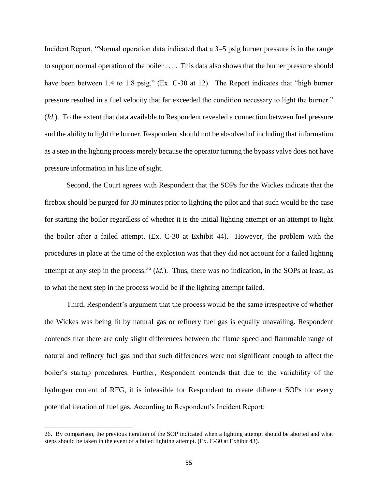Incident Report, "Normal operation data indicated that a 3–5 psig burner pressure is in the range to support normal operation of the boiler . . . . This data also shows that the burner pressure should have been between 1.4 to 1.8 psig." (Ex. C-30 at 12). The Report indicates that "high burner pressure resulted in a fuel velocity that far exceeded the condition necessary to light the burner." (*Id.*). To the extent that data available to Respondent revealed a connection between fuel pressure and the ability to light the burner, Respondent should not be absolved of including that information as a step in the lighting process merely because the operator turning the bypass valve does not have pressure information in his line of sight.

Second, the Court agrees with Respondent that the SOPs for the Wickes indicate that the firebox should be purged for 30 minutes prior to lighting the pilot and that such would be the case for starting the boiler regardless of whether it is the initial lighting attempt or an attempt to light the boiler after a failed attempt. (Ex. C-30 at Exhibit 44). However, the problem with the procedures in place at the time of the explosion was that they did not account for a failed lighting attempt at any step in the process.<sup>26</sup> (*Id.*). Thus, there was no indication, in the SOPs at least, as to what the next step in the process would be if the lighting attempt failed.

Third, Respondent's argument that the process would be the same irrespective of whether the Wickes was being lit by natural gas or refinery fuel gas is equally unavailing. Respondent contends that there are only slight differences between the flame speed and flammable range of natural and refinery fuel gas and that such differences were not significant enough to affect the boiler's startup procedures. Further, Respondent contends that due to the variability of the hydrogen content of RFG, it is infeasible for Respondent to create different SOPs for every potential iteration of fuel gas. According to Respondent's Incident Report:

 $\overline{a}$ 

<sup>26.</sup> By comparison, the previous iteration of the SOP indicated when a lighting attempt should be aborted and what steps should be taken in the event of a failed lighting attempt. (Ex. C-30 at Exhibit 43).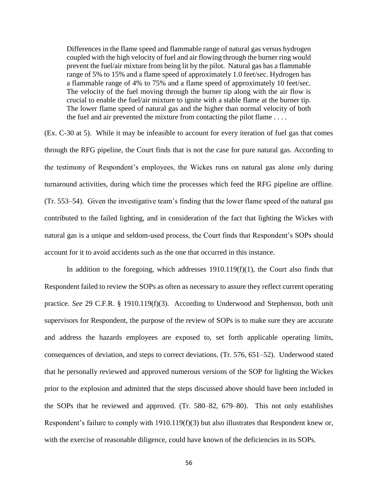Differences in the flame speed and flammable range of natural gas versus hydrogen coupled with the high velocity of fuel and air flowing through the burner ring would prevent the fuel/air mixture from being lit by the pilot. Natural gas has a flammable range of 5% to 15% and a flame speed of approximately 1.0 feet/sec. Hydrogen has a flammable range of 4% to 75% and a flame speed of approximately 10 feet/sec. The velocity of the fuel moving through the burner tip along with the air flow is crucial to enable the fuel/air mixture to ignite with a stable flame at the burner tip. The lower flame speed of natural gas and the higher than normal velocity of both the fuel and air prevented the mixture from contacting the pilot flame . . . .

(Ex. C-30 at 5). While it may be infeasible to account for every iteration of fuel gas that comes through the RFG pipeline, the Court finds that is not the case for pure natural gas. According to the testimony of Respondent's employees, the Wickes runs on natural gas alone only during turnaround activities, during which time the processes which feed the RFG pipeline are offline. (Tr. 553–54). Given the investigative team's finding that the lower flame speed of the natural gas contributed to the failed lighting, and in consideration of the fact that lighting the Wickes with natural gas is a unique and seldom-used process, the Court finds that Respondent's SOPs should account for it to avoid accidents such as the one that occurred in this instance.

In addition to the foregoing, which addresses  $1910.119(f)(1)$ , the Court also finds that Respondent failed to review the SOPs as often as necessary to assure they reflect current operating practice. *See* 29 C.F.R. § 1910.119(f)(3). According to Underwood and Stephenson, both unit supervisors for Respondent, the purpose of the review of SOPs is to make sure they are accurate and address the hazards employees are exposed to, set forth applicable operating limits, consequences of deviation, and steps to correct deviations. (Tr. 576, 651–52). Underwood stated that he personally reviewed and approved numerous versions of the SOP for lighting the Wickes prior to the explosion and admitted that the steps discussed above should have been included in the SOPs that he reviewed and approved. (Tr. 580–82, 679–80). This not only establishes Respondent's failure to comply with 1910.119(f)(3) but also illustrates that Respondent knew or, with the exercise of reasonable diligence, could have known of the deficiencies in its SOPs.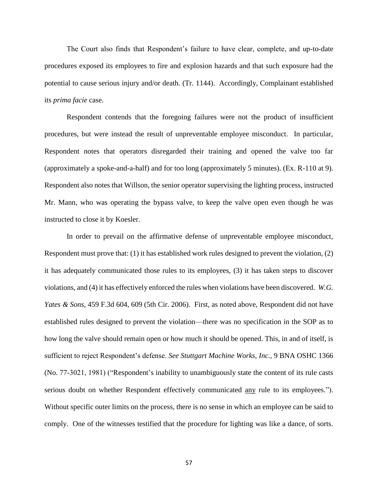The Court also finds that Respondent's failure to have clear, complete, and up-to-date procedures exposed its employees to fire and explosion hazards and that such exposure had the potential to cause serious injury and/or death. (Tr. 1144). Accordingly, Complainant established its *prima facie* case.

Respondent contends that the foregoing failures were not the product of insufficient procedures, but were instead the result of unpreventable employee misconduct. In particular, Respondent notes that operators disregarded their training and opened the valve too far (approximately a spoke-and-a-half) and for too long (approximately 5 minutes). (Ex. R-110 at 9). Respondent also notes that Willson, the senior operator supervising the lighting process, instructed Mr. Mann, who was operating the bypass valve, to keep the valve open even though he was instructed to close it by Koesler.

In order to prevail on the affirmative defense of unpreventable employee misconduct, Respondent must prove that: (1) it has established work rules designed to prevent the violation, (2) it has adequately communicated those rules to its employees, (3) it has taken steps to discover violations, and (4) it has effectively enforced the rules when violations have been discovered. *W.G. Yates & Sons*, 459 F.3d 604, 609 (5th Cir. 2006). First, as noted above, Respondent did not have established rules designed to prevent the violation—there was no specification in the SOP as to how long the valve should remain open or how much it should be opened. This, in and of itself, is sufficient to reject Respondent's defense. *See Stuttgart Machine Works, Inc.*, 9 BNA OSHC 1366 (No. 77-3021, 1981) ("Respondent's inability to unambiguously state the content of its rule casts serious doubt on whether Respondent effectively communicated <u>any</u> rule to its employees."). Without specific outer limits on the process, there is no sense in which an employee can be said to comply. One of the witnesses testified that the procedure for lighting was like a dance, of sorts.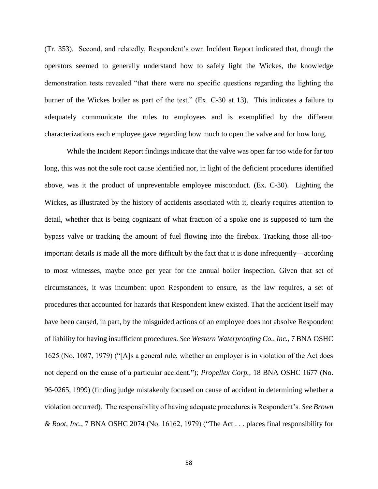(Tr. 353). Second, and relatedly, Respondent's own Incident Report indicated that, though the operators seemed to generally understand how to safely light the Wickes, the knowledge demonstration tests revealed "that there were no specific questions regarding the lighting the burner of the Wickes boiler as part of the test." (Ex. C-30 at 13). This indicates a failure to adequately communicate the rules to employees and is exemplified by the different characterizations each employee gave regarding how much to open the valve and for how long.

While the Incident Report findings indicate that the valve was open far too wide for far too long, this was not the sole root cause identified nor, in light of the deficient procedures identified above, was it the product of unpreventable employee misconduct. (Ex. C-30). Lighting the Wickes, as illustrated by the history of accidents associated with it, clearly requires attention to detail, whether that is being cognizant of what fraction of a spoke one is supposed to turn the bypass valve or tracking the amount of fuel flowing into the firebox. Tracking those all-tooimportant details is made all the more difficult by the fact that it is done infrequently—according to most witnesses, maybe once per year for the annual boiler inspection. Given that set of circumstances, it was incumbent upon Respondent to ensure, as the law requires, a set of procedures that accounted for hazards that Respondent knew existed. That the accident itself may have been caused, in part, by the misguided actions of an employee does not absolve Respondent of liability for having insufficient procedures. *See Western Waterproofing Co., Inc.*, 7 BNA OSHC 1625 (No. 1087, 1979) ("[A]s a general rule, whether an employer is in violation of the Act does not depend on the cause of a particular accident."); *Propellex Corp.*, 18 BNA OSHC 1677 (No. 96-0265, 1999) (finding judge mistakenly focused on cause of accident in determining whether a violation occurred). The responsibility of having adequate procedures is Respondent's. *See Brown & Root, Inc.*, 7 BNA OSHC 2074 (No. 16162, 1979) ("The Act . . . places final responsibility for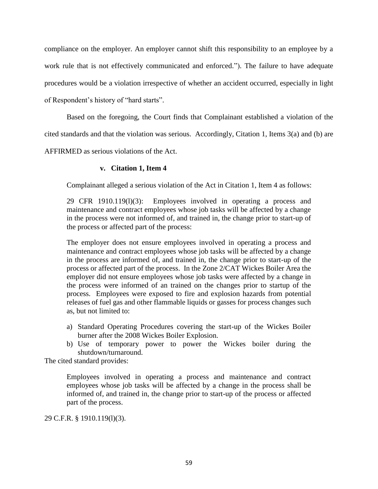compliance on the employer. An employer cannot shift this responsibility to an employee by a work rule that is not effectively communicated and enforced."). The failure to have adequate procedures would be a violation irrespective of whether an accident occurred, especially in light of Respondent's history of "hard starts".

Based on the foregoing, the Court finds that Complainant established a violation of the

cited standards and that the violation was serious. Accordingly, Citation 1, Items 3(a) and (b) are

AFFIRMED as serious violations of the Act.

## **v. Citation 1, Item 4**

Complainant alleged a serious violation of the Act in Citation 1, Item 4 as follows:

29 CFR 1910.119(l)(3): Employees involved in operating a process and maintenance and contract employees whose job tasks will be affected by a change in the process were not informed of, and trained in, the change prior to start-up of the process or affected part of the process:

The employer does not ensure employees involved in operating a process and maintenance and contract employees whose job tasks will be affected by a change in the process are informed of, and trained in, the change prior to start-up of the process or affected part of the process. In the Zone 2/CAT Wickes Boiler Area the employer did not ensure employees whose job tasks were affected by a change in the process were informed of an trained on the changes prior to startup of the process. Employees were exposed to fire and explosion hazards from potential releases of fuel gas and other flammable liquids or gasses for process changes such as, but not limited to:

- a) Standard Operating Procedures covering the start-up of the Wickes Boiler burner after the 2008 Wickes Boiler Explosion.
- b) Use of temporary power to power the Wickes boiler during the shutdown/turnaround.

The cited standard provides:

Employees involved in operating a process and maintenance and contract employees whose job tasks will be affected by a change in the process shall be informed of, and trained in, the change prior to start-up of the process or affected part of the process.

29 C.F.R. § 1910.119(l)(3).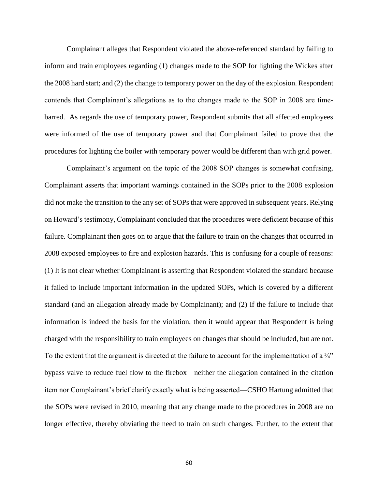Complainant alleges that Respondent violated the above-referenced standard by failing to inform and train employees regarding (1) changes made to the SOP for lighting the Wickes after the 2008 hard start; and (2) the change to temporary power on the day of the explosion. Respondent contends that Complainant's allegations as to the changes made to the SOP in 2008 are timebarred. As regards the use of temporary power, Respondent submits that all affected employees were informed of the use of temporary power and that Complainant failed to prove that the procedures for lighting the boiler with temporary power would be different than with grid power.

Complainant's argument on the topic of the 2008 SOP changes is somewhat confusing. Complainant asserts that important warnings contained in the SOPs prior to the 2008 explosion did not make the transition to the any set of SOPs that were approved in subsequent years. Relying on Howard's testimony, Complainant concluded that the procedures were deficient because of this failure. Complainant then goes on to argue that the failure to train on the changes that occurred in 2008 exposed employees to fire and explosion hazards. This is confusing for a couple of reasons: (1) It is not clear whether Complainant is asserting that Respondent violated the standard because it failed to include important information in the updated SOPs, which is covered by a different standard (and an allegation already made by Complainant); and (2) If the failure to include that information is indeed the basis for the violation, then it would appear that Respondent is being charged with the responsibility to train employees on changes that should be included, but are not. To the extent that the argument is directed at the failure to account for the implementation of a  $\frac{3}{4}$ " bypass valve to reduce fuel flow to the firebox—neither the allegation contained in the citation item nor Complainant's brief clarify exactly what is being asserted—CSHO Hartung admitted that the SOPs were revised in 2010, meaning that any change made to the procedures in 2008 are no longer effective, thereby obviating the need to train on such changes. Further, to the extent that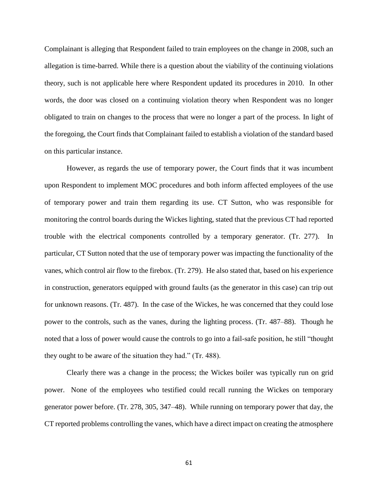Complainant is alleging that Respondent failed to train employees on the change in 2008, such an allegation is time-barred. While there is a question about the viability of the continuing violations theory, such is not applicable here where Respondent updated its procedures in 2010. In other words, the door was closed on a continuing violation theory when Respondent was no longer obligated to train on changes to the process that were no longer a part of the process. In light of the foregoing, the Court finds that Complainant failed to establish a violation of the standard based on this particular instance.

However, as regards the use of temporary power, the Court finds that it was incumbent upon Respondent to implement MOC procedures and both inform affected employees of the use of temporary power and train them regarding its use. CT Sutton, who was responsible for monitoring the control boards during the Wickes lighting, stated that the previous CT had reported trouble with the electrical components controlled by a temporary generator. (Tr. 277). In particular, CT Sutton noted that the use of temporary power was impacting the functionality of the vanes, which control air flow to the firebox. (Tr. 279). He also stated that, based on his experience in construction, generators equipped with ground faults (as the generator in this case) can trip out for unknown reasons. (Tr. 487). In the case of the Wickes, he was concerned that they could lose power to the controls, such as the vanes, during the lighting process. (Tr. 487–88). Though he noted that a loss of power would cause the controls to go into a fail-safe position, he still "thought they ought to be aware of the situation they had." (Tr. 488).

Clearly there was a change in the process; the Wickes boiler was typically run on grid power. None of the employees who testified could recall running the Wickes on temporary generator power before. (Tr. 278, 305, 347–48). While running on temporary power that day, the CT reported problems controlling the vanes, which have a direct impact on creating the atmosphere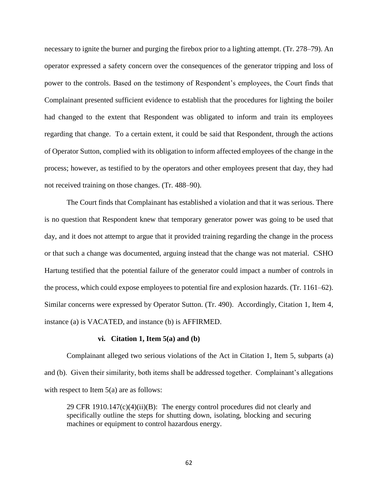necessary to ignite the burner and purging the firebox prior to a lighting attempt. (Tr. 278–79). An operator expressed a safety concern over the consequences of the generator tripping and loss of power to the controls. Based on the testimony of Respondent's employees, the Court finds that Complainant presented sufficient evidence to establish that the procedures for lighting the boiler had changed to the extent that Respondent was obligated to inform and train its employees regarding that change. To a certain extent, it could be said that Respondent, through the actions of Operator Sutton, complied with its obligation to inform affected employees of the change in the process; however, as testified to by the operators and other employees present that day, they had not received training on those changes. (Tr. 488–90).

The Court finds that Complainant has established a violation and that it was serious. There is no question that Respondent knew that temporary generator power was going to be used that day, and it does not attempt to argue that it provided training regarding the change in the process or that such a change was documented, arguing instead that the change was not material. CSHO Hartung testified that the potential failure of the generator could impact a number of controls in the process, which could expose employees to potential fire and explosion hazards. (Tr. 1161–62). Similar concerns were expressed by Operator Sutton. (Tr. 490). Accordingly, Citation 1, Item 4, instance (a) is VACATED, and instance (b) is AFFIRMED.

#### **vi. Citation 1, Item 5(a) and (b)**

Complainant alleged two serious violations of the Act in Citation 1, Item 5, subparts (a) and (b). Given their similarity, both items shall be addressed together. Complainant's allegations with respect to Item 5(a) are as follows:

29 CFR 1910.147 $(c)(4)(ii)(B)$ : The energy control procedures did not clearly and specifically outline the steps for shutting down, isolating, blocking and securing machines or equipment to control hazardous energy.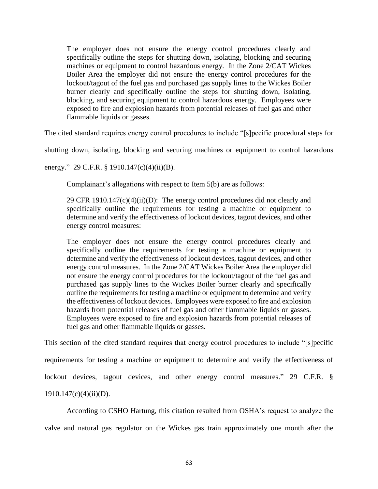The employer does not ensure the energy control procedures clearly and specifically outline the steps for shutting down, isolating, blocking and securing machines or equipment to control hazardous energy. In the Zone 2/CAT Wickes Boiler Area the employer did not ensure the energy control procedures for the lockout/tagout of the fuel gas and purchased gas supply lines to the Wickes Boiler burner clearly and specifically outline the steps for shutting down, isolating, blocking, and securing equipment to control hazardous energy. Employees were exposed to fire and explosion hazards from potential releases of fuel gas and other flammable liquids or gasses.

The cited standard requires energy control procedures to include "[s]pecific procedural steps for

shutting down, isolating, blocking and securing machines or equipment to control hazardous

energy." 29 C.F.R. § 1910.147(c)(4)(ii)(B).

Complainant's allegations with respect to Item 5(b) are as follows:

29 CFR 1910.147 $(c)(4)(ii)(D)$ : The energy control procedures did not clearly and specifically outline the requirements for testing a machine or equipment to determine and verify the effectiveness of lockout devices, tagout devices, and other energy control measures:

The employer does not ensure the energy control procedures clearly and specifically outline the requirements for testing a machine or equipment to determine and verify the effectiveness of lockout devices, tagout devices, and other energy control measures. In the Zone 2/CAT Wickes Boiler Area the employer did not ensure the energy control procedures for the lockout/tagout of the fuel gas and purchased gas supply lines to the Wickes Boiler burner clearly and specifically outline the requirements for testing a machine or equipment to determine and verify the effectiveness of lockout devices. Employees were exposed to fire and explosion hazards from potential releases of fuel gas and other flammable liquids or gasses. Employees were exposed to fire and explosion hazards from potential releases of fuel gas and other flammable liquids or gasses.

This section of the cited standard requires that energy control procedures to include "[s]pecific requirements for testing a machine or equipment to determine and verify the effectiveness of lockout devices, tagout devices, and other energy control measures." 29 C.F.R. § 1910.147(c)(4)(ii)(D).

According to CSHO Hartung, this citation resulted from OSHA's request to analyze the valve and natural gas regulator on the Wickes gas train approximately one month after the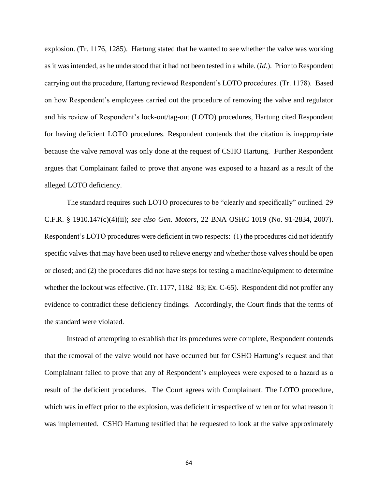explosion. (Tr. 1176, 1285). Hartung stated that he wanted to see whether the valve was working as it was intended, as he understood that it had not been tested in a while. (*Id.*). Prior to Respondent carrying out the procedure, Hartung reviewed Respondent's LOTO procedures. (Tr. 1178). Based on how Respondent's employees carried out the procedure of removing the valve and regulator and his review of Respondent's lock-out/tag-out (LOTO) procedures, Hartung cited Respondent for having deficient LOTO procedures. Respondent contends that the citation is inappropriate because the valve removal was only done at the request of CSHO Hartung. Further Respondent argues that Complainant failed to prove that anyone was exposed to a hazard as a result of the alleged LOTO deficiency.

The standard requires such LOTO procedures to be "clearly and specifically" outlined. 29 C.F.R. § 1910.147(c)(4)(ii); *see also Gen. Motors*, 22 BNA OSHC 1019 (No. 91-2834, 2007). Respondent's LOTO procedures were deficient in two respects: (1) the procedures did not identify specific valves that may have been used to relieve energy and whether those valves should be open or closed; and (2) the procedures did not have steps for testing a machine/equipment to determine whether the lockout was effective. (Tr. 1177, 1182–83; Ex. C-65). Respondent did not proffer any evidence to contradict these deficiency findings. Accordingly, the Court finds that the terms of the standard were violated.

Instead of attempting to establish that its procedures were complete, Respondent contends that the removal of the valve would not have occurred but for CSHO Hartung's request and that Complainant failed to prove that any of Respondent's employees were exposed to a hazard as a result of the deficient procedures. The Court agrees with Complainant. The LOTO procedure, which was in effect prior to the explosion, was deficient irrespective of when or for what reason it was implemented. CSHO Hartung testified that he requested to look at the valve approximately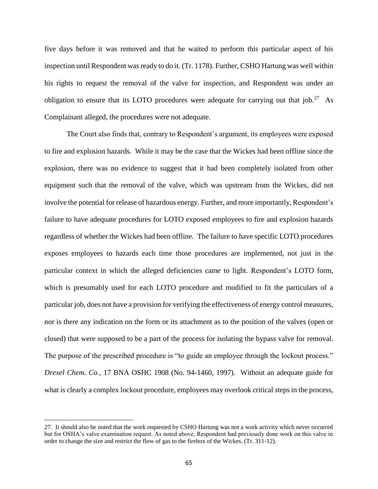five days before it was removed and that he waited to perform this particular aspect of his inspection until Respondent was ready to do it. (Tr. 1178). Further, CSHO Hartung was well within his rights to request the removal of the valve for inspection, and Respondent was under an obligation to ensure that its LOTO procedures were adequate for carrying out that  $job.^{27}$ . As Complainant alleged, the procedures were not adequate.

The Court also finds that, contrary to Respondent's argument, its employees were exposed to fire and explosion hazards. While it may be the case that the Wickes had been offline since the explosion, there was no evidence to suggest that it had been completely isolated from other equipment such that the removal of the valve, which was upstream from the Wickes, did not involve the potential for release of hazardous energy. Further, and more importantly, Respondent's failure to have adequate procedures for LOTO exposed employees to fire and explosion hazards regardless of whether the Wickes had been offline. The failure to have specific LOTO procedures exposes employees to hazards each time those procedures are implemented, not just in the particular context in which the alleged deficiencies came to light. Respondent's LOTO form, which is presumably used for each LOTO procedure and modified to fit the particulars of a particular job, does not have a provision for verifying the effectiveness of energy control measures, nor is there any indication on the form or its attachment as to the position of the valves (open or closed) that were supposed to be a part of the process for isolating the bypass valve for removal. The purpose of the prescribed procedure is "to guide an employee through the lockout process." *Drexel Chem. Co.*, 17 BNA OSHC 1908 (No. 94-1460, 1997). Without an adequate guide for what is clearly a complex lockout procedure, employees may overlook critical steps in the process,

 $\overline{\phantom{a}}$ 

<sup>27.</sup> It should also be noted that the work requested by CSHO Hartung was not a work activity which never occurred but for OSHA's valve examination request. As noted above, Respondent had previously done work on this valve in order to change the size and restrict the flow of gas to the firebox of the Wickes. (Tr. 311-12).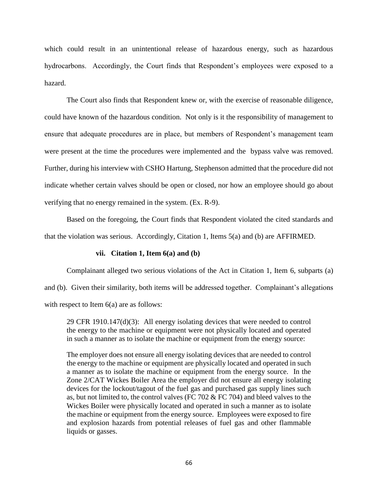which could result in an unintentional release of hazardous energy, such as hazardous hydrocarbons. Accordingly, the Court finds that Respondent's employees were exposed to a hazard.

The Court also finds that Respondent knew or, with the exercise of reasonable diligence, could have known of the hazardous condition. Not only is it the responsibility of management to ensure that adequate procedures are in place, but members of Respondent's management team were present at the time the procedures were implemented and the bypass valve was removed. Further, during his interview with CSHO Hartung, Stephenson admitted that the procedure did not indicate whether certain valves should be open or closed, nor how an employee should go about verifying that no energy remained in the system. (Ex. R-9).

Based on the foregoing, the Court finds that Respondent violated the cited standards and that the violation was serious. Accordingly, Citation 1, Items 5(a) and (b) are AFFIRMED.

## **vii. Citation 1, Item 6(a) and (b)**

Complainant alleged two serious violations of the Act in Citation 1, Item 6, subparts (a) and (b). Given their similarity, both items will be addressed together. Complainant's allegations with respect to Item 6(a) are as follows:

29 CFR 1910.147(d)(3): All energy isolating devices that were needed to control the energy to the machine or equipment were not physically located and operated in such a manner as to isolate the machine or equipment from the energy source:

The employer does not ensure all energy isolating devices that are needed to control the energy to the machine or equipment are physically located and operated in such a manner as to isolate the machine or equipment from the energy source. In the Zone 2/CAT Wickes Boiler Area the employer did not ensure all energy isolating devices for the lockout/tagout of the fuel gas and purchased gas supply lines such as, but not limited to, the control valves (FC 702 & FC 704) and bleed valves to the Wickes Boiler were physically located and operated in such a manner as to isolate the machine or equipment from the energy source. Employees were exposed to fire and explosion hazards from potential releases of fuel gas and other flammable liquids or gasses.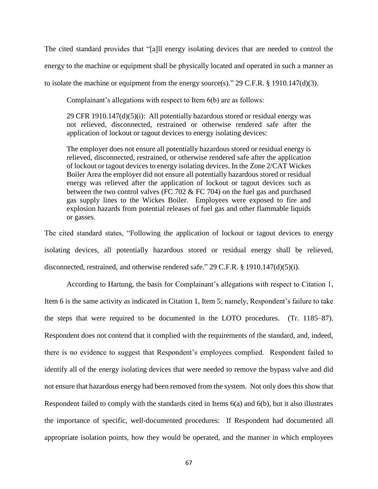The cited standard provides that "[a]ll energy isolating devices that are needed to control the energy to the machine or equipment shall be physically located and operated in such a manner as to isolate the machine or equipment from the energy source(s)." 29 C.F.R. § 1910.147(d)(3).

Complainant's allegations with respect to Item 6(b) are as follows:

29 CFR 1910.147 $(d)(5)(i)$ : All potentially hazardous stored or residual energy was not relieved, disconnected, restrained or otherwise rendered safe after the application of lockout or tagout devices to energy isolating devices:

The employer does not ensure all potentially hazardous stored or residual energy is relieved, disconnected, restrained, or otherwise rendered safe after the application of lockout or tagout devices to energy isolating devices. In the Zone 2/CAT Wickes Boiler Area the employer did not ensure all potentially hazardous stored or residual energy was relieved after the application of lockout or tagout devices such as between the two control valves (FC 702  $&$  FC 704) on the fuel gas and purchased gas supply lines to the Wickes Boiler. Employees were exposed to fire and explosion hazards from potential releases of fuel gas and other flammable liquids or gasses.

The cited standard states, "Following the application of lockout or tagout devices to energy isolating devices, all potentially hazardous stored or residual energy shall be relieved, disconnected, restrained, and otherwise rendered safe." 29 C.F.R. § 1910.147(d)(5)(i).

According to Hartung, the basis for Complainant's allegations with respect to Citation 1, Item 6 is the same activity as indicated in Citation 1, Item 5; namely, Respondent's failure to take the steps that were required to be documented in the LOTO procedures. (Tr. 1185–87). Respondent does not contend that it complied with the requirements of the standard, and, indeed, there is no evidence to suggest that Respondent's employees complied. Respondent failed to identify all of the energy isolating devices that were needed to remove the bypass valve and did not ensure that hazardous energy had been removed from the system. Not only does this show that Respondent failed to comply with the standards cited in Items 6(a) and 6(b), but it also illustrates the importance of specific, well-documented procedures: If Respondent had documented all appropriate isolation points, how they would be operated, and the manner in which employees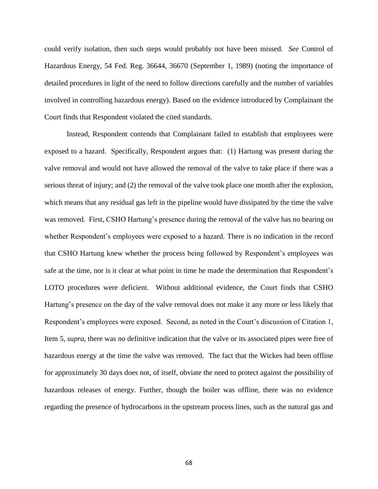could verify isolation, then such steps would probably not have been missed. *See* Control of Hazardous Energy, 54 Fed. Reg. 36644, 36670 (September 1, 1989) (noting the importance of detailed procedures in light of the need to follow directions carefully and the number of variables involved in controlling hazardous energy). Based on the evidence introduced by Complainant the Court finds that Respondent violated the cited standards.

Instead, Respondent contends that Complainant failed to establish that employees were exposed to a hazard. Specifically, Respondent argues that: (1) Hartung was present during the valve removal and would not have allowed the removal of the valve to take place if there was a serious threat of injury; and (2) the removal of the valve took place one month after the explosion, which means that any residual gas left in the pipeline would have dissipated by the time the valve was removed. First, CSHO Hartung's presence during the removal of the valve has no bearing on whether Respondent's employees were exposed to a hazard. There is no indication in the record that CSHO Hartung knew whether the process being followed by Respondent's employees was safe at the time, nor is it clear at what point in time he made the determination that Respondent's LOTO procedures were deficient. Without additional evidence, the Court finds that CSHO Hartung's presence on the day of the valve removal does not make it any more or less likely that Respondent's employees were exposed. Second, as noted in the Court's discussion of Citation 1, Item 5, *supra*, there was no definitive indication that the valve or its associated pipes were free of hazardous energy at the time the valve was removed. The fact that the Wickes had been offline for approximately 30 days does not, of itself, obviate the need to protect against the possibility of hazardous releases of energy. Further, though the boiler was offline, there was no evidence regarding the presence of hydrocarbons in the upstream process lines, such as the natural gas and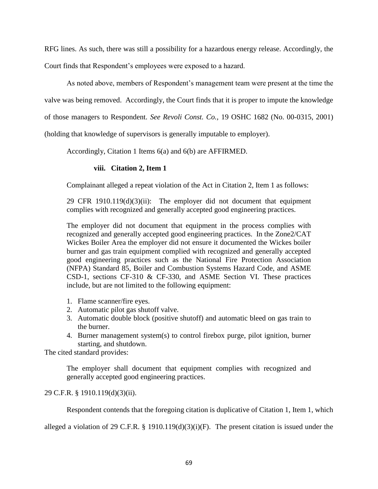RFG lines. As such, there was still a possibility for a hazardous energy release. Accordingly, the Court finds that Respondent's employees were exposed to a hazard.

As noted above, members of Respondent's management team were present at the time the

valve was being removed. Accordingly, the Court finds that it is proper to impute the knowledge

of those managers to Respondent. *See Revoli Const. Co.,* 19 OSHC 1682 (No. 00-0315, 2001)

(holding that knowledge of supervisors is generally imputable to employer).

Accordingly, Citation 1 Items 6(a) and 6(b) are AFFIRMED.

# **viii. Citation 2, Item 1**

Complainant alleged a repeat violation of the Act in Citation 2, Item 1 as follows:

29 CFR 1910.119(d)(3)(ii): The employer did not document that equipment complies with recognized and generally accepted good engineering practices.

The employer did not document that equipment in the process complies with recognized and generally accepted good engineering practices. In the Zone2/CAT Wickes Boiler Area the employer did not ensure it documented the Wickes boiler burner and gas train equipment complied with recognized and generally accepted good engineering practices such as the National Fire Protection Association (NFPA) Standard 85, Boiler and Combustion Systems Hazard Code, and ASME CSD-1, sections CF-310 & CF-330, and ASME Section VI. These practices include, but are not limited to the following equipment:

- 1. Flame scanner/fire eyes.
- 2. Automatic pilot gas shutoff valve.
- 3. Automatic double block (positive shutoff) and automatic bleed on gas train to the burner.
- 4. Burner management system(s) to control firebox purge, pilot ignition, burner starting, and shutdown.

The cited standard provides:

The employer shall document that equipment complies with recognized and generally accepted good engineering practices.

# 29 C.F.R. § 1910.119(d)(3)(ii).

Respondent contends that the foregoing citation is duplicative of Citation 1, Item 1, which

alleged a violation of 29 C.F.R. § 1910.119(d)(3)(i)(F). The present citation is issued under the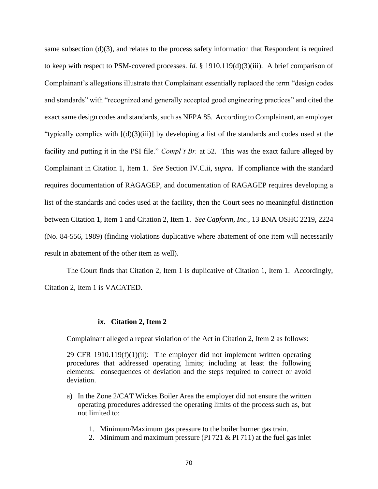same subsection (d)(3), and relates to the process safety information that Respondent is required to keep with respect to PSM-covered processes. *Id.* § 1910.119(d)(3)(iii). A brief comparison of Complainant's allegations illustrate that Complainant essentially replaced the term "design codes and standards" with "recognized and generally accepted good engineering practices" and cited the exact same design codes and standards, such as NFPA 85. According to Complainant, an employer "typically complies with [(d)(3)(iii)] by developing a list of the standards and codes used at the facility and putting it in the PSI file." *Compl't Br.* at 52. This was the exact failure alleged by Complainant in Citation 1, Item 1. *See* Section IV.C.ii, *supra*. If compliance with the standard requires documentation of RAGAGEP, and documentation of RAGAGEP requires developing a list of the standards and codes used at the facility, then the Court sees no meaningful distinction between Citation 1, Item 1 and Citation 2, Item 1. *See Capform, Inc.*, 13 BNA OSHC 2219, 2224 (No. 84-556, 1989) (finding violations duplicative where abatement of one item will necessarily result in abatement of the other item as well).

The Court finds that Citation 2, Item 1 is duplicative of Citation 1, Item 1. Accordingly, Citation 2, Item 1 is VACATED.

#### **ix. Citation 2, Item 2**

Complainant alleged a repeat violation of the Act in Citation 2, Item 2 as follows:

29 CFR 1910.119 $(f)(1)(ii)$ : The employer did not implement written operating procedures that addressed operating limits; including at least the following elements: consequences of deviation and the steps required to correct or avoid deviation.

- a) In the Zone 2/CAT Wickes Boiler Area the employer did not ensure the written operating procedures addressed the operating limits of the process such as, but not limited to:
	- 1. Minimum/Maximum gas pressure to the boiler burner gas train.
	- 2. Minimum and maximum pressure (PI 721 & PI 711) at the fuel gas inlet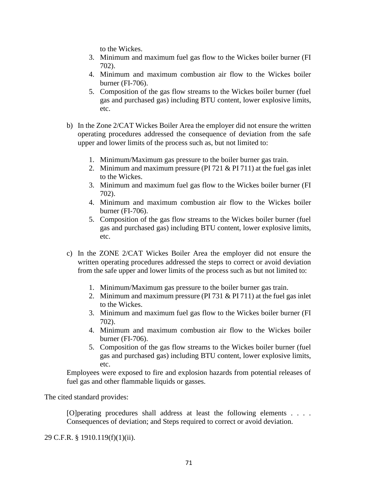to the Wickes.

- 3. Minimum and maximum fuel gas flow to the Wickes boiler burner (FI 702).
- 4. Minimum and maximum combustion air flow to the Wickes boiler burner (FI-706).
- 5. Composition of the gas flow streams to the Wickes boiler burner (fuel gas and purchased gas) including BTU content, lower explosive limits, etc.
- b) In the Zone 2/CAT Wickes Boiler Area the employer did not ensure the written operating procedures addressed the consequence of deviation from the safe upper and lower limits of the process such as, but not limited to:
	- 1. Minimum/Maximum gas pressure to the boiler burner gas train.
	- 2. Minimum and maximum pressure (PI 721 & PI 711) at the fuel gas inlet to the Wickes.
	- 3. Minimum and maximum fuel gas flow to the Wickes boiler burner (FI 702).
	- 4. Minimum and maximum combustion air flow to the Wickes boiler burner (FI-706).
	- 5. Composition of the gas flow streams to the Wickes boiler burner (fuel gas and purchased gas) including BTU content, lower explosive limits, etc.
- c) In the ZONE 2/CAT Wickes Boiler Area the employer did not ensure the written operating procedures addressed the steps to correct or avoid deviation from the safe upper and lower limits of the process such as but not limited to:
	- 1. Minimum/Maximum gas pressure to the boiler burner gas train.
	- 2. Minimum and maximum pressure (PI 731 & PI 711) at the fuel gas inlet to the Wickes.
	- 3. Minimum and maximum fuel gas flow to the Wickes boiler burner (FI 702).
	- 4. Minimum and maximum combustion air flow to the Wickes boiler burner (FI-706).
	- 5. Composition of the gas flow streams to the Wickes boiler burner (fuel gas and purchased gas) including BTU content, lower explosive limits, etc.

Employees were exposed to fire and explosion hazards from potential releases of fuel gas and other flammable liquids or gasses.

The cited standard provides:

[O]perating procedures shall address at least the following elements . . . . Consequences of deviation; and Steps required to correct or avoid deviation.

29 C.F.R. § 1910.119(f)(1)(ii).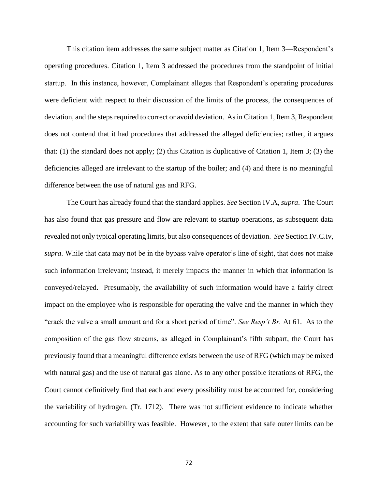This citation item addresses the same subject matter as Citation 1, Item 3—Respondent's operating procedures. Citation 1, Item 3 addressed the procedures from the standpoint of initial startup. In this instance, however, Complainant alleges that Respondent's operating procedures were deficient with respect to their discussion of the limits of the process, the consequences of deviation, and the steps required to correct or avoid deviation. As in Citation 1, Item 3, Respondent does not contend that it had procedures that addressed the alleged deficiencies; rather, it argues that: (1) the standard does not apply; (2) this Citation is duplicative of Citation 1, Item 3; (3) the deficiencies alleged are irrelevant to the startup of the boiler; and (4) and there is no meaningful difference between the use of natural gas and RFG.

The Court has already found that the standard applies. *See* Section IV.A, *supra*. The Court has also found that gas pressure and flow are relevant to startup operations, as subsequent data revealed not only typical operating limits, but also consequences of deviation. *See* Section IV.C.iv, *supra*. While that data may not be in the bypass valve operator's line of sight, that does not make such information irrelevant; instead, it merely impacts the manner in which that information is conveyed/relayed. Presumably, the availability of such information would have a fairly direct impact on the employee who is responsible for operating the valve and the manner in which they "crack the valve a small amount and for a short period of time". *See Resp't Br.* At 61. As to the composition of the gas flow streams, as alleged in Complainant's fifth subpart, the Court has previously found that a meaningful difference exists between the use of RFG (which may be mixed with natural gas) and the use of natural gas alone. As to any other possible iterations of RFG, the Court cannot definitively find that each and every possibility must be accounted for, considering the variability of hydrogen. (Tr. 1712). There was not sufficient evidence to indicate whether accounting for such variability was feasible. However, to the extent that safe outer limits can be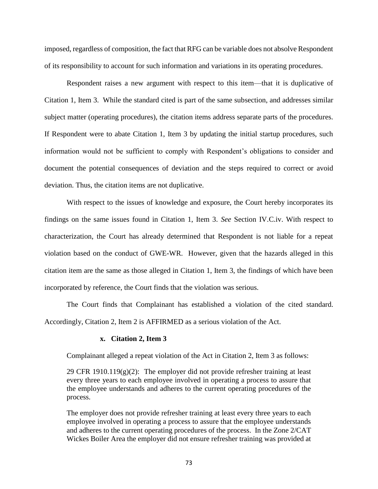imposed, regardless of composition, the fact that RFG can be variable does not absolve Respondent of its responsibility to account for such information and variations in its operating procedures.

Respondent raises a new argument with respect to this item—that it is duplicative of Citation 1, Item 3. While the standard cited is part of the same subsection, and addresses similar subject matter (operating procedures), the citation items address separate parts of the procedures. If Respondent were to abate Citation 1, Item 3 by updating the initial startup procedures, such information would not be sufficient to comply with Respondent's obligations to consider and document the potential consequences of deviation and the steps required to correct or avoid deviation. Thus, the citation items are not duplicative.

With respect to the issues of knowledge and exposure, the Court hereby incorporates its findings on the same issues found in Citation 1, Item 3. *See* Section IV.C.iv. With respect to characterization, the Court has already determined that Respondent is not liable for a repeat violation based on the conduct of GWE-WR. However, given that the hazards alleged in this citation item are the same as those alleged in Citation 1, Item 3, the findings of which have been incorporated by reference, the Court finds that the violation was serious.

The Court finds that Complainant has established a violation of the cited standard. Accordingly, Citation 2, Item 2 is AFFIRMED as a serious violation of the Act.

#### **x. Citation 2, Item 3**

Complainant alleged a repeat violation of the Act in Citation 2, Item 3 as follows:

29 CFR 1910.119 $(g)(2)$ : The employer did not provide refresher training at least every three years to each employee involved in operating a process to assure that the employee understands and adheres to the current operating procedures of the process.

The employer does not provide refresher training at least every three years to each employee involved in operating a process to assure that the employee understands and adheres to the current operating procedures of the process. In the Zone 2/CAT Wickes Boiler Area the employer did not ensure refresher training was provided at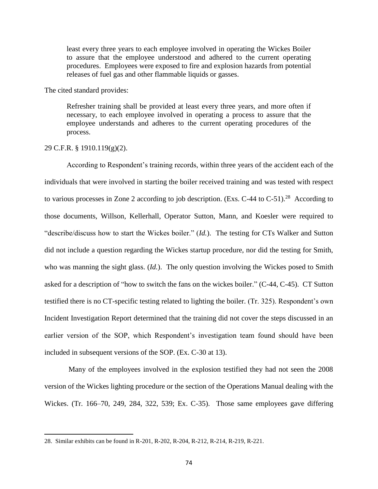least every three years to each employee involved in operating the Wickes Boiler to assure that the employee understood and adhered to the current operating procedures. Employees were exposed to fire and explosion hazards from potential releases of fuel gas and other flammable liquids or gasses.

The cited standard provides:

Refresher training shall be provided at least every three years, and more often if necessary, to each employee involved in operating a process to assure that the employee understands and adheres to the current operating procedures of the process.

### 29 C.F.R. § 1910.119(g)(2).

 $\overline{\phantom{a}}$ 

According to Respondent's training records, within three years of the accident each of the individuals that were involved in starting the boiler received training and was tested with respect to various processes in Zone 2 according to job description. (Exs. C-44 to C-51).<sup>28</sup> According to those documents, Willson, Kellerhall, Operator Sutton, Mann, and Koesler were required to "describe/discuss how to start the Wickes boiler." (*Id.*). The testing for CTs Walker and Sutton did not include a question regarding the Wickes startup procedure, nor did the testing for Smith, who was manning the sight glass. (*Id.*). The only question involving the Wickes posed to Smith asked for a description of "how to switch the fans on the wickes boiler." (C-44, C-45). CT Sutton testified there is no CT-specific testing related to lighting the boiler. (Tr. 325). Respondent's own Incident Investigation Report determined that the training did not cover the steps discussed in an earlier version of the SOP, which Respondent's investigation team found should have been included in subsequent versions of the SOP. (Ex. C-30 at 13).

Many of the employees involved in the explosion testified they had not seen the 2008 version of the Wickes lighting procedure or the section of the Operations Manual dealing with the Wickes. (Tr. 166–70, 249, 284, 322, 539; Ex. C-35). Those same employees gave differing

<sup>28.</sup> Similar exhibits can be found in R-201, R-202, R-204, R-212, R-214, R-219, R-221.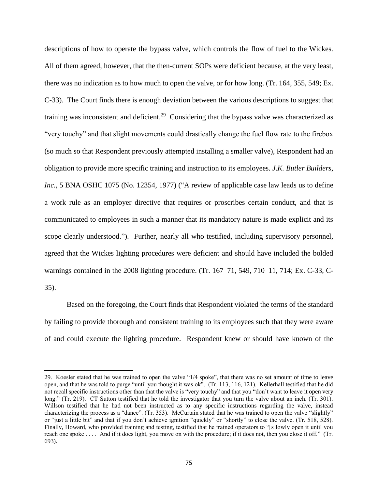descriptions of how to operate the bypass valve, which controls the flow of fuel to the Wickes. All of them agreed, however, that the then-current SOPs were deficient because, at the very least, there was no indication as to how much to open the valve, or for how long. (Tr. 164, 355, 549; Ex. C-33). The Court finds there is enough deviation between the various descriptions to suggest that training was inconsistent and deficient.<sup>29</sup> Considering that the bypass valve was characterized as "very touchy" and that slight movements could drastically change the fuel flow rate to the firebox (so much so that Respondent previously attempted installing a smaller valve), Respondent had an obligation to provide more specific training and instruction to its employees. *J.K. Butler Builders, Inc.*, 5 BNA OSHC 1075 (No. 12354, 1977) ("A review of applicable case law leads us to define a work rule as an employer directive that requires or proscribes certain conduct, and that is communicated to employees in such a manner that its mandatory nature is made explicit and its scope clearly understood."). Further, nearly all who testified, including supervisory personnel, agreed that the Wickes lighting procedures were deficient and should have included the bolded warnings contained in the 2008 lighting procedure. (Tr. 167–71, 549, 710–11, 714; Ex. C-33, C-35).

Based on the foregoing, the Court finds that Respondent violated the terms of the standard by failing to provide thorough and consistent training to its employees such that they were aware of and could execute the lighting procedure. Respondent knew or should have known of the

 $\overline{a}$ 

<sup>29.</sup> Koesler stated that he was trained to open the valve "1/4 spoke", that there was no set amount of time to leave open, and that he was told to purge "until you thought it was ok". (Tr. 113, 116, 121). Kellerhall testified that he did not recall specific instructions other than that the valve is "very touchy" and that you "don't want to leave it open very long." (Tr. 219). CT Sutton testified that he told the investigator that you turn the valve about an inch. (Tr. 301). Willson testified that he had not been instructed as to any specific instructions regarding the valve, instead characterizing the process as a "dance". (Tr. 353). McCurtain stated that he was trained to open the valve "slightly" or "just a little bit" and that if you don't achieve ignition "quickly" or "shortly" to close the valve. (Tr. 518, 528). Finally, Howard, who provided training and testing, testified that he trained operators to "[s]lowly open it until you reach one spoke . . . . And if it does light, you move on with the procedure; if it does not, then you close it off." (Tr. 693).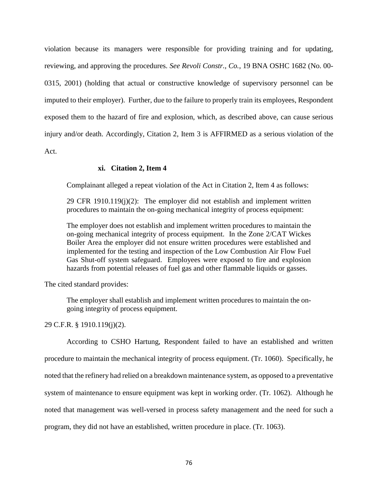violation because its managers were responsible for providing training and for updating, reviewing, and approving the procedures. *See Revoli Constr., Co.*, 19 BNA OSHC 1682 (No. 00- 0315, 2001) (holding that actual or constructive knowledge of supervisory personnel can be imputed to their employer). Further, due to the failure to properly train its employees, Respondent exposed them to the hazard of fire and explosion, which, as described above, can cause serious injury and/or death. Accordingly, Citation 2, Item 3 is AFFIRMED as a serious violation of the Act.

## **xi. Citation 2, Item 4**

Complainant alleged a repeat violation of the Act in Citation 2, Item 4 as follows:

29 CFR 1910.119(j)(2): The employer did not establish and implement written procedures to maintain the on-going mechanical integrity of process equipment:

The employer does not establish and implement written procedures to maintain the on-going mechanical integrity of process equipment. In the Zone 2/CAT Wickes Boiler Area the employer did not ensure written procedures were established and implemented for the testing and inspection of the Low Combustion Air Flow Fuel Gas Shut-off system safeguard. Employees were exposed to fire and explosion hazards from potential releases of fuel gas and other flammable liquids or gasses.

The cited standard provides:

The employer shall establish and implement written procedures to maintain the ongoing integrity of process equipment.

29 C.F.R. § 1910.119(j)(2).

According to CSHO Hartung, Respondent failed to have an established and written procedure to maintain the mechanical integrity of process equipment. (Tr. 1060). Specifically, he noted that the refinery had relied on a breakdown maintenance system, as opposed to a preventative system of maintenance to ensure equipment was kept in working order. (Tr. 1062). Although he noted that management was well-versed in process safety management and the need for such a program, they did not have an established, written procedure in place. (Tr. 1063).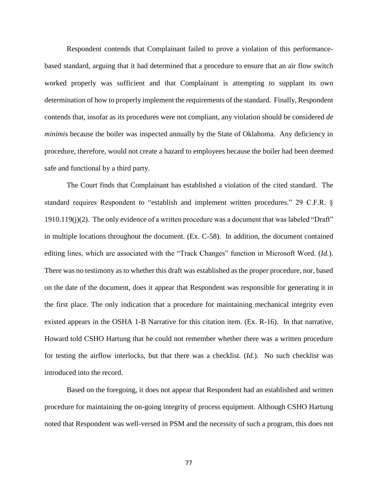Respondent contends that Complainant failed to prove a violation of this performancebased standard, arguing that it had determined that a procedure to ensure that an air flow switch worked properly was sufficient and that Complainant is attempting to supplant its own determination of how to properly implement the requirements of the standard. Finally, Respondent contends that, insofar as its procedures were not compliant, any violation should be considered *de minimis* because the boiler was inspected annually by the State of Oklahoma. Any deficiency in procedure, therefore, would not create a hazard to employees because the boiler had been deemed safe and functional by a third party.

The Court finds that Complainant has established a violation of the cited standard. The standard requires Respondent to "establish and implement written procedures." 29 C.F.R. § 1910.119(j)(2). The only evidence of a written procedure was a document that was labeled "Draft" in multiple locations throughout the document. (Ex. C-58). In addition, the document contained editing lines, which are associated with the "Track Changes" function in Microsoft Word. (*Id.*). There was no testimony as to whether this draft was established as the proper procedure, nor, based on the date of the document, does it appear that Respondent was responsible for generating it in the first place. The only indication that a procedure for maintaining mechanical integrity even existed appears in the OSHA 1-B Narrative for this citation item. (Ex. R-16). In that narrative, Howard told CSHO Hartung that he could not remember whether there was a written procedure for testing the airflow interlocks, but that there was a checklist. (*Id.*). No such checklist was introduced into the record.

Based on the foregoing, it does not appear that Respondent had an established and written procedure for maintaining the on-going integrity of process equipment. Although CSHO Hartung noted that Respondent was well-versed in PSM and the necessity of such a program, this does not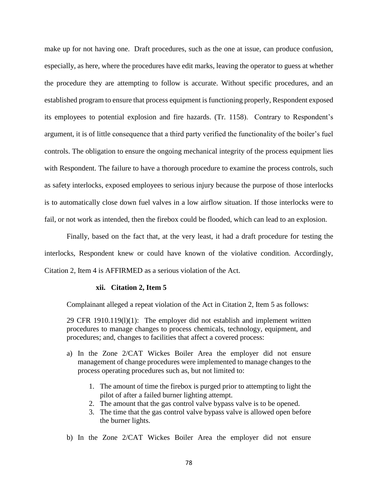make up for not having one. Draft procedures, such as the one at issue, can produce confusion, especially, as here, where the procedures have edit marks, leaving the operator to guess at whether the procedure they are attempting to follow is accurate. Without specific procedures, and an established program to ensure that process equipment is functioning properly, Respondent exposed its employees to potential explosion and fire hazards. (Tr. 1158). Contrary to Respondent's argument, it is of little consequence that a third party verified the functionality of the boiler's fuel controls. The obligation to ensure the ongoing mechanical integrity of the process equipment lies with Respondent. The failure to have a thorough procedure to examine the process controls, such as safety interlocks, exposed employees to serious injury because the purpose of those interlocks is to automatically close down fuel valves in a low airflow situation. If those interlocks were to fail, or not work as intended, then the firebox could be flooded, which can lead to an explosion.

Finally, based on the fact that, at the very least, it had a draft procedure for testing the interlocks, Respondent knew or could have known of the violative condition. Accordingly, Citation 2, Item 4 is AFFIRMED as a serious violation of the Act.

#### **xii. Citation 2, Item 5**

Complainant alleged a repeat violation of the Act in Citation 2, Item 5 as follows:

29 CFR  $1910.119(1)(1)$ : The employer did not establish and implement written procedures to manage changes to process chemicals, technology, equipment, and procedures; and, changes to facilities that affect a covered process:

- a) In the Zone 2/CAT Wickes Boiler Area the employer did not ensure management of change procedures were implemented to manage changes to the process operating procedures such as, but not limited to:
	- 1. The amount of time the firebox is purged prior to attempting to light the pilot of after a failed burner lighting attempt.
	- 2. The amount that the gas control valve bypass valve is to be opened.
	- 3. The time that the gas control valve bypass valve is allowed open before the burner lights.
- b) In the Zone 2/CAT Wickes Boiler Area the employer did not ensure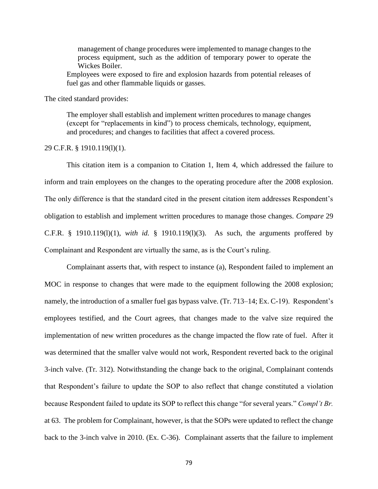management of change procedures were implemented to manage changes to the process equipment, such as the addition of temporary power to operate the Wickes Boiler.

Employees were exposed to fire and explosion hazards from potential releases of fuel gas and other flammable liquids or gasses.

The cited standard provides:

The employer shall establish and implement written procedures to manage changes (except for "replacements in kind") to process chemicals, technology, equipment, and procedures; and changes to facilities that affect a covered process.

#### 29 C.F.R. § 1910.119(l)(1).

This citation item is a companion to Citation 1, Item 4, which addressed the failure to inform and train employees on the changes to the operating procedure after the 2008 explosion. The only difference is that the standard cited in the present citation item addresses Respondent's obligation to establish and implement written procedures to manage those changes. *Compare* 29 C.F.R. § 1910.119(l)(1), *with id.* § 1910.119(l)(3). As such, the arguments proffered by Complainant and Respondent are virtually the same, as is the Court's ruling.

Complainant asserts that, with respect to instance (a), Respondent failed to implement an MOC in response to changes that were made to the equipment following the 2008 explosion; namely, the introduction of a smaller fuel gas bypass valve. (Tr. 713–14; Ex. C-19). Respondent's employees testified, and the Court agrees, that changes made to the valve size required the implementation of new written procedures as the change impacted the flow rate of fuel. After it was determined that the smaller valve would not work, Respondent reverted back to the original 3-inch valve. (Tr. 312). Notwithstanding the change back to the original, Complainant contends that Respondent's failure to update the SOP to also reflect that change constituted a violation because Respondent failed to update its SOP to reflect this change "for several years." *Compl't Br.* at 63. The problem for Complainant, however, is that the SOPs were updated to reflect the change back to the 3-inch valve in 2010. (Ex. C-36). Complainant asserts that the failure to implement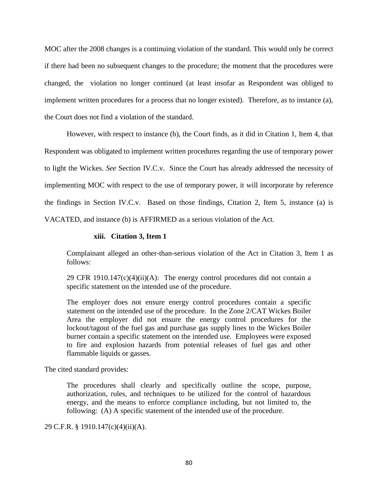MOC after the 2008 changes is a continuing violation of the standard. This would only be correct if there had been no subsequent changes to the procedure; the moment that the procedures were changed, the violation no longer continued (at least insofar as Respondent was obliged to implement written procedures for a process that no longer existed). Therefore, as to instance (a), the Court does not find a violation of the standard.

However, with respect to instance (b), the Court finds, as it did in Citation 1, Item 4, that Respondent was obligated to implement written procedures regarding the use of temporary power to light the Wickes. *See* Section IV.C.v. Since the Court has already addressed the necessity of implementing MOC with respect to the use of temporary power, it will incorporate by reference the findings in Section IV.C.v. Based on those findings, Citation 2, Item 5, instance (a) is VACATED, and instance (b) is AFFIRMED as a serious violation of the Act.

## **xiii. Citation 3, Item 1**

Complainant alleged an other-than-serious violation of the Act in Citation 3, Item 1 as follows:

29 CFR 1910.147 $(c)(4)(ii)(A)$ : The energy control procedures did not contain a specific statement on the intended use of the procedure.

The employer does not ensure energy control procedures contain a specific statement on the intended use of the procedure. In the Zone 2/CAT Wickes Boiler Area the employer did not ensure the energy control procedures for the lockout/tagout of the fuel gas and purchase gas supply lines to the Wickes Boiler burner contain a specific statement on the intended use. Employees were exposed to fire and explosion hazards from potential releases of fuel gas and other flammable liquids or gasses.

The cited standard provides:

The procedures shall clearly and specifically outline the scope, purpose, authorization, rules, and techniques to be utilized for the control of hazardous energy, and the means to enforce compliance including, but not limited to, the following: (A) A specific statement of the intended use of the procedure.

29 C.F.R. § 1910.147(c)(4)(ii)(A).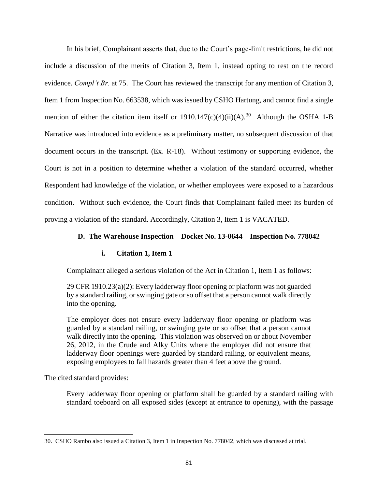In his brief, Complainant asserts that, due to the Court's page-limit restrictions, he did not include a discussion of the merits of Citation 3, Item 1, instead opting to rest on the record evidence. *Compl't Br.* at 75. The Court has reviewed the transcript for any mention of Citation 3, Item 1 from Inspection No. 663538, which was issued by CSHO Hartung, and cannot find a single mention of either the citation item itself or  $1910.147(c)(4)(ii)(A).^{30}$  Although the OSHA 1-B Narrative was introduced into evidence as a preliminary matter, no subsequent discussion of that document occurs in the transcript. (Ex. R-18). Without testimony or supporting evidence, the Court is not in a position to determine whether a violation of the standard occurred, whether Respondent had knowledge of the violation, or whether employees were exposed to a hazardous condition. Without such evidence, the Court finds that Complainant failed meet its burden of proving a violation of the standard. Accordingly, Citation 3, Item 1 is VACATED.

### **D. The Warehouse Inspection – Docket No. 13-0644 – Inspection No. 778042**

### **i. Citation 1, Item 1**

Complainant alleged a serious violation of the Act in Citation 1, Item 1 as follows:

29 CFR 1910.23(a)(2): Every ladderway floor opening or platform was not guarded by a standard railing, or swinging gate or so offset that a person cannot walk directly into the opening.

The employer does not ensure every ladderway floor opening or platform was guarded by a standard railing, or swinging gate or so offset that a person cannot walk directly into the opening. This violation was observed on or about November 26, 2012, in the Crude and Alky Units where the employer did not ensure that ladderway floor openings were guarded by standard railing, or equivalent means, exposing employees to fall hazards greater than 4 feet above the ground.

The cited standard provides:

 $\overline{\phantom{a}}$ 

Every ladderway floor opening or platform shall be guarded by a standard railing with standard toeboard on all exposed sides (except at entrance to opening), with the passage

<sup>30.</sup> CSHO Rambo also issued a Citation 3, Item 1 in Inspection No. 778042, which was discussed at trial.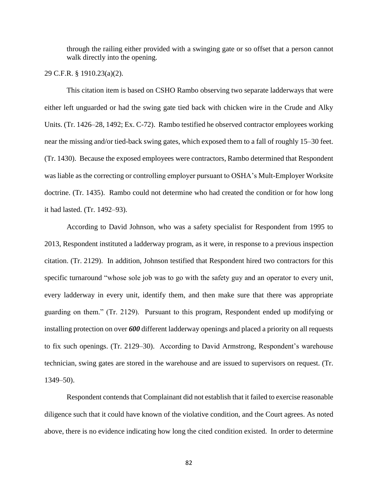through the railing either provided with a swinging gate or so offset that a person cannot walk directly into the opening.

29 C.F.R. § 1910.23(a)(2).

This citation item is based on CSHO Rambo observing two separate ladderways that were either left unguarded or had the swing gate tied back with chicken wire in the Crude and Alky Units. (Tr. 1426–28, 1492; Ex. C-72). Rambo testified he observed contractor employees working near the missing and/or tied-back swing gates, which exposed them to a fall of roughly 15–30 feet. (Tr. 1430). Because the exposed employees were contractors, Rambo determined that Respondent was liable as the correcting or controlling employer pursuant to OSHA's Mult-Employer Worksite doctrine. (Tr. 1435). Rambo could not determine who had created the condition or for how long it had lasted. (Tr. 1492–93).

According to David Johnson, who was a safety specialist for Respondent from 1995 to 2013, Respondent instituted a ladderway program, as it were, in response to a previous inspection citation. (Tr. 2129). In addition, Johnson testified that Respondent hired two contractors for this specific turnaround "whose sole job was to go with the safety guy and an operator to every unit, every ladderway in every unit, identify them, and then make sure that there was appropriate guarding on them." (Tr. 2129). Pursuant to this program, Respondent ended up modifying or installing protection on over *600* different ladderway openings and placed a priority on all requests to fix such openings. (Tr. 2129–30). According to David Armstrong, Respondent's warehouse technician, swing gates are stored in the warehouse and are issued to supervisors on request. (Tr. 1349–50).

Respondent contends that Complainant did not establish that it failed to exercise reasonable diligence such that it could have known of the violative condition, and the Court agrees. As noted above, there is no evidence indicating how long the cited condition existed. In order to determine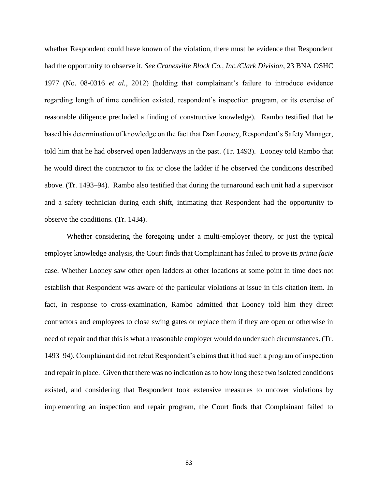whether Respondent could have known of the violation, there must be evidence that Respondent had the opportunity to observe it. *See Cranesville Block Co., Inc./Clark Division*, 23 BNA OSHC 1977 (No. 08-0316 *et al.*, 2012) (holding that complainant's failure to introduce evidence regarding length of time condition existed, respondent's inspection program, or its exercise of reasonable diligence precluded a finding of constructive knowledge). Rambo testified that he based his determination of knowledge on the fact that Dan Looney, Respondent's Safety Manager, told him that he had observed open ladderways in the past. (Tr. 1493). Looney told Rambo that he would direct the contractor to fix or close the ladder if he observed the conditions described above. (Tr. 1493–94). Rambo also testified that during the turnaround each unit had a supervisor and a safety technician during each shift, intimating that Respondent had the opportunity to observe the conditions. (Tr. 1434).

Whether considering the foregoing under a multi-employer theory, or just the typical employer knowledge analysis, the Court finds that Complainant has failed to prove its *prima facie*  case. Whether Looney saw other open ladders at other locations at some point in time does not establish that Respondent was aware of the particular violations at issue in this citation item. In fact, in response to cross-examination, Rambo admitted that Looney told him they direct contractors and employees to close swing gates or replace them if they are open or otherwise in need of repair and that this is what a reasonable employer would do under such circumstances. (Tr. 1493–94). Complainant did not rebut Respondent's claims that it had such a program of inspection and repair in place. Given that there was no indication as to how long these two isolated conditions existed, and considering that Respondent took extensive measures to uncover violations by implementing an inspection and repair program, the Court finds that Complainant failed to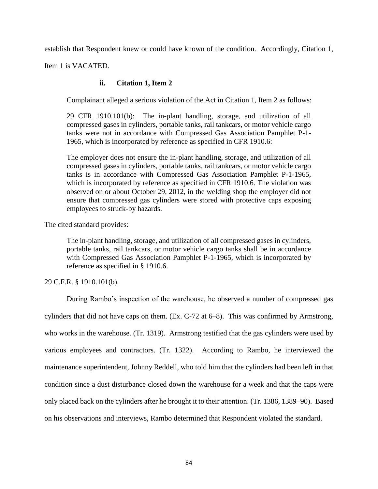establish that Respondent knew or could have known of the condition. Accordingly, Citation 1,

Item 1 is VACATED.

## **ii. Citation 1, Item 2**

Complainant alleged a serious violation of the Act in Citation 1, Item 2 as follows:

29 CFR 1910.101(b): The in-plant handling, storage, and utilization of all compressed gases in cylinders, portable tanks, rail tankcars, or motor vehicle cargo tanks were not in accordance with Compressed Gas Association Pamphlet P-1- 1965, which is incorporated by reference as specified in CFR 1910.6:

The employer does not ensure the in-plant handling, storage, and utilization of all compressed gases in cylinders, portable tanks, rail tankcars, or motor vehicle cargo tanks is in accordance with Compressed Gas Association Pamphlet P-1-1965, which is incorporated by reference as specified in CFR 1910.6. The violation was observed on or about October 29, 2012, in the welding shop the employer did not ensure that compressed gas cylinders were stored with protective caps exposing employees to struck-by hazards.

The cited standard provides:

The in-plant handling, storage, and utilization of all compressed gases in cylinders, portable tanks, rail tankcars, or motor vehicle cargo tanks shall be in accordance with Compressed Gas Association Pamphlet P-1-1965, which is incorporated by reference as specified in § 1910.6.

29 C.F.R. § 1910.101(b).

During Rambo's inspection of the warehouse, he observed a number of compressed gas cylinders that did not have caps on them. (Ex. C-72 at 6–8). This was confirmed by Armstrong, who works in the warehouse. (Tr. 1319). Armstrong testified that the gas cylinders were used by various employees and contractors. (Tr. 1322). According to Rambo, he interviewed the maintenance superintendent, Johnny Reddell, who told him that the cylinders had been left in that condition since a dust disturbance closed down the warehouse for a week and that the caps were only placed back on the cylinders after he brought it to their attention. (Tr. 1386, 1389–90). Based on his observations and interviews, Rambo determined that Respondent violated the standard.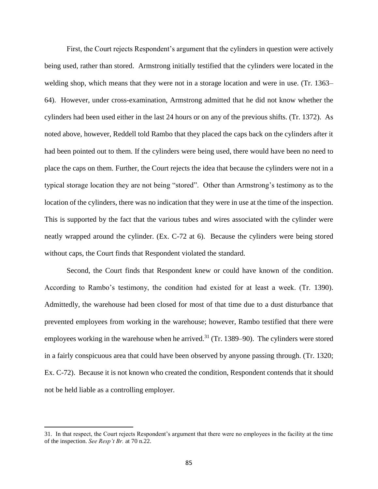First, the Court rejects Respondent's argument that the cylinders in question were actively being used, rather than stored. Armstrong initially testified that the cylinders were located in the welding shop, which means that they were not in a storage location and were in use. (Tr. 1363– 64). However, under cross-examination, Armstrong admitted that he did not know whether the cylinders had been used either in the last 24 hours or on any of the previous shifts. (Tr. 1372). As noted above, however, Reddell told Rambo that they placed the caps back on the cylinders after it had been pointed out to them. If the cylinders were being used, there would have been no need to place the caps on them. Further, the Court rejects the idea that because the cylinders were not in a typical storage location they are not being "stored". Other than Armstrong's testimony as to the location of the cylinders, there was no indication that they were in use at the time of the inspection. This is supported by the fact that the various tubes and wires associated with the cylinder were neatly wrapped around the cylinder. (Ex. C-72 at 6). Because the cylinders were being stored without caps, the Court finds that Respondent violated the standard.

Second, the Court finds that Respondent knew or could have known of the condition. According to Rambo's testimony, the condition had existed for at least a week. (Tr. 1390). Admittedly, the warehouse had been closed for most of that time due to a dust disturbance that prevented employees from working in the warehouse; however, Rambo testified that there were employees working in the warehouse when he arrived.<sup>31</sup> (Tr. 1389–90). The cylinders were stored in a fairly conspicuous area that could have been observed by anyone passing through. (Tr. 1320; Ex. C-72). Because it is not known who created the condition, Respondent contends that it should not be held liable as a controlling employer.

 $\overline{a}$ 

<sup>31.</sup> In that respect, the Court rejects Respondent's argument that there were no employees in the facility at the time of the inspection. *See Resp't Br.* at 70 n.22.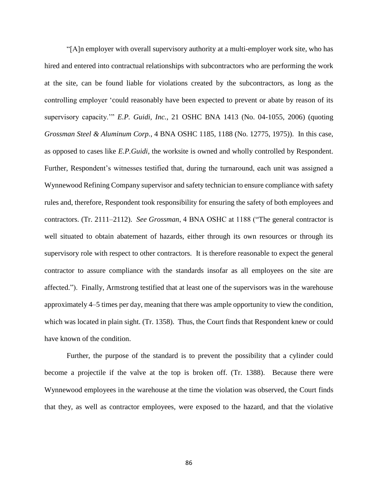"[A]n employer with overall supervisory authority at a multi-employer work site, who has hired and entered into contractual relationships with subcontractors who are performing the work at the site, can be found liable for violations created by the subcontractors, as long as the controlling employer 'could reasonably have been expected to prevent or abate by reason of its supervisory capacity.'" *E.P. Guidi, Inc.*, 21 OSHC BNA 1413 (No. 04-1055, 2006) (quoting *Grossman Steel & Aluminum Corp.*, 4 BNA OSHC 1185, 1188 (No. 12775, 1975)). In this case, as opposed to cases like *E.P.Guidi*, the worksite is owned and wholly controlled by Respondent. Further, Respondent's witnesses testified that, during the turnaround, each unit was assigned a Wynnewood Refining Company supervisor and safety technician to ensure compliance with safety rules and, therefore, Respondent took responsibility for ensuring the safety of both employees and contractors. (Tr. 2111–2112). *See Grossman*, 4 BNA OSHC at 1188 ("The general contractor is well situated to obtain abatement of hazards, either through its own resources or through its supervisory role with respect to other contractors. It is therefore reasonable to expect the general contractor to assure compliance with the standards insofar as all employees on the site are affected."). Finally, Armstrong testified that at least one of the supervisors was in the warehouse approximately 4–5 times per day, meaning that there was ample opportunity to view the condition, which was located in plain sight. (Tr. 1358). Thus, the Court finds that Respondent knew or could have known of the condition.

Further, the purpose of the standard is to prevent the possibility that a cylinder could become a projectile if the valve at the top is broken off. (Tr. 1388). Because there were Wynnewood employees in the warehouse at the time the violation was observed, the Court finds that they, as well as contractor employees, were exposed to the hazard, and that the violative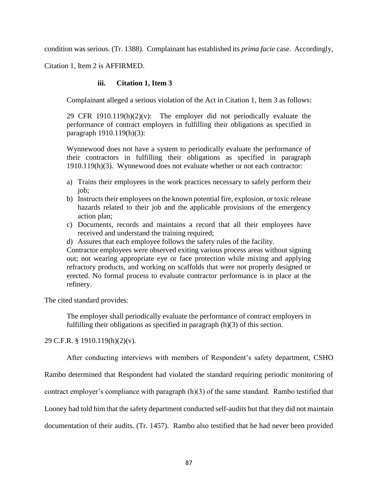condition was serious. (Tr. 1388). Complainant has established its *prima facie* case. Accordingly,

Citation 1, Item 2 is AFFIRMED.

## **iii. Citation 1, Item 3**

Complainant alleged a serious violation of the Act in Citation 1, Item 3 as follows:

29 CFR 1910.119 $(h)(2)(v)$ : The employer did not periodically evaluate the performance of contract employers in fulfilling their obligations as specified in paragraph 1910.119(h)(3):

Wynnewood does not have a system to periodically evaluate the performance of their contractors in fulfilling their obligations as specified in paragraph 1910.119(h)(3). Wynnewood does not evaluate whether or not each contractor:

- a) Trains their employees in the work practices necessary to safely perform their job;
- b) Instructs their employees on the known potential fire, explosion, or toxic release hazards related to their job and the applicable provisions of the emergency action plan;
- c) Documents, records and maintains a record that all their employees have received and understand the training required;
- d) Assures that each employee follows the safety rules of the facility.

Contractor employees were observed exiting various process areas without signing out; not wearing appropriate eye or face protection while mixing and applying refractory products, and working on scaffolds that were not properly designed or erected. No formal process to evaluate contractor performance is in place at the refinery.

The cited standard provides:

The employer shall periodically evaluate the performance of contract employers in fulfilling their obligations as specified in paragraph (h)(3) of this section.

29 C.F.R. § 1910.119(h)(2)(v).

After conducting interviews with members of Respondent's safety department, CSHO

Rambo determined that Respondent had violated the standard requiring periodic monitoring of

contract employer's compliance with paragraph (h)(3) of the same standard. Rambo testified that

Looney had told him that the safety department conducted self-audits but that they did not maintain

documentation of their audits. (Tr. 1457). Rambo also testified that he had never been provided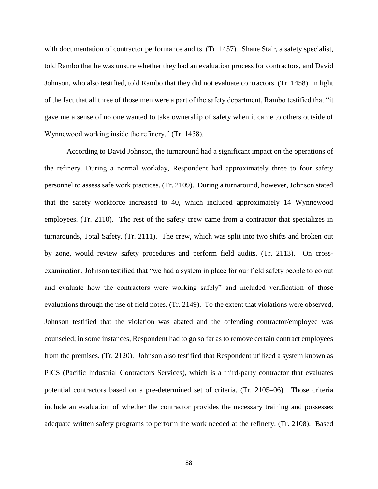with documentation of contractor performance audits. (Tr. 1457). Shane Stair, a safety specialist, told Rambo that he was unsure whether they had an evaluation process for contractors, and David Johnson, who also testified, told Rambo that they did not evaluate contractors. (Tr. 1458). In light of the fact that all three of those men were a part of the safety department, Rambo testified that "it gave me a sense of no one wanted to take ownership of safety when it came to others outside of Wynnewood working inside the refinery." (Tr. 1458).

According to David Johnson, the turnaround had a significant impact on the operations of the refinery. During a normal workday, Respondent had approximately three to four safety personnel to assess safe work practices. (Tr. 2109). During a turnaround, however, Johnson stated that the safety workforce increased to 40, which included approximately 14 Wynnewood employees. (Tr. 2110). The rest of the safety crew came from a contractor that specializes in turnarounds, Total Safety. (Tr. 2111). The crew, which was split into two shifts and broken out by zone, would review safety procedures and perform field audits. (Tr. 2113). On crossexamination, Johnson testified that "we had a system in place for our field safety people to go out and evaluate how the contractors were working safely" and included verification of those evaluations through the use of field notes. (Tr. 2149). To the extent that violations were observed, Johnson testified that the violation was abated and the offending contractor/employee was counseled; in some instances, Respondent had to go so far as to remove certain contract employees from the premises. (Tr. 2120). Johnson also testified that Respondent utilized a system known as PICS (Pacific Industrial Contractors Services), which is a third-party contractor that evaluates potential contractors based on a pre-determined set of criteria. (Tr. 2105–06). Those criteria include an evaluation of whether the contractor provides the necessary training and possesses adequate written safety programs to perform the work needed at the refinery. (Tr. 2108). Based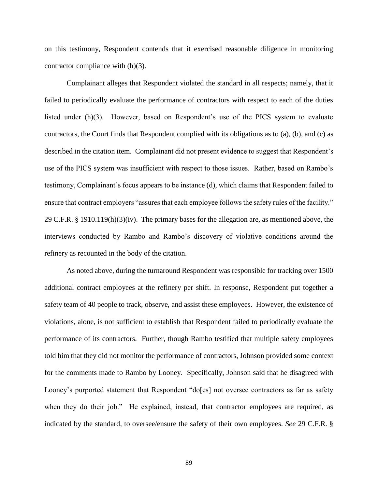on this testimony, Respondent contends that it exercised reasonable diligence in monitoring contractor compliance with (h)(3).

Complainant alleges that Respondent violated the standard in all respects; namely, that it failed to periodically evaluate the performance of contractors with respect to each of the duties listed under (h)(3). However, based on Respondent's use of the PICS system to evaluate contractors, the Court finds that Respondent complied with its obligations as to (a), (b), and (c) as described in the citation item. Complainant did not present evidence to suggest that Respondent's use of the PICS system was insufficient with respect to those issues. Rather, based on Rambo's testimony, Complainant's focus appears to be instance (d), which claims that Respondent failed to ensure that contract employers "assures that each employee follows the safety rules of the facility." 29 C.F.R. § 1910.119(h)(3)(iv). The primary bases for the allegation are, as mentioned above, the interviews conducted by Rambo and Rambo's discovery of violative conditions around the refinery as recounted in the body of the citation.

As noted above, during the turnaround Respondent was responsible for tracking over 1500 additional contract employees at the refinery per shift. In response, Respondent put together a safety team of 40 people to track, observe, and assist these employees. However, the existence of violations, alone, is not sufficient to establish that Respondent failed to periodically evaluate the performance of its contractors. Further, though Rambo testified that multiple safety employees told him that they did not monitor the performance of contractors, Johnson provided some context for the comments made to Rambo by Looney. Specifically, Johnson said that he disagreed with Looney's purported statement that Respondent "do[es] not oversee contractors as far as safety when they do their job." He explained, instead, that contractor employees are required, as indicated by the standard, to oversee/ensure the safety of their own employees. *See* 29 C.F.R. §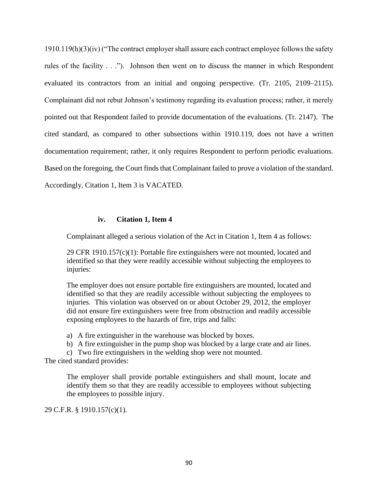1910.119(h)(3)(iv) ("The contract employer shall assure each contract employee follows the safety rules of the facility . . ."). Johnson then went on to discuss the manner in which Respondent evaluated its contractors from an initial and ongoing perspective. (Tr. 2105, 2109–2115). Complainant did not rebut Johnson's testimony regarding its evaluation process; rather, it merely pointed out that Respondent failed to provide documentation of the evaluations. (Tr. 2147). The cited standard, as compared to other subsections within 1910.119, does not have a written documentation requirement; rather, it only requires Respondent to perform periodic evaluations. Based on the foregoing, the Court finds that Complainant failed to prove a violation of the standard. Accordingly, Citation 1, Item 3 is VACATED.

## **iv. Citation 1, Item 4**

Complainant alleged a serious violation of the Act in Citation 1, Item 4 as follows:

29 CFR 1910.157(c)(1): Portable fire extinguishers were not mounted, located and identified so that they were readily accessible without subjecting the employees to injuries:

The employer does not ensure portable fire extinguishers are mounted, located and identified so that they are readily accessible without subjecting the employees to injuries. This violation was observed on or about October 29, 2012, the employer did not ensure fire extinguishers were free from obstruction and readily accessible exposing employees to the hazards of fire, trips and falls:

a) A fire extinguisher in the warehouse was blocked by boxes.

b) A fire extinguisher in the pump shop was blocked by a large crate and air lines.

c) Two fire extinguishers in the welding shop were not mounted.

The cited standard provides:

The employer shall provide portable extinguishers and shall mount, locate and identify them so that they are readily accessible to employees without subjecting the employees to possible injury.

29 C.F.R. § 1910.157(c)(1).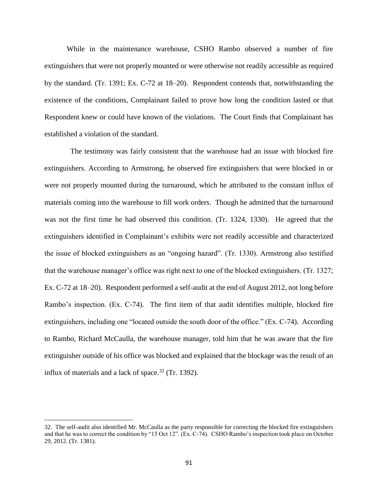While in the maintenance warehouse, CSHO Rambo observed a number of fire extinguishers that were not properly mounted or were otherwise not readily accessible as required by the standard. (Tr. 1391; Ex. C-72 at 18–20). Respondent contends that, notwithstanding the existence of the conditions, Complainant failed to prove how long the condition lasted or that Respondent knew or could have known of the violations. The Court finds that Complainant has established a violation of the standard.

 The testimony was fairly consistent that the warehouse had an issue with blocked fire extinguishers. According to Armstrong, he observed fire extinguishers that were blocked in or were not properly mounted during the turnaround, which he attributed to the constant influx of materials coming into the warehouse to fill work orders. Though he admitted that the turnaround was not the first time he had observed this condition. (Tr. 1324, 1330). He agreed that the extinguishers identified in Complainant's exhibits were not readily accessible and characterized the issue of blocked extinguishers as an "ongoing hazard". (Tr. 1330). Armstrong also testified that the warehouse manager's office was right next to one of the blocked extinguishers. (Tr. 1327; Ex. C-72 at 18–20). Respondent performed a self-audit at the end of August 2012, not long before Rambo's inspection. (Ex. C-74). The first item of that audit identifies multiple, blocked fire extinguishers, including one "located outside the south door of the office." (Ex. C-74). According to Rambo, Richard McCaulla, the warehouse manager, told him that he was aware that the fire extinguisher outside of his office was blocked and explained that the blockage was the result of an influx of materials and a lack of space.<sup>32</sup> (Tr. 1392).

 $\overline{\phantom{a}}$ 

<sup>32.</sup> The self-audit also identified Mr. McCaulla as the party responsible for correcting the blocked fire extinguishers and that he was to correct the condition by "15 Oct 12". (Ex. C-74). CSHO Rambo's inspection took place on October 29, 2012. (Tr. 1381).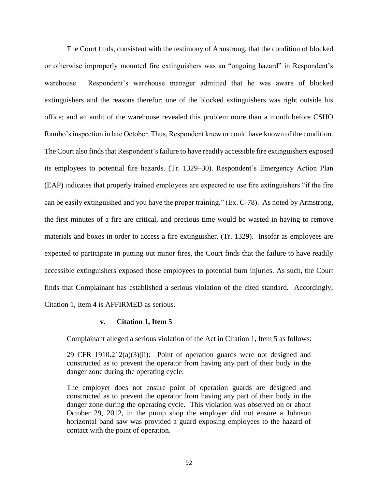The Court finds, consistent with the testimony of Armstrong, that the condition of blocked or otherwise improperly mounted fire extinguishers was an "ongoing hazard" in Respondent's warehouse. Respondent's warehouse manager admitted that he was aware of blocked extinguishers and the reasons therefor; one of the blocked extinguishers was right outside his office; and an audit of the warehouse revealed this problem more than a month before CSHO Rambo's inspection in late October. Thus, Respondent knew or could have known of the condition. The Court also finds that Respondent's failure to have readily accessible fire extinguishers exposed its employees to potential fire hazards. (Tr. 1329–30). Respondent's Emergency Action Plan (EAP) indicates that properly trained employees are expected to use fire extinguishers "if the fire can be easily extinguished and you have the proper training." (Ex. C-78). As noted by Armstrong, the first minutes of a fire are critical, and precious time would be wasted in having to remove materials and boxes in order to access a fire extinguisher. (Tr. 1329). Insofar as employees are expected to participate in putting out minor fires, the Court finds that the failure to have readily accessible extinguishers exposed those employees to potential burn injuries. As such, the Court finds that Complainant has established a serious violation of the cited standard. Accordingly, Citation 1, Item 4 is AFFIRMED as serious.

#### **v. Citation 1, Item 5**

Complainant alleged a serious violation of the Act in Citation 1, Item 5 as follows:

29 CFR  $1910.212(a)(3)(ii)$ : Point of operation guards were not designed and constructed as to prevent the operator from having any part of their body in the danger zone during the operating cycle:

The employer does not ensure point of operation guards are designed and constructed as to prevent the operator from having any part of their body in the danger zone during the operating cycle. This violation was observed on or about October 29, 2012, in the pump shop the employer did not ensure a Johnson horizontal band saw was provided a guard exposing employees to the hazard of contact with the point of operation.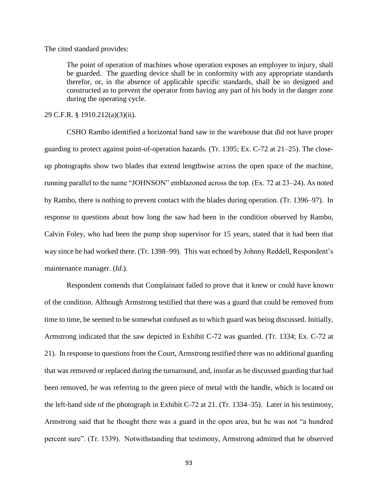The cited standard provides:

The point of operation of machines whose operation exposes an employee to injury, shall be guarded. The guarding device shall be in conformity with any appropriate standards therefor, or, in the absence of applicable specific standards, shall be so designed and constructed as to prevent the operator from having any part of his body in the danger zone during the operating cycle.

29 C.F.R. § 1910.212(a)(3)(ii).

CSHO Rambo identified a horizontal band saw in the warehouse that did not have proper guarding to protect against point-of-operation hazards. (Tr. 1395; Ex. C-72 at 21–25). The closeup photographs show two blades that extend lengthwise across the open space of the machine, running parallel to the name "JOHNSON" emblazoned across the top. (Ex. 72 at 23–24). As noted by Rambo, there is nothing to prevent contact with the blades during operation. (Tr. 1396–97). In response to questions about how long the saw had been in the condition observed by Rambo, Calvin Foley, who had been the pump shop supervisor for 15 years, stated that it had been that way since he had worked there. (Tr. 1398–99). This was echoed by Johnny Reddell, Respondent's maintenance manager. (*Id.*).

Respondent contends that Complainant failed to prove that it knew or could have known of the condition. Although Armstrong testified that there was a guard that could be removed from time to time, he seemed to be somewhat confused as to which guard was being discussed. Initially, Armstrong indicated that the saw depicted in Exhibit C-72 was guarded. (Tr. 1334; Ex. C-72 at 21). In response to questions from the Court, Armstrong testified there was no additional guarding that was removed or replaced during the turnaround, and, insofar as he discussed guarding that had been removed, he was referring to the green piece of metal with the handle, which is located on the left-hand side of the photograph in Exhibit C-72 at 21. (Tr. 1334–35). Later in his testimony, Armstrong said that he thought there was a guard in the open area, but he was not "a hundred percent sure". (Tr. 1339). Notwithstanding that testimony, Armstrong admitted that he observed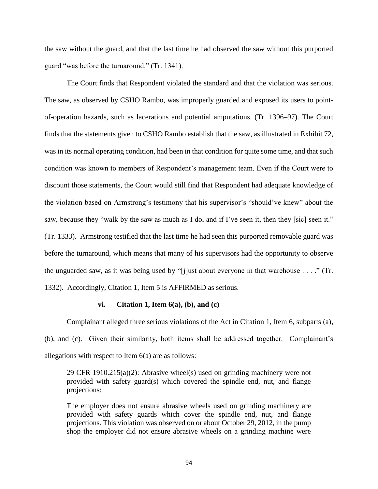the saw without the guard, and that the last time he had observed the saw without this purported guard "was before the turnaround." (Tr. 1341).

The Court finds that Respondent violated the standard and that the violation was serious. The saw, as observed by CSHO Rambo, was improperly guarded and exposed its users to pointof-operation hazards, such as lacerations and potential amputations. (Tr. 1396–97). The Court finds that the statements given to CSHO Rambo establish that the saw, as illustrated in Exhibit 72, was in its normal operating condition, had been in that condition for quite some time, and that such condition was known to members of Respondent's management team. Even if the Court were to discount those statements, the Court would still find that Respondent had adequate knowledge of the violation based on Armstrong's testimony that his supervisor's "should've knew" about the saw, because they "walk by the saw as much as I do, and if I've seen it, then they [sic] seen it." (Tr. 1333). Armstrong testified that the last time he had seen this purported removable guard was before the turnaround, which means that many of his supervisors had the opportunity to observe the unguarded saw, as it was being used by "[j]ust about everyone in that warehouse . . . ." (Tr. 1332). Accordingly, Citation 1, Item 5 is AFFIRMED as serious.

#### **vi. Citation 1, Item 6(a), (b), and (c)**

Complainant alleged three serious violations of the Act in Citation 1, Item 6, subparts (a), (b), and (c). Given their similarity, both items shall be addressed together. Complainant's allegations with respect to Item 6(a) are as follows:

29 CFR 1910.215(a)(2): Abrasive wheel(s) used on grinding machinery were not provided with safety guard(s) which covered the spindle end, nut, and flange projections:

The employer does not ensure abrasive wheels used on grinding machinery are provided with safety guards which cover the spindle end, nut, and flange projections. This violation was observed on or about October 29, 2012, in the pump shop the employer did not ensure abrasive wheels on a grinding machine were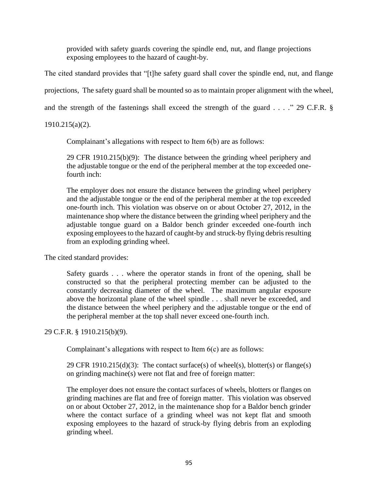provided with safety guards covering the spindle end, nut, and flange projections exposing employees to the hazard of caught-by.

The cited standard provides that "[t]he safety guard shall cover the spindle end, nut, and flange projections, The safety guard shall be mounted so as to maintain proper alignment with the wheel, and the strength of the fastenings shall exceed the strength of the guard . . . ." 29 C.F.R. §

1910.215(a)(2).

Complainant's allegations with respect to Item 6(b) are as follows:

29 CFR 1910.215(b)(9): The distance between the grinding wheel periphery and the adjustable tongue or the end of the peripheral member at the top exceeded onefourth inch:

The employer does not ensure the distance between the grinding wheel periphery and the adjustable tongue or the end of the peripheral member at the top exceeded one-fourth inch. This violation was observe on or about October 27, 2012, in the maintenance shop where the distance between the grinding wheel periphery and the adjustable tongue guard on a Baldor bench grinder exceeded one-fourth inch exposing employees to the hazard of caught-by and struck-by flying debris resulting from an exploding grinding wheel.

The cited standard provides:

Safety guards . . . where the operator stands in front of the opening, shall be constructed so that the peripheral protecting member can be adjusted to the constantly decreasing diameter of the wheel. The maximum angular exposure above the horizontal plane of the wheel spindle . . . shall never be exceeded, and the distance between the wheel periphery and the adjustable tongue or the end of the peripheral member at the top shall never exceed one-fourth inch.

29 C.F.R. § 1910.215(b)(9).

Complainant's allegations with respect to Item 6(c) are as follows:

29 CFR 1910.215(d)(3): The contact surface(s) of wheel(s), blotter(s) or flange(s) on grinding machine(s) were not flat and free of foreign matter:

The employer does not ensure the contact surfaces of wheels, blotters or flanges on grinding machines are flat and free of foreign matter. This violation was observed on or about October 27, 2012, in the maintenance shop for a Baldor bench grinder where the contact surface of a grinding wheel was not kept flat and smooth exposing employees to the hazard of struck-by flying debris from an exploding grinding wheel.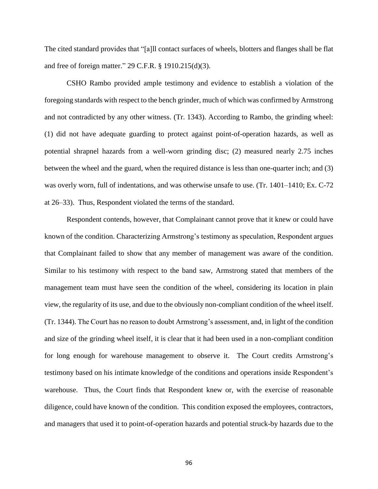The cited standard provides that "[a]ll contact surfaces of wheels, blotters and flanges shall be flat and free of foreign matter." 29 C.F.R. § 1910.215(d)(3).

CSHO Rambo provided ample testimony and evidence to establish a violation of the foregoing standards with respect to the bench grinder, much of which was confirmed by Armstrong and not contradicted by any other witness. (Tr. 1343). According to Rambo, the grinding wheel: (1) did not have adequate guarding to protect against point-of-operation hazards, as well as potential shrapnel hazards from a well-worn grinding disc; (2) measured nearly 2.75 inches between the wheel and the guard, when the required distance is less than one-quarter inch; and (3) was overly worn, full of indentations, and was otherwise unsafe to use. (Tr. 1401–1410; Ex. C-72 at 26–33). Thus, Respondent violated the terms of the standard.

Respondent contends, however, that Complainant cannot prove that it knew or could have known of the condition. Characterizing Armstrong's testimony as speculation, Respondent argues that Complainant failed to show that any member of management was aware of the condition. Similar to his testimony with respect to the band saw, Armstrong stated that members of the management team must have seen the condition of the wheel, considering its location in plain view, the regularity of its use, and due to the obviously non-compliant condition of the wheel itself. (Tr. 1344). The Court has no reason to doubt Armstrong's assessment, and, in light of the condition and size of the grinding wheel itself, it is clear that it had been used in a non-compliant condition for long enough for warehouse management to observe it. The Court credits Armstrong's testimony based on his intimate knowledge of the conditions and operations inside Respondent's warehouse. Thus, the Court finds that Respondent knew or, with the exercise of reasonable diligence, could have known of the condition. This condition exposed the employees, contractors, and managers that used it to point-of-operation hazards and potential struck-by hazards due to the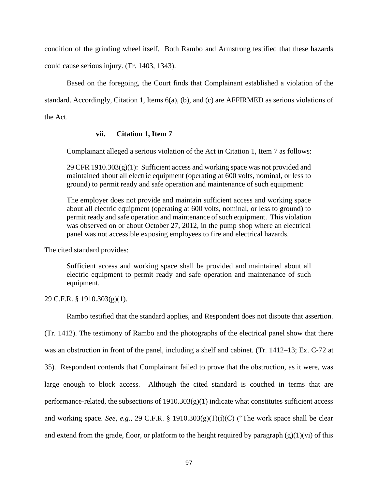condition of the grinding wheel itself. Both Rambo and Armstrong testified that these hazards could cause serious injury. (Tr. 1403, 1343).

Based on the foregoing, the Court finds that Complainant established a violation of the standard. Accordingly, Citation 1, Items 6(a), (b), and (c) are AFFIRMED as serious violations of the Act.

# **vii. Citation 1, Item 7**

Complainant alleged a serious violation of the Act in Citation 1, Item 7 as follows:

 $29$  CFR 1910.303(g)(1): Sufficient access and working space was not provided and maintained about all electric equipment (operating at 600 volts, nominal, or less to ground) to permit ready and safe operation and maintenance of such equipment:

The employer does not provide and maintain sufficient access and working space about all electric equipment (operating at 600 volts, nominal, or less to ground) to permit ready and safe operation and maintenance of such equipment. This violation was observed on or about October 27, 2012, in the pump shop where an electrical panel was not accessible exposing employees to fire and electrical hazards.

The cited standard provides:

Sufficient access and working space shall be provided and maintained about all electric equipment to permit ready and safe operation and maintenance of such equipment.

29 C.F.R. § 1910.303(g)(1).

Rambo testified that the standard applies, and Respondent does not dispute that assertion.

(Tr. 1412). The testimony of Rambo and the photographs of the electrical panel show that there was an obstruction in front of the panel, including a shelf and cabinet. (Tr. 1412–13; Ex. C-72 at 35). Respondent contends that Complainant failed to prove that the obstruction, as it were, was large enough to block access. Although the cited standard is couched in terms that are performance-related, the subsections of  $1910.303(g)(1)$  indicate what constitutes sufficient access and working space. *See, e.g.,* 29 C.F.R. § 1910.303(g)(1)(i)(C) ("The work space shall be clear and extend from the grade, floor, or platform to the height required by paragraph (g)(1)(vi) of this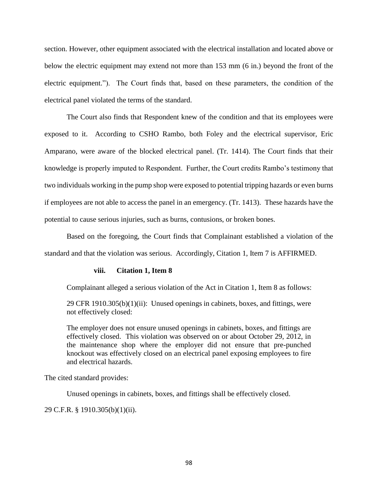section. However, other equipment associated with the electrical installation and located above or below the electric equipment may extend not more than 153 mm (6 in.) beyond the front of the electric equipment."). The Court finds that, based on these parameters, the condition of the electrical panel violated the terms of the standard.

The Court also finds that Respondent knew of the condition and that its employees were exposed to it. According to CSHO Rambo, both Foley and the electrical supervisor, Eric Amparano, were aware of the blocked electrical panel. (Tr. 1414). The Court finds that their knowledge is properly imputed to Respondent. Further, the Court credits Rambo's testimony that two individuals working in the pump shop were exposed to potential tripping hazards or even burns if employees are not able to access the panel in an emergency. (Tr. 1413). These hazards have the potential to cause serious injuries, such as burns, contusions, or broken bones.

Based on the foregoing, the Court finds that Complainant established a violation of the standard and that the violation was serious. Accordingly, Citation 1, Item 7 is AFFIRMED.

#### **viii. Citation 1, Item 8**

Complainant alleged a serious violation of the Act in Citation 1, Item 8 as follows:

29 CFR 1910.305(b)(1)(ii): Unused openings in cabinets, boxes, and fittings, were not effectively closed:

The employer does not ensure unused openings in cabinets, boxes, and fittings are effectively closed. This violation was observed on or about October 29, 2012, in the maintenance shop where the employer did not ensure that pre-punched knockout was effectively closed on an electrical panel exposing employees to fire and electrical hazards.

The cited standard provides:

Unused openings in cabinets, boxes, and fittings shall be effectively closed.

29 C.F.R. § 1910.305(b)(1)(ii).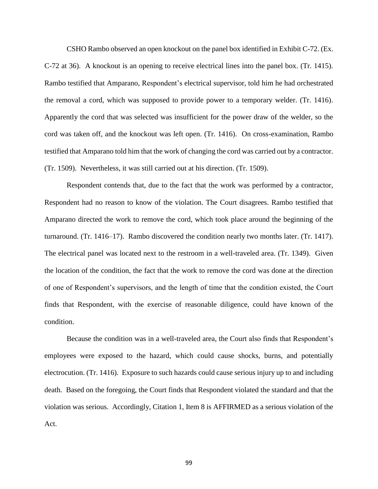CSHO Rambo observed an open knockout on the panel box identified in Exhibit C-72. (Ex. C-72 at 36). A knockout is an opening to receive electrical lines into the panel box. (Tr. 1415). Rambo testified that Amparano, Respondent's electrical supervisor, told him he had orchestrated the removal a cord, which was supposed to provide power to a temporary welder. (Tr. 1416). Apparently the cord that was selected was insufficient for the power draw of the welder, so the cord was taken off, and the knockout was left open. (Tr. 1416). On cross-examination, Rambo testified that Amparano told him that the work of changing the cord was carried out by a contractor. (Tr. 1509). Nevertheless, it was still carried out at his direction. (Tr. 1509).

Respondent contends that, due to the fact that the work was performed by a contractor, Respondent had no reason to know of the violation. The Court disagrees. Rambo testified that Amparano directed the work to remove the cord, which took place around the beginning of the turnaround. (Tr. 1416–17). Rambo discovered the condition nearly two months later. (Tr. 1417). The electrical panel was located next to the restroom in a well-traveled area. (Tr. 1349). Given the location of the condition, the fact that the work to remove the cord was done at the direction of one of Respondent's supervisors, and the length of time that the condition existed, the Court finds that Respondent, with the exercise of reasonable diligence, could have known of the condition.

Because the condition was in a well-traveled area, the Court also finds that Respondent's employees were exposed to the hazard, which could cause shocks, burns, and potentially electrocution. (Tr. 1416). Exposure to such hazards could cause serious injury up to and including death. Based on the foregoing, the Court finds that Respondent violated the standard and that the violation was serious. Accordingly, Citation 1, Item 8 is AFFIRMED as a serious violation of the Act.

99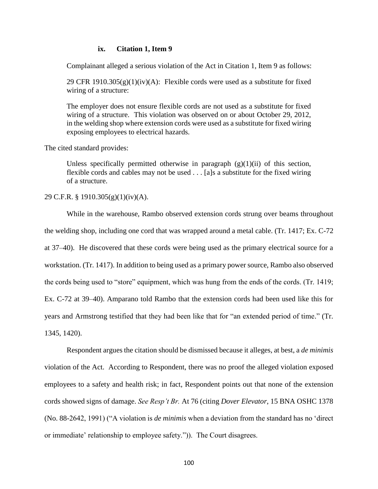## **ix. Citation 1, Item 9**

Complainant alleged a serious violation of the Act in Citation 1, Item 9 as follows:

29 CFR 1910.305 $(g)(1)(iv)(A)$ : Flexible cords were used as a substitute for fixed wiring of a structure:

The employer does not ensure flexible cords are not used as a substitute for fixed wiring of a structure. This violation was observed on or about October 29, 2012, in the welding shop where extension cords were used as a substitute for fixed wiring exposing employees to electrical hazards.

The cited standard provides:

Unless specifically permitted otherwise in paragraph  $(g)(1)(ii)$  of this section, flexible cords and cables may not be used . . . [a]s a substitute for the fixed wiring of a structure.

## 29 C.F.R. § 1910.305(g)(1)(iv)(A).

While in the warehouse, Rambo observed extension cords strung over beams throughout the welding shop, including one cord that was wrapped around a metal cable. (Tr. 1417; Ex. C-72 at 37–40). He discovered that these cords were being used as the primary electrical source for a workstation. (Tr. 1417). In addition to being used as a primary power source, Rambo also observed the cords being used to "store" equipment, which was hung from the ends of the cords. (Tr. 1419; Ex. C-72 at 39–40). Amparano told Rambo that the extension cords had been used like this for years and Armstrong testified that they had been like that for "an extended period of time." (Tr. 1345, 1420).

Respondent argues the citation should be dismissed because it alleges, at best, a *de minimis* violation of the Act. According to Respondent, there was no proof the alleged violation exposed employees to a safety and health risk; in fact, Respondent points out that none of the extension cords showed signs of damage. *See Resp't Br.* At 76 (citing *Dover Elevator*, 15 BNA OSHC 1378 (No. 88-2642, 1991) ("A violation is *de minimis* when a deviation from the standard has no 'direct or immediate' relationship to employee safety.")). The Court disagrees.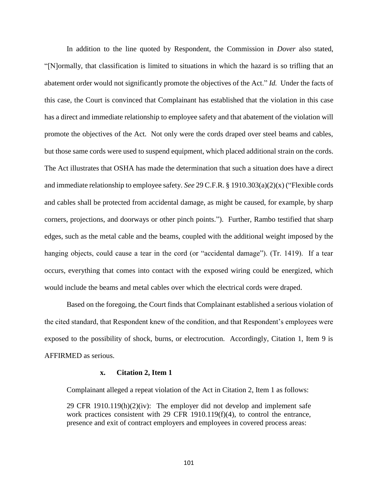In addition to the line quoted by Respondent, the Commission in *Dover* also stated, "[N]ormally, that classification is limited to situations in which the hazard is so trifling that an abatement order would not significantly promote the objectives of the Act." *Id.* Under the facts of this case, the Court is convinced that Complainant has established that the violation in this case has a direct and immediate relationship to employee safety and that abatement of the violation will promote the objectives of the Act. Not only were the cords draped over steel beams and cables, but those same cords were used to suspend equipment, which placed additional strain on the cords. The Act illustrates that OSHA has made the determination that such a situation does have a direct and immediate relationship to employee safety. *See* 29 C.F.R. § 1910.303(a)(2)(x) ("Flexible cords and cables shall be protected from accidental damage, as might be caused, for example, by sharp corners, projections, and doorways or other pinch points."). Further, Rambo testified that sharp edges, such as the metal cable and the beams, coupled with the additional weight imposed by the hanging objects, could cause a tear in the cord (or "accidental damage"). (Tr. 1419). If a tear occurs, everything that comes into contact with the exposed wiring could be energized, which would include the beams and metal cables over which the electrical cords were draped.

Based on the foregoing, the Court finds that Complainant established a serious violation of the cited standard, that Respondent knew of the condition, and that Respondent's employees were exposed to the possibility of shock, burns, or electrocution. Accordingly, Citation 1, Item 9 is AFFIRMED as serious.

#### **x. Citation 2, Item 1**

Complainant alleged a repeat violation of the Act in Citation 2, Item 1 as follows:

29 CFR 1910.119(h)(2)(iv): The employer did not develop and implement safe work practices consistent with 29 CFR 1910.119(f)(4), to control the entrance, presence and exit of contract employers and employees in covered process areas: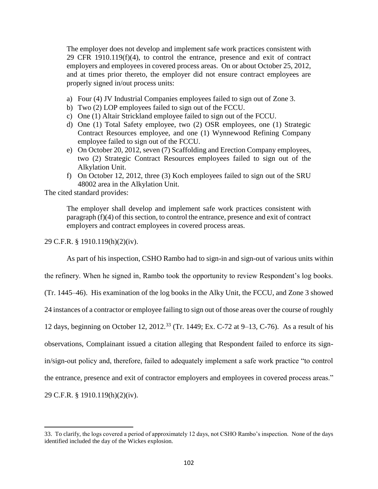The employer does not develop and implement safe work practices consistent with 29 CFR 1910.119(f)(4), to control the entrance, presence and exit of contract employers and employees in covered process areas. On or about October 25, 2012, and at times prior thereto, the employer did not ensure contract employees are properly signed in/out process units:

- a) Four (4) JV Industrial Companies employees failed to sign out of Zone 3.
- b) Two (2) LOP employees failed to sign out of the FCCU.
- c) One (1) Altair Strickland employee failed to sign out of the FCCU.
- d) One (1) Total Safety employee, two (2) OSR employees, one (1) Strategic Contract Resources employee, and one (1) Wynnewood Refining Company employee failed to sign out of the FCCU.
- e) On October 20, 2012, seven (7) Scaffolding and Erection Company employees, two (2) Strategic Contract Resources employees failed to sign out of the Alkylation Unit.
- f) On October 12, 2012, three (3) Koch employees failed to sign out of the SRU 48002 area in the Alkylation Unit.

The cited standard provides:

The employer shall develop and implement safe work practices consistent with paragraph (f)(4) of this section, to control the entrance, presence and exit of contract employers and contract employees in covered process areas.

29 C.F.R. § 1910.119(h)(2)(iv).

As part of his inspection, CSHO Rambo had to sign-in and sign-out of various units within

the refinery. When he signed in, Rambo took the opportunity to review Respondent's log books.

(Tr. 1445–46). His examination of the log books in the Alky Unit, the FCCU, and Zone 3 showed

24 instances of a contractor or employee failing to sign out of those areas over the course of roughly

12 days, beginning on October 12, 2012.<sup>33</sup> (Tr. 1449; Ex. C-72 at 9–13, C-76). As a result of his

observations, Complainant issued a citation alleging that Respondent failed to enforce its sign-

in/sign-out policy and, therefore, failed to adequately implement a safe work practice "to control

the entrance, presence and exit of contractor employers and employees in covered process areas."

29 C.F.R. § 1910.119(h)(2)(iv).

 $\overline{a}$ 

<sup>33.</sup> To clarify, the logs covered a period of approximately 12 days, not CSHO Rambo's inspection. None of the days identified included the day of the Wickes explosion.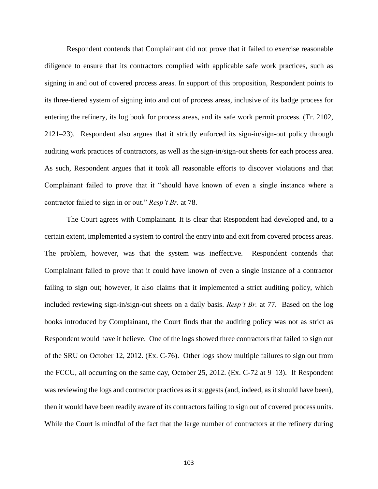Respondent contends that Complainant did not prove that it failed to exercise reasonable diligence to ensure that its contractors complied with applicable safe work practices, such as signing in and out of covered process areas. In support of this proposition, Respondent points to its three-tiered system of signing into and out of process areas, inclusive of its badge process for entering the refinery, its log book for process areas, and its safe work permit process. (Tr. 2102, 2121–23). Respondent also argues that it strictly enforced its sign-in/sign-out policy through auditing work practices of contractors, as well as the sign-in/sign-out sheets for each process area. As such, Respondent argues that it took all reasonable efforts to discover violations and that Complainant failed to prove that it "should have known of even a single instance where a contractor failed to sign in or out." *Resp't Br.* at 78.

The Court agrees with Complainant. It is clear that Respondent had developed and, to a certain extent, implemented a system to control the entry into and exit from covered process areas. The problem, however, was that the system was ineffective. Respondent contends that Complainant failed to prove that it could have known of even a single instance of a contractor failing to sign out; however, it also claims that it implemented a strict auditing policy, which included reviewing sign-in/sign-out sheets on a daily basis. *Resp't Br.* at 77. Based on the log books introduced by Complainant, the Court finds that the auditing policy was not as strict as Respondent would have it believe. One of the logs showed three contractors that failed to sign out of the SRU on October 12, 2012. (Ex. C-76). Other logs show multiple failures to sign out from the FCCU, all occurring on the same day, October 25, 2012. (Ex. C-72 at 9–13). If Respondent was reviewing the logs and contractor practices as it suggests (and, indeed, as it should have been), then it would have been readily aware of its contractors failing to sign out of covered process units. While the Court is mindful of the fact that the large number of contractors at the refinery during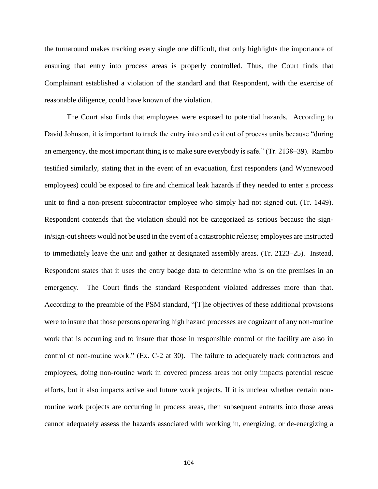the turnaround makes tracking every single one difficult, that only highlights the importance of ensuring that entry into process areas is properly controlled. Thus, the Court finds that Complainant established a violation of the standard and that Respondent, with the exercise of reasonable diligence, could have known of the violation.

The Court also finds that employees were exposed to potential hazards. According to David Johnson, it is important to track the entry into and exit out of process units because "during an emergency, the most important thing is to make sure everybody is safe." (Tr. 2138–39). Rambo testified similarly, stating that in the event of an evacuation, first responders (and Wynnewood employees) could be exposed to fire and chemical leak hazards if they needed to enter a process unit to find a non-present subcontractor employee who simply had not signed out. (Tr. 1449). Respondent contends that the violation should not be categorized as serious because the signin/sign-out sheets would not be used in the event of a catastrophic release; employees are instructed to immediately leave the unit and gather at designated assembly areas. (Tr. 2123–25). Instead, Respondent states that it uses the entry badge data to determine who is on the premises in an emergency. The Court finds the standard Respondent violated addresses more than that. According to the preamble of the PSM standard, "[T]he objectives of these additional provisions were to insure that those persons operating high hazard processes are cognizant of any non-routine work that is occurring and to insure that those in responsible control of the facility are also in control of non-routine work." (Ex. C-2 at 30). The failure to adequately track contractors and employees, doing non-routine work in covered process areas not only impacts potential rescue efforts, but it also impacts active and future work projects. If it is unclear whether certain nonroutine work projects are occurring in process areas, then subsequent entrants into those areas cannot adequately assess the hazards associated with working in, energizing, or de-energizing a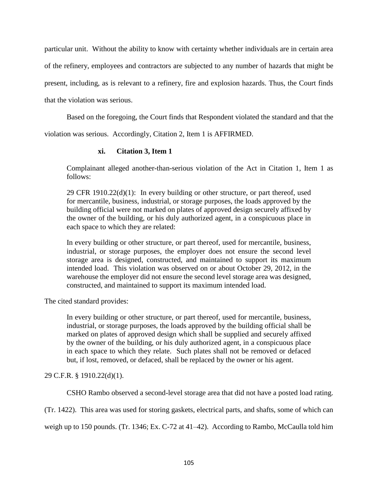particular unit. Without the ability to know with certainty whether individuals are in certain area of the refinery, employees and contractors are subjected to any number of hazards that might be present, including, as is relevant to a refinery, fire and explosion hazards. Thus, the Court finds that the violation was serious.

Based on the foregoing, the Court finds that Respondent violated the standard and that the

violation was serious. Accordingly, Citation 2, Item 1 is AFFIRMED.

# **xi. Citation 3, Item 1**

Complainant alleged another-than-serious violation of the Act in Citation 1, Item 1 as follows:

29 CFR  $1910.22(d)(1)$ : In every building or other structure, or part thereof, used for mercantile, business, industrial, or storage purposes, the loads approved by the building official were not marked on plates of approved design securely affixed by the owner of the building, or his duly authorized agent, in a conspicuous place in each space to which they are related:

In every building or other structure, or part thereof, used for mercantile, business, industrial, or storage purposes, the employer does not ensure the second level storage area is designed, constructed, and maintained to support its maximum intended load. This violation was observed on or about October 29, 2012, in the warehouse the employer did not ensure the second level storage area was designed, constructed, and maintained to support its maximum intended load.

The cited standard provides:

In every building or other structure, or part thereof, used for mercantile, business, industrial, or storage purposes, the loads approved by the building official shall be marked on plates of approved design which shall be supplied and securely affixed by the owner of the building, or his duly authorized agent, in a conspicuous place in each space to which they relate. Such plates shall not be removed or defaced but, if lost, removed, or defaced, shall be replaced by the owner or his agent.

29 C.F.R. § 1910.22(d)(1).

CSHO Rambo observed a second-level storage area that did not have a posted load rating.

(Tr. 1422). This area was used for storing gaskets, electrical parts, and shafts, some of which can

weigh up to 150 pounds. (Tr. 1346; Ex. C-72 at 41–42). According to Rambo, McCaulla told him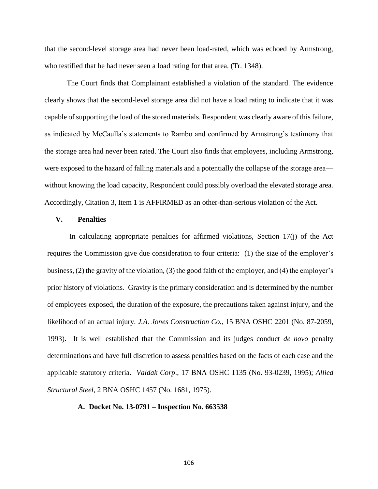that the second-level storage area had never been load-rated, which was echoed by Armstrong, who testified that he had never seen a load rating for that area. (Tr. 1348).

The Court finds that Complainant established a violation of the standard. The evidence clearly shows that the second-level storage area did not have a load rating to indicate that it was capable of supporting the load of the stored materials. Respondent was clearly aware of this failure, as indicated by McCaulla's statements to Rambo and confirmed by Armstrong's testimony that the storage area had never been rated. The Court also finds that employees, including Armstrong, were exposed to the hazard of falling materials and a potentially the collapse of the storage area without knowing the load capacity, Respondent could possibly overload the elevated storage area. Accordingly, Citation 3, Item 1 is AFFIRMED as an other-than-serious violation of the Act.

## **V. Penalties**

In calculating appropriate penalties for affirmed violations, Section 17(j) of the Act requires the Commission give due consideration to four criteria: (1) the size of the employer's business, (2) the gravity of the violation, (3) the good faith of the employer, and (4) the employer's prior history of violations. Gravity is the primary consideration and is determined by the number of employees exposed, the duration of the exposure, the precautions taken against injury, and the likelihood of an actual injury. *J.A. Jones Construction Co.*, 15 BNA OSHC 2201 (No. 87-2059, 1993). It is well established that the Commission and its judges conduct *de novo* penalty determinations and have full discretion to assess penalties based on the facts of each case and the applicable statutory criteria. *Valdak Corp*., 17 BNA OSHC 1135 (No. 93-0239, 1995); *Allied Structural Steel*, 2 BNA OSHC 1457 (No. 1681, 1975).

### **A. Docket No. 13-0791 – Inspection No. 663538**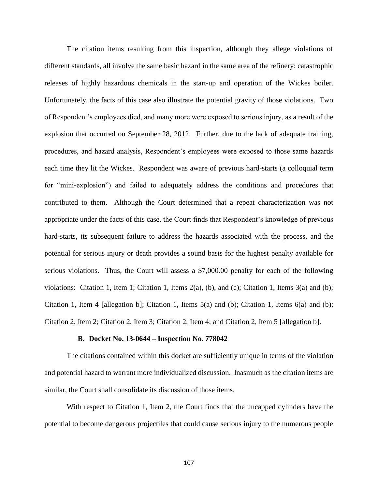The citation items resulting from this inspection, although they allege violations of different standards, all involve the same basic hazard in the same area of the refinery: catastrophic releases of highly hazardous chemicals in the start-up and operation of the Wickes boiler. Unfortunately, the facts of this case also illustrate the potential gravity of those violations. Two of Respondent's employees died, and many more were exposed to serious injury, as a result of the explosion that occurred on September 28, 2012. Further, due to the lack of adequate training, procedures, and hazard analysis, Respondent's employees were exposed to those same hazards each time they lit the Wickes. Respondent was aware of previous hard-starts (a colloquial term for "mini-explosion") and failed to adequately address the conditions and procedures that contributed to them. Although the Court determined that a repeat characterization was not appropriate under the facts of this case, the Court finds that Respondent's knowledge of previous hard-starts, its subsequent failure to address the hazards associated with the process, and the potential for serious injury or death provides a sound basis for the highest penalty available for serious violations. Thus, the Court will assess a \$7,000.00 penalty for each of the following violations: Citation 1, Item 1; Citation 1, Items 2(a), (b), and (c); Citation 1, Items 3(a) and (b); Citation 1, Item 4 [allegation b]; Citation 1, Items 5(a) and (b); Citation 1, Items 6(a) and (b); Citation 2, Item 2; Citation 2, Item 3; Citation 2, Item 4; and Citation 2, Item 5 [allegation b].

### **B. Docket No. 13-0644 – Inspection No. 778042**

The citations contained within this docket are sufficiently unique in terms of the violation and potential hazard to warrant more individualized discussion. Inasmuch as the citation items are similar, the Court shall consolidate its discussion of those items.

With respect to Citation 1, Item 2, the Court finds that the uncapped cylinders have the potential to become dangerous projectiles that could cause serious injury to the numerous people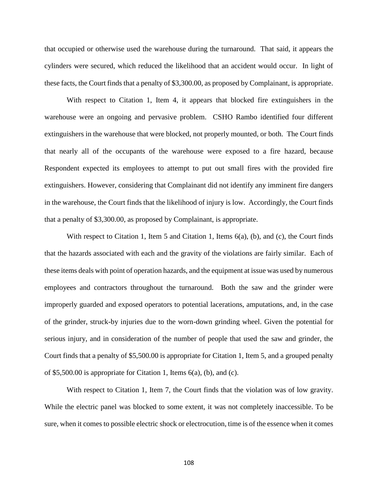that occupied or otherwise used the warehouse during the turnaround. That said, it appears the cylinders were secured, which reduced the likelihood that an accident would occur. In light of these facts, the Court finds that a penalty of \$3,300.00, as proposed by Complainant, is appropriate.

With respect to Citation 1, Item 4, it appears that blocked fire extinguishers in the warehouse were an ongoing and pervasive problem. CSHO Rambo identified four different extinguishers in the warehouse that were blocked, not properly mounted, or both. The Court finds that nearly all of the occupants of the warehouse were exposed to a fire hazard, because Respondent expected its employees to attempt to put out small fires with the provided fire extinguishers. However, considering that Complainant did not identify any imminent fire dangers in the warehouse, the Court finds that the likelihood of injury is low. Accordingly, the Court finds that a penalty of \$3,300.00, as proposed by Complainant, is appropriate.

With respect to Citation 1, Item 5 and Citation 1, Items 6(a), (b), and (c), the Court finds that the hazards associated with each and the gravity of the violations are fairly similar. Each of these items deals with point of operation hazards, and the equipment at issue was used by numerous employees and contractors throughout the turnaround. Both the saw and the grinder were improperly guarded and exposed operators to potential lacerations, amputations, and, in the case of the grinder, struck-by injuries due to the worn-down grinding wheel. Given the potential for serious injury, and in consideration of the number of people that used the saw and grinder, the Court finds that a penalty of \$5,500.00 is appropriate for Citation 1, Item 5, and a grouped penalty of \$5,500.00 is appropriate for Citation 1, Items 6(a), (b), and (c).

With respect to Citation 1, Item 7, the Court finds that the violation was of low gravity. While the electric panel was blocked to some extent, it was not completely inaccessible. To be sure, when it comes to possible electric shock or electrocution, time is of the essence when it comes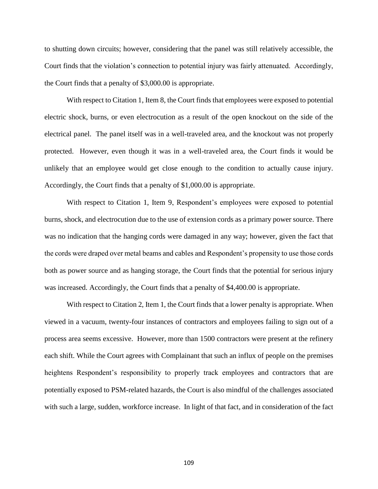to shutting down circuits; however, considering that the panel was still relatively accessible, the Court finds that the violation's connection to potential injury was fairly attenuated. Accordingly, the Court finds that a penalty of \$3,000.00 is appropriate.

With respect to Citation 1, Item 8, the Court finds that employees were exposed to potential electric shock, burns, or even electrocution as a result of the open knockout on the side of the electrical panel. The panel itself was in a well-traveled area, and the knockout was not properly protected. However, even though it was in a well-traveled area, the Court finds it would be unlikely that an employee would get close enough to the condition to actually cause injury. Accordingly, the Court finds that a penalty of \$1,000.00 is appropriate.

With respect to Citation 1, Item 9, Respondent's employees were exposed to potential burns, shock, and electrocution due to the use of extension cords as a primary power source. There was no indication that the hanging cords were damaged in any way; however, given the fact that the cords were draped over metal beams and cables and Respondent's propensity to use those cords both as power source and as hanging storage, the Court finds that the potential for serious injury was increased. Accordingly, the Court finds that a penalty of \$4,400.00 is appropriate.

With respect to Citation 2, Item 1, the Court finds that a lower penalty is appropriate. When viewed in a vacuum, twenty-four instances of contractors and employees failing to sign out of a process area seems excessive. However, more than 1500 contractors were present at the refinery each shift. While the Court agrees with Complainant that such an influx of people on the premises heightens Respondent's responsibility to properly track employees and contractors that are potentially exposed to PSM-related hazards, the Court is also mindful of the challenges associated with such a large, sudden, workforce increase. In light of that fact, and in consideration of the fact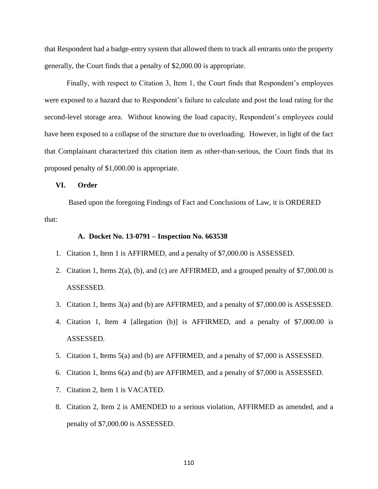that Respondent had a badge-entry system that allowed them to track all entrants onto the property generally, the Court finds that a penalty of \$2,000.00 is appropriate.

Finally, with respect to Citation 3, Item 1, the Court finds that Respondent's employees were exposed to a hazard due to Respondent's failure to calculate and post the load rating for the second-level storage area. Without knowing the load capacity, Respondent's employees could have been exposed to a collapse of the structure due to overloading. However, in light of the fact that Complainant characterized this citation item as other-than-serious, the Court finds that its proposed penalty of \$1,000.00 is appropriate.

## **VI. Order**

Based upon the foregoing Findings of Fact and Conclusions of Law, it is ORDERED that:

### **A. Docket No. 13-0791 – Inspection No. 663538**

- 1. Citation 1, Item 1 is AFFIRMED, and a penalty of \$7,000.00 is ASSESSED.
- 2. Citation 1, Items 2(a), (b), and (c) are AFFIRMED, and a grouped penalty of \$7,000.00 is ASSESSED.
- 3. Citation 1, Items 3(a) and (b) are AFFIRMED, and a penalty of \$7,000.00 is ASSESSED.
- 4. Citation 1, Item 4 [allegation (b)] is AFFIRMED, and a penalty of \$7,000.00 is ASSESSED.
- 5. Citation 1, Items 5(a) and (b) are AFFIRMED, and a penalty of \$7,000 is ASSESSED.
- 6. Citation 1, Items 6(a) and (b) are AFFIRMED, and a penalty of \$7,000 is ASSESSED.
- 7. Citation 2, Item 1 is VACATED.
- 8. Citation 2, Item 2 is AMENDED to a serious violation, AFFIRMED as amended, and a penalty of \$7,000.00 is ASSESSED.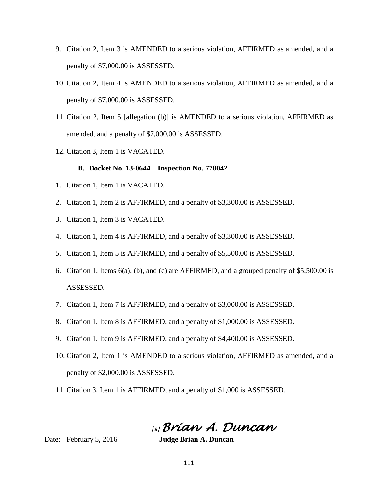- 9. Citation 2, Item 3 is AMENDED to a serious violation, AFFIRMED as amended, and a penalty of \$7,000.00 is ASSESSED.
- 10. Citation 2, Item 4 is AMENDED to a serious violation, AFFIRMED as amended, and a penalty of \$7,000.00 is ASSESSED.
- 11. Citation 2, Item 5 [allegation (b)] is AMENDED to a serious violation, AFFIRMED as amended, and a penalty of \$7,000.00 is ASSESSED.
- 12. Citation 3, Item 1 is VACATED.

## **B. Docket No. 13-0644 – Inspection No. 778042**

- 1. Citation 1, Item 1 is VACATED.
- 2. Citation 1, Item 2 is AFFIRMED, and a penalty of \$3,300.00 is ASSESSED.
- 3. Citation 1, Item 3 is VACATED.
- 4. Citation 1, Item 4 is AFFIRMED, and a penalty of \$3,300.00 is ASSESSED.
- 5. Citation 1, Item 5 is AFFIRMED, and a penalty of \$5,500.00 is ASSESSED.
- 6. Citation 1, Items 6(a), (b), and (c) are AFFIRMED, and a grouped penalty of \$5,500.00 is ASSESSED.
- 7. Citation 1, Item 7 is AFFIRMED, and a penalty of \$3,000.00 is ASSESSED.
- 8. Citation 1, Item 8 is AFFIRMED, and a penalty of \$1,000.00 is ASSESSED.
- 9. Citation 1, Item 9 is AFFIRMED, and a penalty of \$4,400.00 is ASSESSED.
- 10. Citation 2, Item 1 is AMENDED to a serious violation, AFFIRMED as amended, and a penalty of \$2,000.00 is ASSESSED.
- 11. Citation 3, Item 1 is AFFIRMED, and a penalty of \$1,000 is ASSESSED.

/s/*Brian A. Duncan* 

Date: February 5, 2016**Judge Brian A. Duncan**